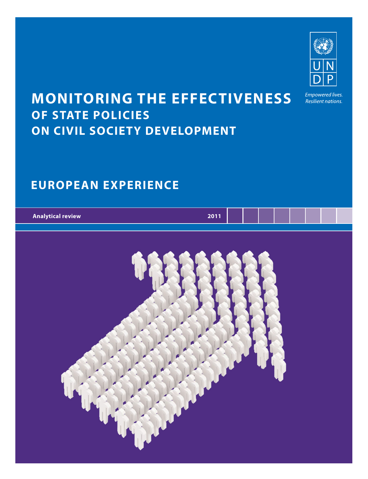

Resilient nations.

## **MONITORING THE EFFECTIVENESS OF STATE POLICIES ON CIVIL SOCIETY DEVELOPMENT**

### **EUROPEAN EXPERIENCE**

| <b>Analytical review</b> | <b>2011</b> |  |  |  |  |
|--------------------------|-------------|--|--|--|--|
|                          |             |  |  |  |  |

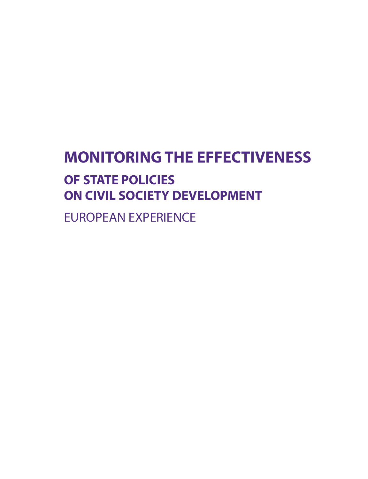# **MONITORING THE EFFECTIVENESS OF STATE POLICIES ON CIVIL SOCIETY DEVELOPMENT**

EUROPEAN EXPERIENCE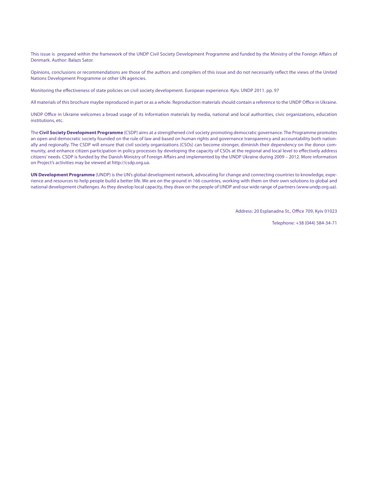This issue is prepared within the framework of the UNDP Civil Society Development Programme and funded by the Ministry of the Foreign Affairs of Denmark. Author: Balazs Sator.

Opinions, conclusions or recommendations are those of the authors and compilers of this issue and do not necessarily reflect the views of the United Nations Development Programme or other UN agencies.

Monitoring the effectiveness of state policies on civil society development. European experience. Kyiv. UNDP 2011. pp. 97

All materials of this brochure maybe reproduced in part or as a whole. Reproduction materials should contain a reference to the UNDP Office in Ukraine.

UNDP Office in Ukraine welcomes a broad usage of its information materials by media, national and local authorities, civic organizations, education institutions, etc.

The **Civil Society Development Programme** (CSDP) aims at a strengthened civil society promoting democratic governance. The Programme promotes an open and democratic society founded on the rule of law and based on human rights and governance transparency and accountability both nationally and regionally. The CSDP will ensure that civil society organizations (CSOs) can become stronger, diminish their dependency on the donor community, and enhance citizen participation in policy processes by developing the capacity of CSOs at the regional and local level to effectively address citizens' needs. CSDP is funded by the Danish Ministry of Foreign Affairs and implemented by the UNDP Ukraine during 2009 – 2012. More information on Project's activities may be viewed at http://csdp.org.ua.

**UN Development Programme** (UNDP) is the UN's global development network, advocating for change and connecting countries to knowledge, experience and resources to help people build a better life. We are on the ground in 166 countries, working with them on their own solutions to global and national development challenges. As they develop local capacity, they draw on the people of UNDP and our wide range of partners (www.undp.org.ua).

Address: 20 Esplanadna St., Office 709, Kyiv 01023

Telephone: +38 (044) 584-34-71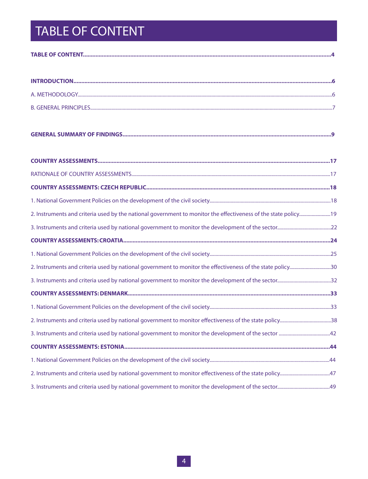# TABLE OF CONTENT

| 2. Instruments and criteria used by national government to monitor the effectiveness of the state policy30 |  |
|------------------------------------------------------------------------------------------------------------|--|
|                                                                                                            |  |
|                                                                                                            |  |
|                                                                                                            |  |
|                                                                                                            |  |
|                                                                                                            |  |
|                                                                                                            |  |
|                                                                                                            |  |
|                                                                                                            |  |
|                                                                                                            |  |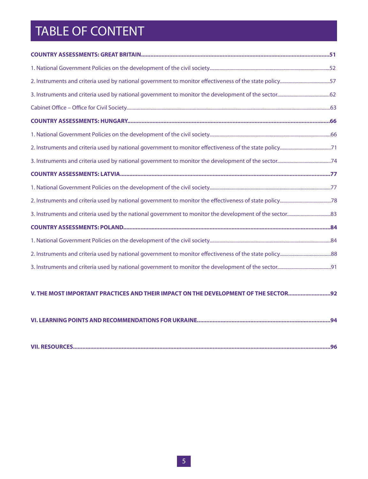## TABLE OF CONTENT

| 2. Instruments and criteria used by national government to monitor effectiveness of the state policy57 |  |
|--------------------------------------------------------------------------------------------------------|--|
|                                                                                                        |  |
|                                                                                                        |  |
|                                                                                                        |  |
|                                                                                                        |  |
|                                                                                                        |  |
|                                                                                                        |  |
|                                                                                                        |  |
|                                                                                                        |  |
|                                                                                                        |  |
|                                                                                                        |  |
|                                                                                                        |  |
|                                                                                                        |  |
|                                                                                                        |  |
|                                                                                                        |  |

#### **V. THE MOST IMPORTANT PRACTICES AND THEIR IMPACT ON THE DEVELOPMENT OF THE SECTOR...........................92**

|--|--|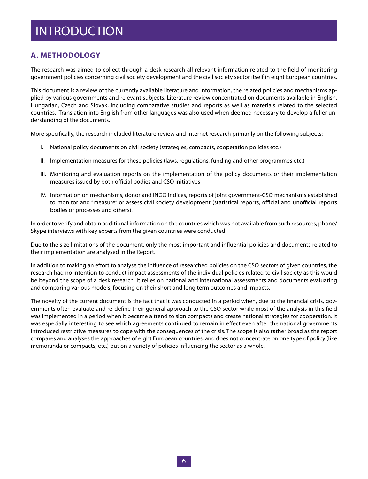### INTRODUCTION

#### **A. METHODOLOGY**

The research was aimed to collect through a desk research all relevant information related to the field of monitoring government policies concerning civil society development and the civil society sector itself in eight European countries.

This document is a review of the currently available literature and information, the related policies and mechanisms applied by various governments and relevant subjects. Literature review concentrated on documents available in English, Hungarian, Czech and Slovak, including comparative studies and reports as well as materials related to the selected countries. Translation into English from other languages was also used when deemed necessary to develop a fuller understanding of the documents.

More specifically, the research included literature review and internet research primarily on the following subjects:

- I. National policy documents on civil society (strategies, compacts, cooperation policies etc.)
- II. Implementation measures for these policies (laws, regulations, funding and other programmes etc.)
- III. Monitoring and evaluation reports on the implementation of the policy documents or their implementation measures issued by both official bodies and CSO initiatives
- IV. Information on mechanisms, donor and INGO indices, reports of joint government-CSO mechanisms established to monitor and "measure" or assess civil society development (statistical reports, official and unofficial reports bodies or processes and others).

In order to verify and obtain additional information on the countries which was not available from such resources, phone/ Skype interviews with key experts from the given countries were conducted.

Due to the size limitations of the document, only the most important and influential policies and documents related to their implementation are analysed in the Report.

In addition to making an effort to analyse the influence of researched policies on the CSO sectors of given countries, the research had no intention to conduct impact assessments of the individual policies related to civil society as this would be beyond the scope of a desk research. It relies on national and international assessments and documents evaluating and comparing various models, focusing on their short and long term outcomes and impacts.

The novelty of the current document is the fact that it was conducted in a period when, due to the financial crisis, governments often evaluate and re-define their general approach to the CSO sector while most of the analysis in this field was implemented in a period when it became a trend to sign compacts and create national strategies for cooperation. It was especially interesting to see which agreements continued to remain in effect even after the national governments introduced restrictive measures to cope with the consequences of the crisis. The scope is also rather broad as the report compares and analyses the approaches of eight European countries, and does not concentrate on one type of policy (like memoranda or compacts, etc.) but on a variety of policies influencing the sector as a whole.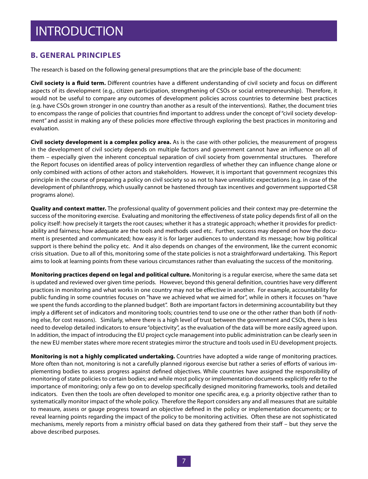### INTRODUCTION

#### **B. GENERAL PRINCIPLES**

The research is based on the following general presumptions that are the principle base of the document:

**Civil society is a fluid term.** Different countries have a different understanding of civil society and focus on different aspects of its development (e.g., citizen participation, strengthening of CSOs or social entrepreneurship). Therefore, it would not be useful to compare any outcomes of development policies across countries to determine best practices (e.g. have CSOs grown stronger in one country than another as a result of the interventions). Rather, the document tries to encompass the range of policies that countries find important to address under the concept of "civil society development" and assist in making any of these policies more effective through exploring the best practices in monitoring and evaluation.

**Civil society development is a complex policy area.** As is the case with other policies, the measurement of progress in the development of civil society depends on multiple factors and government cannot have an influence on all of them – especially given the inherent conceptual separation of civil society from governmental structures. Therefore the Report focuses on identified areas of policy intervention regardless of whether they can influence change alone or only combined with actions of other actors and stakeholders. However, it is important that government recognizes this principle in the course of preparing a policy on civil society so as not to have unrealistic expectations (e.g. in case of the development of philanthropy, which usually cannot be hastened through tax incentives and government supported CSR programs alone).

**Quality and context matter.** The professional quality of government policies and their context may pre-determine the success of the monitoring exercise. Evaluating and monitoring the effectiveness of state policy depends first of all on the policy itself: how precisely it targets the root causes; whether it has a strategic approach; whether it provides for predictability and fairness; how adequate are the tools and methods used etc. Further, success may depend on how the document is presented and communicated; how easy it is for larger audiences to understand its message; how big political support is there behind the policy etc. And it also depends on changes of the environment, like the current economic crisis situation. Due to all of this, monitoring some of the state policies is not a straightforward undertaking. This Report aims to look at learning points from these various circumstances rather than evaluating the success of the monitoring.

**Monitoring practices depend on legal and political culture.** Monitoring is a regular exercise, where the same data set is updated and reviewed over given time periods. However, beyond this general definition, countries have very different practices in monitoring and what works in one country may not be effective in another. For example, accountability for public funding in some countries focuses on "have we achieved what we aimed for", while in others it focuses on "have we spent the funds according to the planned budget". Both are important factors in determining accountability but they imply a different set of indicators and monitoring tools; countries tend to use one or the other rather than both (if nothing else, for cost reasons). Similarly, where there is a high level of trust between the government and CSOs, there is less need to develop detailed indicators to ensure "objectivity", as the evaluation of the data will be more easily agreed upon. In addition, the impact of introducing the EU project cycle management into public administration can be clearly seen in the new EU member states where more recent strategies mirror the structure and tools used in EU development projects.

**Monitoring is not a highly complicated undertaking.** Countries have adopted a wide range of monitoring practices. More often than not, monitoring is not a carefully planned rigorous exercise but rather a series of efforts of various implementing bodies to assess progress against defined objectives. While countries have assigned the responsibility of monitoring of state policies to certain bodies; and while most policy or implementation documents explicitly refer to the importance of monitoring; only a few go on to develop specifically designed monitoring frameworks, tools and detailed indicators. Even then the tools are often developed to monitor one specific area, e.g. a priority objective rather than to systematically monitor impact of the whole policy. Therefore the Report considers any and all measures that are suitable to measure, assess or gauge progress toward an objective defined in the policy or implementation documents; or to reveal learning points regarding the impact of the policy to be monitoring activities. Often these are not sophisticated mechanisms, merely reports from a ministry official based on data they gathered from their staff – but they serve the above described purposes.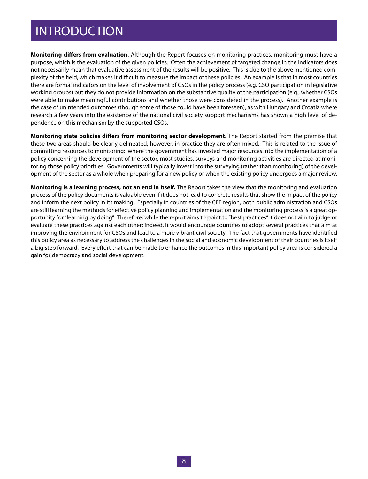### INTRODUCTION

**Monitoring differs from evaluation.** Although the Report focuses on monitoring practices, monitoring must have a purpose, which is the evaluation of the given policies. Often the achievement of targeted change in the indicators does not necessarily mean that evaluative assessment of the results will be positive. This is due to the above mentioned complexity of the field, which makes it difficult to measure the impact of these policies. An example is that in most countries there are formal indicators on the level of involvement of CSOs in the policy process (e.g. CSO participation in legislative working groups) but they do not provide information on the substantive quality of the participation (e.g., whether CSOs were able to make meaningful contributions and whether those were considered in the process). Another example is the case of unintended outcomes (though some of those could have been foreseen), as with Hungary and Croatia where research a few years into the existence of the national civil society support mechanisms has shown a high level of dependence on this mechanism by the supported CSOs.

**Monitoring state policies differs from monitoring sector development.** The Report started from the premise that these two areas should be clearly delineated, however, in practice they are often mixed. This is related to the issue of committing resources to monitoring: where the government has invested major resources into the implementation of a policy concerning the development of the sector, most studies, surveys and monitoring activities are directed at monitoring those policy priorities. Governments will typically invest into the surveying (rather than monitoring) of the development of the sector as a whole when preparing for a new policy or when the existing policy undergoes a major review.

**Monitoring is a learning process, not an end in itself.** The Report takes the view that the monitoring and evaluation process of the policy documents is valuable even if it does not lead to concrete results that show the impact of the policy and inform the next policy in its making. Especially in countries of the CEE region, both public administration and CSOs are still learning the methods for effective policy planning and implementation and the monitoring process is a great opportunity for "learning by doing". Therefore, while the report aims to point to "best practices" it does not aim to judge or evaluate these practices against each other; indeed, it would encourage countries to adopt several practices that aim at improving the environment for CSOs and lead to a more vibrant civil society. The fact that governments have identified this policy area as necessary to address the challenges in the social and economic development of their countries is itself a big step forward. Every effort that can be made to enhance the outcomes in this important policy area is considered a gain for democracy and social development.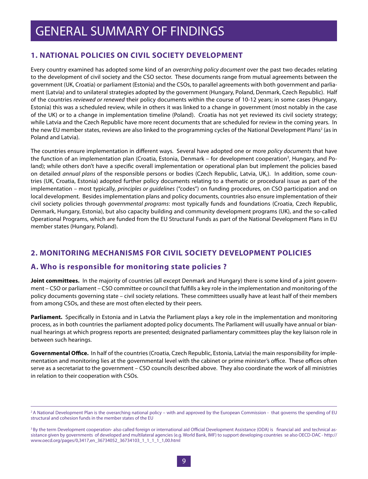### **1. NATIONAL POLICIES ON CIVIL SOCIETY DEVELOPMENT**

Every country examined has adopted some kind of an *overarching policy document* over the past two decades relating to the development of civil society and the CSO sector. These documents range from mutual agreements between the government (UK, Croatia) or parliament (Estonia) and the CSOs, to parallel agreements with both government and parliament (Latvia) and to unilateral strategies adopted by the government (Hungary, Poland, Denmark, Czech Republic). Half of the countries *reviewed or renewed* their policy documents within the course of 10-12 years; in some cases (Hungary, Estonia) this was a scheduled review, while in others it was linked to a change in government (most notably in the case of the UK) or to a change in implementation timeline (Poland). Croatia has not yet reviewed its civil society strategy; while Latvia and the Czech Republic have more recent documents that are scheduled for review in the coming years. In the new EU member states, reviews are also linked to the programming cycles of the National Development Plans<sup>2</sup> (as in Poland and Latvia).

The countries ensure implementation in different ways. Several have adopted one or more *policy documents* that have the function of an implementation plan (Croatia, Estonia, Denmark – for development cooperation<sup>3</sup>, Hungary, and Poland); while others don't have a specific overall implementation or operational plan but implement the policies based on detailed *annual plans* of the responsible persons or bodies (Czech Republic, Latvia, UK,). In addition, some countries (UK, Croatia, Estonia) adopted further policy documents relating to a thematic or procedural issue as part of the implementation – most typically, *principles or guidelines* ("codes") on funding procedures, on CSO participation and on local development. Besides implementation plans and policy documents, countries also ensure implementation of their civil society policies through *governmental programs*: most typically funds and foundations (Croatia, Czech Republic, Denmark, Hungary, Estonia), but also capacity building and community development programs (UK), and the so-called Operational Programs, which are funded from the EU Structural Funds as part of the National Development Plans in EU member states (Hungary, Poland).

### **2. MONITORING MECHANISMS FOR CIVIL SOCIETY DEVELOPMENT POLICIES**

#### **A. Who is responsible for monitoring state policies ?**

**Joint committees.** In the majority of countries (all except Denmark and Hungary) there is some kind of a joint government – CSO or parliament – CSO committee or council that fulfills a key role in the implementation and monitoring of the policy documents governing state – civil society relations. These committees usually have at least half of their members from among CSOs, and these are most often elected by their peers.

**Parliament.** Specifically in Estonia and in Latvia the Parliament plays a key role in the implementation and monitoring process, as in both countries the parliament adopted policy documents. The Parliament will usually have annual or biannual hearings at which progress reports are presented; designated parliamentary committees play the key liaison role in between such hearings.

**Governmental Office.** In half of the countries (Croatia, Czech Republic, Estonia, Latvia) the main responsibility for implementation and monitoring lies at the governmental level with the cabinet or prime minister's office. These offices often serve as a secretariat to the government – CSO councils described above. They also coordinate the work of all ministries in relation to their cooperation with CSOs.

<sup>&</sup>lt;sup>2</sup> A National Development Plan is the overarching national policy – with and approved by the European Commission - that governs the spending of EU structural and cohesion funds in the member states of the EU

<sup>&</sup>lt;sup>3</sup> By the term Development cooperation- also called foreign or international aid Official Development Assistance (ODA) is financial aid and technical assistance given by governments of developed and multilateral agencies (e.g. World Bank, IMF) to support developing countries se also OECD-DAC - http:// www.oecd.org/pages/0,3417,en\_36734052\_36734103\_1\_1\_1\_1\_1,00.html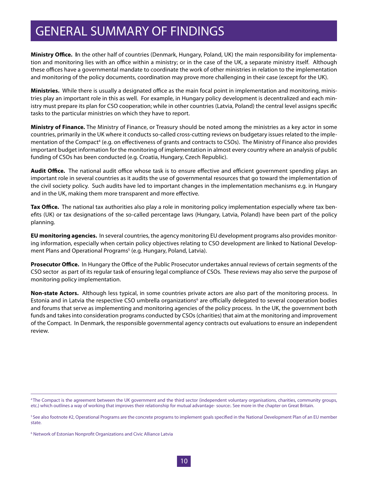## GENERAL SUMMARY OF FINDINGS

**Ministry Office. I**n the other half of countries (Denmark, Hungary, Poland, UK) the main responsibility for implementation and monitoring lies with an office within a ministry; or in the case of the UK, a separate ministry itself. Although these offices have a governmental mandate to coordinate the work of other ministries in relation to the implementation and monitoring of the policy documents, coordination may prove more challenging in their case (except for the UK).

**Ministries.** While there is usually a designated office as the main focal point in implementation and monitoring, ministries play an important role in this as well. For example, in Hungary policy development is decentralized and each ministry must prepare its plan for CSO cooperation; while in other countries (Latvia, Poland) the central level assigns specific tasks to the particular ministries on which they have to report.

**Ministry of Finance.** The Ministry of Finance, or Treasury should be noted among the ministries as a key actor in some countries, primarily in the UK where it conducts so-called cross-cutting reviews on budgetary issues related to the implementation of the Compact<sup>4</sup> (e.g. on effectiveness of grants and contracts to CSOs). The Ministry of Finance also provides important budget information for the monitoring of implementation in almost every country where an analysis of public funding of CSOs has been conducted (e.g. Croatia, Hungary, Czech Republic).

**Audit Office.** The national audit office whose task is to ensure effective and efficient government spending plays an important role in several countries as it audits the use of governmental resources that go toward the implementation of the civil society policy. Such audits have led to important changes in the implementation mechanisms e.g. in Hungary and in the UK, making them more transparent and more effective.

**Tax Office.** The national tax authorities also play a role in monitoring policy implementation especially where tax benefits (UK) or tax designations of the so-called percentage laws (Hungary, Latvia, Poland) have been part of the policy planning.

**EU monitoring agencies.** In several countries, the agency monitoring EU development programs also provides monitoring information, especially when certain policy objectives relating to CSO development are linked to National Development Plans and Operational Programs<sup>5</sup> (e.g. Hungary, Poland, Latvia).

**Prosecutor Office.** In Hungary the Office of the Public Prosecutor undertakes annual reviews of certain segments of the CSO sector as part of its regular task of ensuring legal compliance of CSOs. These reviews may also serve the purpose of monitoring policy implementation.

**Non-state Actors.** Although less typical, in some countries private actors are also part of the monitoring process. In Estonia and in Latvia the respective CSO umbrella organizations<sup>6</sup> are officially delegated to several cooperation bodies and forums that serve as implementing and monitoring agencies of the policy process. In the UK, the government both funds and takes into consideration programs conducted by CSOs (charities) that aim at the monitoring and improvement of the Compact. In Denmark, the responsible governmental agency contracts out evaluations to ensure an independent review.

<sup>4</sup> The Compact is the agreement between the UK government and the third sector (independent voluntary organisations, charities, community groups, etc.) which outlines a way of working that improves their relationship for mutual advantage- source:. See more in the chapter on Great Britain.

<sup>&</sup>lt;sup>5</sup> See also footnote #2, Operational Programs are the concrete programs to implement goals specified in the National Development Plan of an EU member state.

<sup>&</sup>lt;sup>6</sup> Network of Estonian Nonprofit Organizations and Civic Alliance Latvia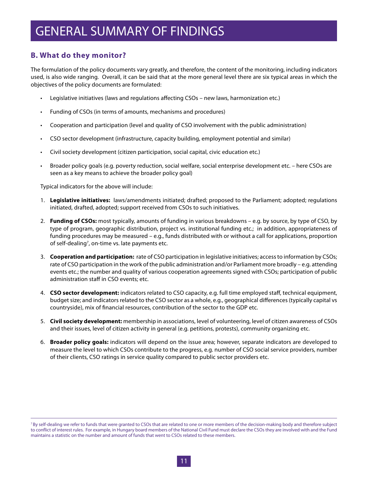### GENERAL SUMMARY OF FINDINGS

#### **B. What do they monitor?**

The formulation of the policy documents vary greatly, and therefore, the content of the monitoring, including indicators used, is also wide ranging. Overall, it can be said that at the more general level there are six typical areas in which the objectives of the policy documents are formulated:

- Legislative initiatives (laws and regulations affecting CSOs new laws, harmonization etc.)
- Funding of CSOs (in terms of amounts, mechanisms and procedures)
- • Cooperation and participation (level and quality of CSO involvement with the public administration)
- CSO sector development (infrastructure, capacity building, employment potential and similar)
- Civil society development (citizen participation, social capital, civic education etc.)
- Broader policy goals (e.g. poverty reduction, social welfare, social enterprise development etc. here CSOs are seen as a key means to achieve the broader policy goal)

Typical indicators for the above will include:

- 1. **Legislative initiatives:** laws/amendments initiated; drafted; proposed to the Parliament; adopted; regulations initiated, drafted, adopted; support received from CSOs to such initiatives.
- 2. **Funding of CSOs:** most typically, amounts of funding in various breakdowns e.g. by source, by type of CSO, by type of program, geographic distribution, project vs. institutional funding etc.; in addition, appropriateness of funding procedures may be measured – e.g., funds distributed with or without a call for applications, proportion of self-dealing<sup>7</sup>, on-time vs. late payments etc.
- 3. **Cooperation and participation:** rate of CSO participation in legislative initiatives; access to information by CSOs; rate of CSO participation in the work of the public administration and/or Parliament more broadly – e.g. attending events etc.; the number and quality of various cooperation agreements signed with CSOs; participation of public administration staff in CSO events; etc.
- 4. **CSO sector development:** indicators related to CSO capacity, e.g. full time employed staff, technical equipment, budget size; and indicators related to the CSO sector as a whole, e.g., geographical differences (typically capital vs countryside), mix of financial resources, contribution of the sector to the GDP etc.
- 5. **Civil society development:** membership in associations, level of volunteering, level of citizen awareness of CSOs and their issues, level of citizen activity in general (e.g. petitions, protests), community organizing etc.
- 6. **Broader policy goals:** indicators will depend on the issue area; however, separate indicators are developed to measure the level to which CSOs contribute to the progress, e.g. number of CSO social service providers, number of their clients, CSO ratings in service quality compared to public sector providers etc.

<sup>&</sup>lt;sup>7</sup> By self-dealing we refer to funds that were granted to CSOs that are related to one or more members of the decision-making body and therefore subject to conflict of interest rules. For example, in Hungary board members of the National Civil Fund must declare the CSOs they are involved with and the Fund maintains a statistic on the number and amount of funds that went to CSOs related to these members.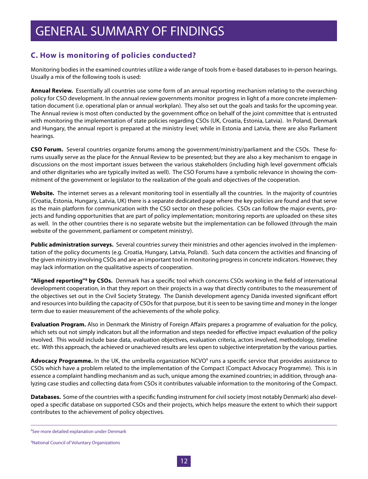### **C. How is monitoring of policies conducted?**

Monitoring bodies in the examined countries utilize a wide range of tools from e-based databases to in-person hearings. Usually a mix of the following tools is used:

**Annual Review.** Essentially all countries use some form of an annual reporting mechanism relating to the overarching policy for CSO development. In the annual review governments monitor progress in light of a more concrete implementation document (i.e. operational plan or annual workplan). They also set out the goals and tasks for the upcoming year. The Annual review is most often conducted by the government office on behalf of the joint committee that is entrusted with monitoring the implementation of state policies regarding CSOs (UK, Croatia, Estonia, Latvia). In Poland, Denmark and Hungary, the annual report is prepared at the ministry level; while in Estonia and Latvia, there are also Parliament hearings.

**CSO Forum.** Several countries organize forums among the government/ministry/parliament and the CSOs. These forums usually serve as the place for the Annual Review to be presented; but they are also a key mechanism to engage in discussions on the most important issues between the various stakeholders (including high level government officials and other dignitaries who are typically invited as well). The CSO Forums have a symbolic relevance in showing the commitment of the government or legislator to the realization of the goals and objectives of the cooperation.

**Website.** The internet serves as a relevant monitoring tool in essentially all the countries. In the majority of countries (Croatia, Estonia, Hungary, Latvia, UK) there is a separate dedicated page where the key policies are found and that serve as the main platform for communication with the CSO sector on these policies. CSOs can follow the major events, projects and funding opportunities that are part of policy implementation; monitoring reports are uploaded on these sites as well. In the other countries there is no separate website but the implementation can be followed (through the main website of the government, parliament or competent ministry).

**Public administration surveys.** Several countries survey their ministries and other agencies involved in the implementation of the policy documents (e.g. Croatia, Hungary, Latvia, Poland). Such data concern the activities and financing of the given ministry involving CSOs and are an important tool in monitoring progress in concrete indicators. However, they may lack information on the qualitative aspects of cooperation.

**"Aligned reporting"8 by CSOs.** Denmark has a specific tool which concerns CSOs working in the field of international development cooperation, in that they report on their projects in a way that directly contributes to the measurement of the objectives set out in the Civil Society Strategy. The Danish development agency Danida invested significant effort and resources into building the capacity of CSOs for that purpose, but it is seen to be saving time and money in the longer term due to easier measurement of the achievements of the whole policy.

**Evaluation Program.** Also in Denmark the Ministry of Foreign Affairs prepares a programme of evaluation for the policy, which sets out not simply indicators but all the information and steps needed for effective impact evaluation of the policy involved. This would include base data, evaluation objectives, evaluation criteria, actors involved, methodology, timeline etc. With this approach, the achieved or unachieved results are less open to subjective interpretation by the various parties.

Advocacy Programme. In the UK, the umbrella organization NCVO<sup>9</sup> runs a specific service that provides assistance to CSOs which have a problem related to the implementation of the Compact (Compact Advocacy Programme). This is in essence a complaint handling mechanism and as such, unique among the examined countries; in addition, through analyzing case studies and collecting data from CSOs it contributes valuable information to the monitoring of the Compact.

**Databases.** Some of the countries with a specific funding instrument for civil society (most notably Denmark) also developed a specific database on supported CSOs and their projects, which helps measure the extent to which their support contributes to the achievement of policy objectives.

<sup>8</sup> See more detailed explanation under Denmark

<sup>9</sup> National Council of Voluntary Organizations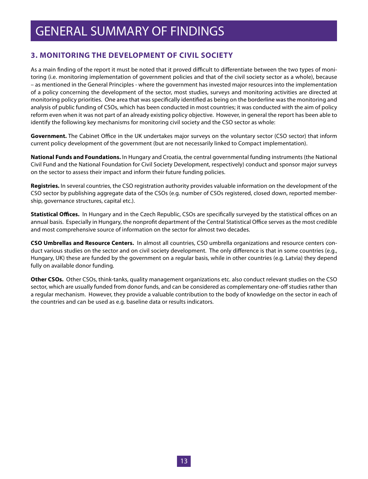### **3. MONITORING THE DEVELOPMENT OF CIVIL SOCIETY**

As a main finding of the report it must be noted that it proved difficult to differentiate between the two types of monitoring (i.e. monitoring implementation of government policies and that of the civil society sector as a whole), because – as mentioned in the General Principles - where the government has invested major resources into the implementation of a policy concerning the development of the sector, most studies, surveys and monitoring activities are directed at monitoring policy priorities. One area that was specifically identified as being on the borderline was the monitoring and analysis of public funding of CSOs, which has been conducted in most countries; it was conducted with the aim of policy reform even when it was not part of an already existing policy objective. However, in general the report has been able to identify the following key mechanisms for monitoring civil society and the CSO sector as whole:

**Government.** The Cabinet Office in the UK undertakes major surveys on the voluntary sector (CSO sector) that inform current policy development of the government (but are not necessarily linked to Compact implementation).

**National Funds and Foundations.** In Hungary and Croatia, the central governmental funding instruments (the National Civil Fund and the National Foundation for Civil Society Development, respectively) conduct and sponsor major surveys on the sector to assess their impact and inform their future funding policies.

**Registries.** In several countries, the CSO registration authority provides valuable information on the development of the CSO sector by publishing aggregate data of the CSOs (e.g. number of CSOs registered, closed down, reported membership, governance structures, capital etc.).

**Statistical Offices.** In Hungary and in the Czech Republic, CSOs are specifically surveyed by the statistical offices on an annual basis. Especially in Hungary, the nonprofit department of the Central Statistical Office serves as the most credible and most comprehensive source of information on the sector for almost two decades.

**CSO Umbrellas and Resource Centers.** In almost all countries, CSO umbrella organizations and resource centers conduct various studies on the sector and on civil society development. The only difference is that in some countries (e.g., Hungary, UK) these are funded by the government on a regular basis, while in other countries (e.g. Latvia) they depend fully on available donor funding.

**Other CSOs.** Other CSOs, think-tanks, quality management organizations etc. also conduct relevant studies on the CSO sector, which are usually funded from donor funds, and can be considered as complementary one-off studies rather than a regular mechanism. However, they provide a valuable contribution to the body of knowledge on the sector in each of the countries and can be used as e.g. baseline data or results indicators.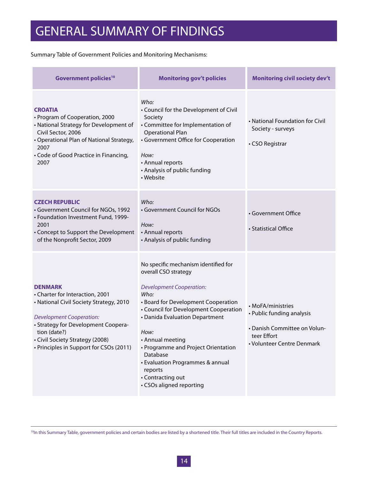Summary Table of Government Policies and Monitoring Mechanisms:

| <b>Government policies<sup>10</sup></b>                                                                                                                                                                                                                              | <b>Monitoring gov't policies</b>                                                                                                                                                                                                                                                                                                                                                                         | <b>Monitoring civil society dev't</b>                                                                                       |
|----------------------------------------------------------------------------------------------------------------------------------------------------------------------------------------------------------------------------------------------------------------------|----------------------------------------------------------------------------------------------------------------------------------------------------------------------------------------------------------------------------------------------------------------------------------------------------------------------------------------------------------------------------------------------------------|-----------------------------------------------------------------------------------------------------------------------------|
| <b>CROATIA</b><br>• Program of Cooperation, 2000<br>• National Strategy for Development of<br>Civil Sector, 2006<br>• Operational Plan of National Strategy,<br>2007<br>• Code of Good Practice in Financing,<br>2007                                                | Who:<br>• Council for the Development of Civil<br>Society<br>• Committee for Implementation of<br><b>Operational Plan</b><br>• Government Office for Cooperation<br>How:<br>• Annual reports<br>• Analysis of public funding<br>• Website                                                                                                                                                                | • National Foundation for Civil<br>Society - surveys<br>• CSO Registrar                                                     |
| <b>CZECH REPUBLIC</b><br>• Government Council for NGOs, 1992<br>• Foundation Investment Fund, 1999-<br>2001<br>• Concept to Support the Development<br>of the Nonprofit Sector, 2009                                                                                 | Who:<br>• Government Council for NGOs<br>How:<br>• Annual reports<br>• Analysis of public funding                                                                                                                                                                                                                                                                                                        | • Government Office<br>• Statistical Office                                                                                 |
| <b>DENMARK</b><br>• Charter for Interaction, 2001<br>• National Civil Society Strategy, 2010<br><b>Development Cooperation:</b><br>• Strategy for Development Coopera-<br>tion (date?)<br>• Civil Society Strategy (2008)<br>• Principles in Support for CSOs (2011) | No specific mechanism identified for<br>overall CSO strategy<br><b>Development Cooperation:</b><br>Who:<br>• Board for Development Cooperation<br>• Council for Development Cooperation<br>• Danida Evaluation Department<br>How:<br>• Annual meeting<br>• Programme and Project Orientation<br>Database<br>• Evaluation Programmes & annual<br>reports<br>• Contracting out<br>• CSOs aligned reporting | • MoFA/ministries<br>• Public funding analysis<br>• Danish Committee on Volun-<br>teer Effort<br>• Volunteer Centre Denmark |

<sup>10</sup>In this Summary Table, government policies and certain bodies are listed by a shortened title. Their full titles are included in the Country Reports.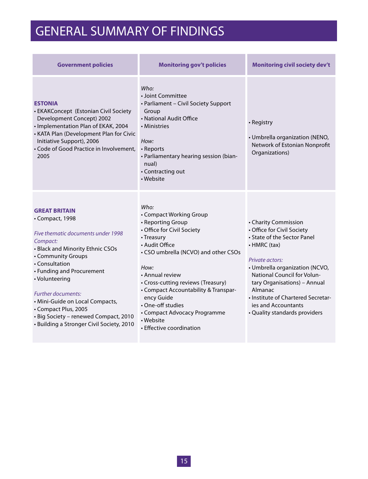## GENERAL SUMMARY OF FINDINGS

| <b>Government policies</b>                                                                                                                                                                                                                                                                                                                                                                  | <b>Monitoring gov't policies</b>                                                                                                                                                                                                                                                                                                                                                | <b>Monitoring civil society dev't</b>                                                                                                                                                                                                                                                                                          |  |  |
|---------------------------------------------------------------------------------------------------------------------------------------------------------------------------------------------------------------------------------------------------------------------------------------------------------------------------------------------------------------------------------------------|---------------------------------------------------------------------------------------------------------------------------------------------------------------------------------------------------------------------------------------------------------------------------------------------------------------------------------------------------------------------------------|--------------------------------------------------------------------------------------------------------------------------------------------------------------------------------------------------------------------------------------------------------------------------------------------------------------------------------|--|--|
| <b>ESTONIA</b><br>• EKAKConcept (Estonian Civil Society<br>Development Concept) 2002<br>· Implementation Plan of EKAK, 2004<br>• KATA Plan (Development Plan for Civic<br>Initiative Support), 2006<br>• Code of Good Practice in Involvement,<br>2005                                                                                                                                      | Who:<br>• Joint Committee<br>• Parliament - Civil Society Support<br>Group<br>• National Audit Office<br>• Ministries<br>How:<br>• Reports<br>· Parliamentary hearing session (bian-<br>nual)<br>• Contracting out<br>• Website                                                                                                                                                 | • Registry<br>• Umbrella organization (NENO,<br>Network of Estonian Nonprofit<br>Organizations)                                                                                                                                                                                                                                |  |  |
| <b>GREAT BRITAIN</b><br>• Compact, 1998<br>Five thematic documents under 1998<br>Compact:<br>• Black and Minority Ethnic CSOs<br>• Community Groups<br>• Consultation<br>• Funding and Procurement<br>• Volunteering<br>Further documents:<br>• Mini-Guide on Local Compacts,<br>• Compact Plus, 2005<br>· Big Society - renewed Compact, 2010<br>• Building a Stronger Civil Society, 2010 | Who:<br>• Compact Working Group<br>• Reporting Group<br>• Office for Civil Society<br>• Treasury<br>• Audit Office<br>• CSO umbrella (NCVO) and other CSOs<br>How:<br>• Annual review<br>• Cross-cutting reviews (Treasury)<br>• Compact Accountability & Transpar-<br>ency Guide<br>• One-off studies<br>• Compact Advocacy Programme<br>• Website<br>• Effective coordination | • Charity Commission<br>• Office for Civil Society<br>• State of the Sector Panel<br>• HMRC (tax)<br>Private actors:<br>· Umbrella organization (NCVO,<br>National Council for Volun-<br>tary Organisations) - Annual<br>Almanac<br>· Institute of Chartered Secretar-<br>ies and Accountants<br>• Quality standards providers |  |  |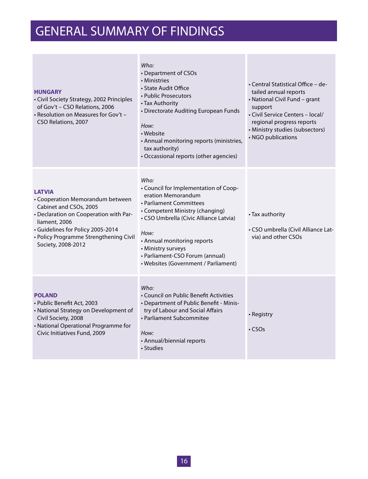## GENERAL SUMMARY OF FINDINGS

| <b>HUNGARY</b><br>• Civil Society Strategy, 2002 Principles<br>of Gov't - CSO Relations, 2006<br>- Resolution on Measures for Gov't -<br>CSO Relations, 2007                                                                                | Who:<br>• Department of CSOs<br>• Ministries<br>• State Audit Office<br>• Public Prosecutors<br>• Tax Authority<br>• Directorate Auditing European Funds<br>How:<br>• Website<br>• Annual monitoring reports (ministries,<br>tax authority)<br>• Occassional reports (other agencies)                               | • Central Statistical Office – de-<br>tailed annual reports<br>• National Civil Fund - grant<br>support<br>• Civil Service Centers - local/<br>regional progress reports<br>· Ministry studies (subsectors)<br>• NGO publications |
|---------------------------------------------------------------------------------------------------------------------------------------------------------------------------------------------------------------------------------------------|---------------------------------------------------------------------------------------------------------------------------------------------------------------------------------------------------------------------------------------------------------------------------------------------------------------------|-----------------------------------------------------------------------------------------------------------------------------------------------------------------------------------------------------------------------------------|
| <b>LATVIA</b><br>• Cooperation Memorandum between<br>Cabinet and CSOs, 2005<br>• Declaration on Cooperation with Par-<br>liament, 2006<br>· Guidelines for Policy 2005-2014<br>• Policy Programme Strengthening Civil<br>Society, 2008-2012 | Who:<br>• Council for Implementation of Coop-<br>eration Memorandum<br>• Parliament Committees<br>• Competent Ministry (changing)<br>• CSO Umbrella (Civic Alliance Latvia)<br>How:<br>• Annual monitoring reports<br>• Ministry surveys<br>• Parliament-CSO Forum (annual)<br>• Websites (Government / Parliament) | • Tax authority<br>• CSO umbrella (Civil Alliance Lat-<br>via) and other CSOs                                                                                                                                                     |
| <b>POLAND</b><br>• Public Benefit Act, 2003<br>• National Strategy on Development of<br>Civil Society, 2008<br>• National Operational Programme for<br>Civic Initiatives Fund, 2009                                                         | Who:<br>• Council on Public Benefit Activities<br>• Department of Public Benefit - Minis-<br>try of Labour and Social Affairs<br>• Parliament Subcommitee<br>How:<br>• Annual/biennial reports<br>• Studies                                                                                                         | • Registry<br>$\cdot$ CSOs                                                                                                                                                                                                        |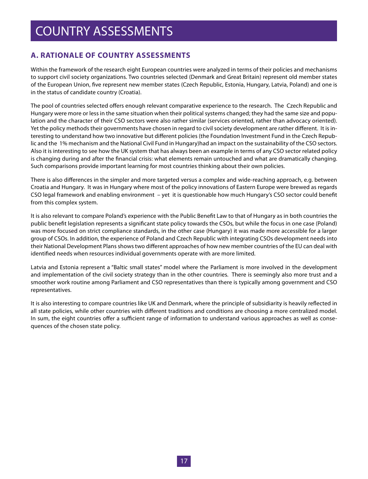### **A. RATIONALE OF COUNTRY ASSESSMENTS**

Within the framework of the research eight European countries were analyzed in terms of their policies and mechanisms to support civil society organizations. Two countries selected (Denmark and Great Britain) represent old member states of the European Union, five represent new member states (Czech Republic, Estonia, Hungary, Latvia, Poland) and one is in the status of candidate country (Croatia).

The pool of countries selected offers enough relevant comparative experience to the research. The Czech Republic and Hungary were more or less in the same situation when their political systems changed; they had the same size and population and the character of their CSO sectors were also rather similar (services oriented, rather than advocacy oriented). Yet the policy methods their governments have chosen in regard to civil society development are rather different. It is interesting to understand how two innovative but different policies (the Foundation Investment Fund in the Czech Republic and the 1% mechanism and the National Civil Fund in Hungary)had an impact on the sustainability of the CSO sectors. Also it is interesting to see how the UK system that has always been an example in terms of any CSO sector related policy is changing during and after the financial crisis: what elements remain untouched and what are dramatically changing. Such comparisons provide important learning for most countries thinking about their own policies.

There is also differences in the simpler and more targeted versus a complex and wide-reaching approach, e.g. between Croatia and Hungary. It was in Hungary where most of the policy innovations of Eastern Europe were brewed as regards CSO legal framework and enabling environment – yet it is questionable how much Hungary's CSO sector could benefit from this complex system.

It is also relevant to compare Poland's experience with the Public Benefit Law to that of Hungary as in both countries the public benefit legislation represents a significant state policy towards the CSOs, but while the focus in one case (Poland) was more focused on strict compliance standards, in the other case (Hungary) it was made more accessible for a larger group of CSOs. In addition, the experience of Poland and Czech Republic with integrating CSOs development needs into their National Development Plans shows two different approaches of how new member countries of the EU can deal with identified needs when resources individual governments operate with are more limited.

Latvia and Estonia represent a "Baltic small states" model where the Parliament is more involved in the development and implementation of the civil society strategy than in the other countries. There is seemingly also more trust and a smoother work routine among Parliament and CSO representatives than there is typically among government and CSO representatives.

It is also interesting to compare countries like UK and Denmark, where the principle of subsidiarity is heavily reflected in all state policies, while other countries with different traditions and conditions are choosing a more centralized model. In sum, the eight countries offer a sufficient range of information to understand various approaches as well as consequences of the chosen state policy.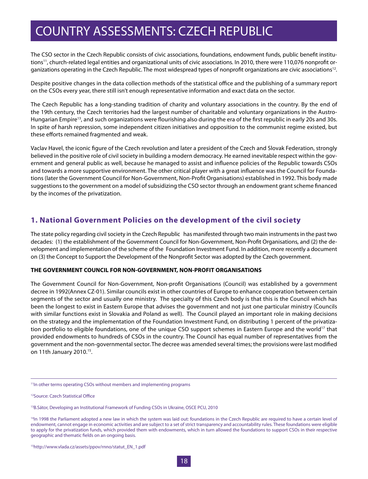The CSO sector in the Czech Republic consists of civic associations, foundations, endowment funds, public benefit institutions<sup>11</sup>, church-related legal entities and organizational units of civic associations. In 2010, there were 110,076 nonprofit organizations operating in the Czech Republic. The most widespread types of nonprofit organizations are civic associations<sup>12</sup>.

Despite positive changes in the data collection methods of the statistical office and the publishing of a summary report on the CSOs every year, there still isn't enough representative information and exact data on the sector.

The Czech Republic has a long-standing tradition of charity and voluntary associations in the country. By the end of the 19th century, the Czech territories had the largest number of charitable and voluntary organizations in the Austro-Hungarian Empire<sup>13</sup>, and such organizations were flourishing also during the era of the first republic in early 20s and 30s. In spite of harsh repression, some independent citizen initiatives and opposition to the communist regime existed, but these efforts remained fragmented and weak.

Vaclav Havel, the iconic figure of the Czech revolution and later a president of the Czech and Slovak Federation, strongly believed in the positive role of civil society in building a modern democracy. He earned inevitable respect within the government and general public as well, because he managed to assist and influence policies of the Republic towards CSOs and towards a more supportive environment. The other critical player with a great influence was the Council for Foundations (later the Government Council for Non-Government, Non-Profit Organisations) established in 1992. This body made suggestions to the government on a model of subsidizing the CSO sector through an endowment grant scheme financed by the incomes of the privatization.

#### **1. National Government Policies on the development of the civil society**

The state policy regarding civil society in the Czech Republic has manifested through two main instruments in the past two decades: (1) the establishment of the Government Council for Non-Government, Non-Profit Organisations, and (2) the development and implementation of the scheme of the Foundation Investment Fund. In addition, more recently a document on (3) the Concept to Support the Development of the Nonprofit Sector was adopted by the Czech government.

#### **THE GOVERNMENT COUNCIL FOR NON-GOVERNMENT, NON-PROFIT ORGANISATIONS**

The Government Council for Non-Government, Non-profit Organisations (Council) was established by a government decree in 1992(Annex CZ-01). Similar councils exist in other countries of Europe to enhance cooperation between certain segments of the sector and usually one ministry. The specialty of this Czech body is that this is the Council which has been the longest to exist in Eastern Europe that advises the government and not just one particular ministry (Councils with similar functions exist in Slovakia and Poland as well). The Council played an important role in making decisions on the strategy and the implementation of the Foundation Investment Fund, on distributing 1 percent of the privatization portfolio to eligible foundations, one of the unique CSO support schemes in Eastern Europe and the world<sup>17</sup> that provided endowments to hundreds of CSOs in the country. The Council has equal number of representatives from the government and the non-governmental sector. The decree was amended several times; the provisions were last modified on 11th January 2010.15.

12Source: Czech Statistical Office

<sup>&</sup>lt;sup>11</sup>In other terms operating CSOs without members and implementing programs

<sup>&</sup>lt;sup>13</sup>B.Sátor, Developing an Institutional Framework of Funding CSOs in Ukraine, OSCE PCU, 2010

<sup>&</sup>lt;sup>14</sup>In 1998 the Parliament adopted a new law in which the system was laid out: foundations in the Czech Republic are required to have a certain level of endowment, cannot engage in economic activities and are subject to a set of strict transparency and accountability rules. These foundations were eligible to apply for the privatization funds, which provided them with endowments, which in turn allowed the foundations to support CSOs in their respective geographic and thematic fields on an ongoing basis.

<sup>15</sup>http://www.vlada.cz/assets/ppov/rnno/statut\_EN\_1.pdf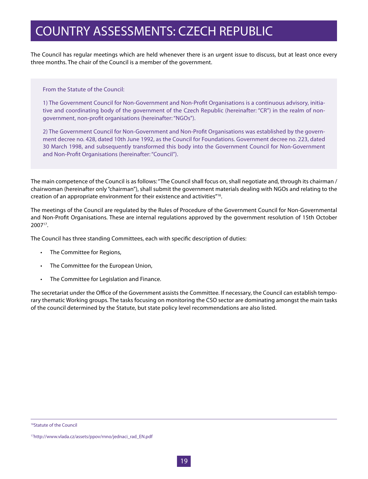The Council has regular meetings which are held whenever there is an urgent issue to discuss, but at least once every three months. The chair of the Council is a member of the government.

From the Statute of the Council:

1) The Government Council for Non-Government and Non-Profit Organisations is a continuous advisory, initiative and coordinating body of the government of the Czech Republic (hereinafter: "CR") in the realm of nongovernment, non-profit organisations (hereinafter: "NGOs").

2) The Government Council for Non-Government and Non-Profit Organisations was established by the government decree no. 428, dated 10th June 1992, as the Council for Foundations. Government decree no. 223, dated 30 March 1998, and subsequently transformed this body into the Government Council for Non-Government and Non-Profit Organisations (hereinafter: "Council").

The main competence of the Council is as follows: "The Council shall focus on, shall negotiate and, through its chairman / chairwoman (hereinafter only "chairman"), shall submit the government materials dealing with NGOs and relating to the creation of an appropriate environment for their existence and activities"16.

The meetings of the Council are regulated by the Rules of Procedure of the Government Council for Non-Governmental and Non-Profit Organisations. These are internal regulations approved by the government resolution of 15th October 200717.

The Council has three standing Committees, each with specific description of duties:

- • The Committee for Regions,
- • The Committee for the European Union,
- • The Committee for Legislation and Finance.

The secretariat under the Office of the Government assists the Committee. If necessary, the Council can establish temporary thematic Working groups. The tasks focusing on monitoring the CSO sector are dominating amongst the main tasks of the council determined by the Statute, but state policy level recommendations are also listed.

<sup>16</sup>Statute of the Council

<sup>17</sup>http://www.vlada.cz/assets/ppov/rnno/jednaci\_rad\_EN.pdf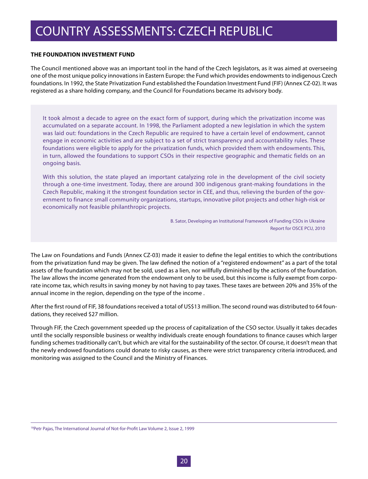#### **THE FOUNDATION INVESTMENT FUND**

The Council mentioned above was an important tool in the hand of the Czech legislators, as it was aimed at overseeing one of the most unique policy innovations in Eastern Europe: the Fund which provides endowments to indigenous Czech foundations. In 1992, the State Privatization Fund established the Foundation Investment Fund (FIF) (Annex CZ-02). It was registered as a share holding company, and the Council for Foundations became its advisory body.

It took almost a decade to agree on the exact form of support, during which the privatization income was accumulated on a separate account. In 1998, the Parliament adopted a new legislation in which the system was laid out: foundations in the Czech Republic are required to have a certain level of endowment, cannot engage in economic activities and are subject to a set of strict transparency and accountability rules. These foundations were eligible to apply for the privatization funds, which provided them with endowments. This, in turn, allowed the foundations to support CSOs in their respective geographic and thematic fields on an ongoing basis.

With this solution, the state played an important catalyzing role in the development of the civil society through a one-time investment. Today, there are around 300 indigenous grant-making foundations in the Czech Republic, making it the strongest foundation sector in CEE, and thus, relieving the burden of the government to finance small community organizations, startups, innovative pilot projects and other high-risk or economically not feasible philanthropic projects.

> B. Sator, Developing an Institutional Framework of Funding CSOs in Ukraine Report for OSCE PCU, 2010

The Law on Foundations and Funds (Annex CZ-03) made it easier to define the legal entities to which the contributions from the privatization fund may be given. The law defined the notion of a "registered endowment" as a part of the total assets of the foundation which may not be sold, used as a lien, nor willfully diminished by the actions of the foundation. The law allows the income generated from the endowment only to be used, but this income is fully exempt from corporate income tax, which results in saving money by not having to pay taxes. These taxes are between 20% and 35% of the annual income in the region, depending on the type of the income .

After the first round of FIF, 38 foundations received a total of US\$13 million. The second round was distributed to 64 foundations, they received \$27 million.

Through FIF, the Czech government speeded up the process of capitalization of the CSO sector. Usually it takes decades until the socially responsible business or wealthy individuals create enough foundations to finance causes which larger funding schemes traditionally can't, but which are vital for the sustainability of the sector. Of course, it doesn't mean that the newly endowed foundations could donate to risky causes, as there were strict transparency criteria introduced, and monitoring was assigned to the Council and the Ministry of Finances.

<sup>&</sup>lt;sup>18</sup>Petr Pajas, The International Journal of Not-for-Profit Law Volume 2, Issue 2, 1999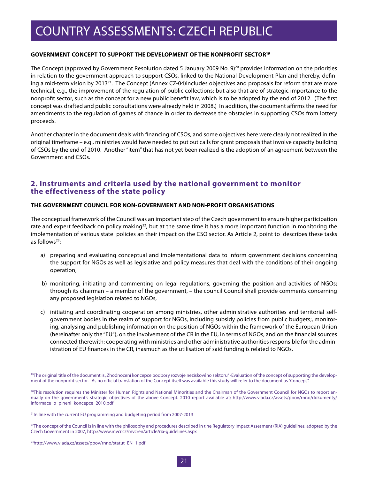#### **GOVERNMENT CONCEPT TO SUPPORT THE DEVELOPMENT OF THE NONPROFIT SECTOR19**

The Concept (approved by Government Resolution dated 5 January 2009 No.  $9)^{20}$  provides information on the priorities in relation to the government approach to support CSOs, linked to the National Development Plan and thereby, defining a mid-term vision by 2013<sup>21</sup>. The Concept (Annex CZ-04)includes objectives and proposals for reform that are more technical, e.g., the improvement of the regulation of public collections; but also that are of strategic importance to the nonprofit sector, such as the concept for a new public benefit law, which is to be adopted by the end of 2012. (The first concept was drafted and public consultations were already held in 2008.) In addition, the document affirms the need for amendments to the regulation of games of chance in order to decrease the obstacles in supporting CSOs from lottery proceeds.

Another chapter in the document deals with financing of CSOs, and some objectives here were clearly not realized in the original timeframe – e.g., ministries would have needed to put out calls for grant proposals that involve capacity building of CSOs by the end of 2010. Another "item" that has not yet been realized is the adoption of an agreement between the Government and CSOs.

#### **2. Instruments and criteria used by the national government to monitor the effectiveness of the state policy**

#### **THE GOVERNMENT COUNCIL FOR NON-GOVERNMENT AND NON-PROFIT ORGANISATIONS**

The conceptual framework of the Council was an important step of the Czech government to ensure higher participation rate and expert feedback on policy making<sup>22</sup>, but at the same time it has a more important function in monitoring the implementation of various state policies an their impact on the CSO sector. As Article 2, point to describes these tasks as follows $23$ :

- a) preparing and evaluating conceptual and implementational data to inform government decisions concerning the support for NGOs as well as legislative and policy measures that deal with the conditions of their ongoing operation,
- b) monitoring, initiating and commenting on legal regulations, governing the position and activities of NGOs; through its chairman – a member of the government, – the council Council shall provide comments concerning any proposed legislation related to NGOs,
- c) initiating and coordinating cooperation among ministries, other administrative authorities and territorial selfgovernment bodies in the realm of support for NGOs, including subsidy policies from public budgets;, monitoring, analysing and publishing information on the position of NGOs within the framework of the European Union (hereinafter only the "EU"), on the involvement of the CR in the EU, in terms of NGOs, and on the financial sources connected therewith; cooperating with ministries and other administrative authorities responsible for the administration of EU finances in the CR, inasmuch as the utilisation of said funding is related to NGOs,

<sup>&</sup>lt;sup>19</sup>The original title of the document is "Zhodnocení koncepce podpory rozvoje neziskového sektoru" -Evaluation of the concept of supporting the development of the nonprofit sector. As no official translation of the Concept itself was available this study will refer to the document as "Concept".

<sup>&</sup>lt;sup>20</sup>This resolution requires the Minister for Human Rights and National Minorities and the Chairman of the Government Council for NGOs to report annually on the government's strategic objectives of the above Concept. 2010 report available at: http://www.vlada.cz/assets/ppov/rnno/dokumenty/ informace\_o\_plneni\_koncepce\_2010.pdf

<sup>21</sup>In line with the current EU programming and budgeting period from 2007-2013

 $^{22}$ The concept of the Council is in line with the philosophy and procedures described in the Regulatory Impact Assesment (RIA) guidelines, adopted by the Czech Government in 2007, http://www.mvcr.cz/mvcren/article/ria-guidelines.aspx

<sup>23</sup>http://www.vlada.cz/assets/ppov/rnno/statut\_EN\_1.pdf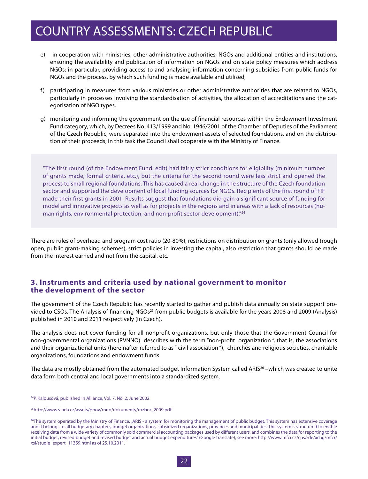- e) in cooperation with ministries, other administrative authorities, NGOs and additional entities and institutions, ensuring the availability and publication of information on NGOs and on state policy measures which address NGOs; in particular, providing access to and analysing information concerning subsidies from public funds for NGOs and the process, by which such funding is made available and utilised,
- f) participating in measures from various ministries or other administrative authorities that are related to NGOs, particularly in processes involving the standardisation of activities, the allocation of accreditations and the categorisation of NGO types,
- g) monitoring and informing the government on the use of financial resources within the Endowment Investment Fund category, which, by Decrees No. 413/1999 and No. 1946/2001 of the Chamber of Deputies of the Parliament of the Czech Republic, were separated into the endowment assets of selected foundations, and on the distribution of their proceeds; in this task the Council shall cooperate with the Ministry of Finance.

"The first round (of the Endowment Fund. edit) had fairly strict conditions for eligibility (minimum number of grants made, formal criteria, etc.), but the criteria for the second round were less strict and opened the process to small regional foundations. This has caused a real change in the structure of the Czech foundation sector and supported the development of local funding sources for NGOs. Recipients of the first round of FIF made their first grants in 2001. Results suggest that foundations did gain a significant source of funding for model and innovative projects as well as for projects in the regions and in areas with a lack of resources (human rights, environmental protection, and non-profit sector development)."<sup>24</sup>

There are rules of overhead and program cost ratio (20-80%), restrictions on distribution on grants (only allowed trough open, public grant-making schemes), strict policies in investing the capital, also restriction that grants should be made from the interest earned and not from the capital, etc.

#### **3. Instruments and criteria used by national government to monitor the development of the sector**

The government of the Czech Republic has recently started to gather and publish data annually on state support provided to CSOs. The Analysis of financing NGOs<sup>25</sup> from public budgets is available for the years 2008 and 2009 (Analysis) published in 2010 and 2011 respectively (in Czech).

The analysis does not cover funding for all nonprofit organizations, but only those that the Government Council for non-governmental organizations (RVNNO) describes with the term "non-profit organization ", that is, the associations and their organizational units (hereinafter referred to as " civil association "), churches and religious societies, charitable organizations, foundations and endowment funds.

The data are mostly obtained from the automated budget Information System called ARIS<sup>26</sup> –which was created to unite data form both central and local governments into a standardized system.

<sup>24</sup>P. Kalousová, published in Alliance, Vol. 7, No. 2, June 2002

<sup>25</sup>http://www.vlada.cz/assets/ppov/rnno/dokumenty/rozbor\_2009.pdf

<sup>&</sup>lt;sup>26</sup>The system operated by the Ministry of Finance, "ARIS - a system for monitoring the management of public budget. This system has extensive coverage and it belongs to all budgetary chapters, budget organizations, subsidized organizations, provinces and municipalities. This system is structured to enable receiving data from a wide variety of commonly sold commercial accounting packages used by different users, and combines the data for reporting to the initial budget, revised budget and revised budget and actual budget expenditures" (Google translate), see more: http://www.mfcr.cz/cps/rde/xchg/mfcr/ xsl/studie\_expert\_11359.html as of 25.10.2011.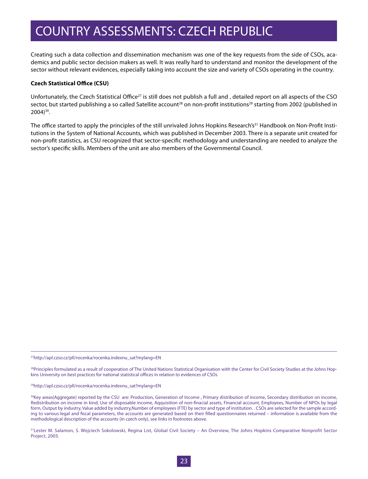Creating such a data collection and dissemination mechanism was one of the key requests from the side of CSOs, academics and public sector decision makers as well. It was really hard to understand and monitor the development of the sector without relevant evidences, especially taking into account the size and variety of CSOs operating in the country.

#### **Czech Statistical Office (CSU)**

Unfortunately, the Czech Statistical Office<sup>27</sup> is still does not publish a full and, detailed report on all aspects of the CSO sector, but started publishing a so called Satellite account<sup>28</sup> on non-profit institutions<sup>29</sup> starting from 2002 (published in 2004)30.

The office started to apply the principles of the still unrivaled Johns Hopkins Research's<sup>31</sup> Handbook on Non-Profit Institutions in the System of National Accounts, which was published in December 2003. There is a separate unit created for non-profit statistics, as CSU recognized that sector-specific methodology and understanding are needed to analyze the sector's specific skills. Members of the unit are also members of the Governmental Council.

27http://apl.czso.cz/pll/rocenka/rocenka.indexnu\_sat?mylang=EN

<sup>28</sup>Principles formulated as a result of cooperation of The United Nations Statistical Organisation with the Center for Civil Society Studies at the Johns Hopkins University on best practices for national statistical offices in relation to evidences of CSOs

29http://apl.czso.cz/pll/rocenka/rocenka.indexnu\_sat?mylang=EN

<sup>30</sup>Key areas(Aggregate) reported by the CSU are: Production, Generation of Income, Primary distribution of income, Secondary distribution on income, Redistribution on income in kind, Use of disposable income, Aqquisition of non-finacial assets, Financial account, Employees, Number of NPOs by legal form, Output by industry, Value added by industry,Number of employees (FTE) by sector and type of institution. . CSOs are selected for the sample according to various legal and fiscal parameters, the accounts are generated based on their filled questionnaires returned – information is available from the methodological description of the accounts (in czech only), see links in footnotes above.

31Lester M. Salamon, S. Wojciech Sokolowski, Regina List, Global Civil Society - An Overview, The Johns Hopkins Comparative Nonprofit Sector Project, 2003.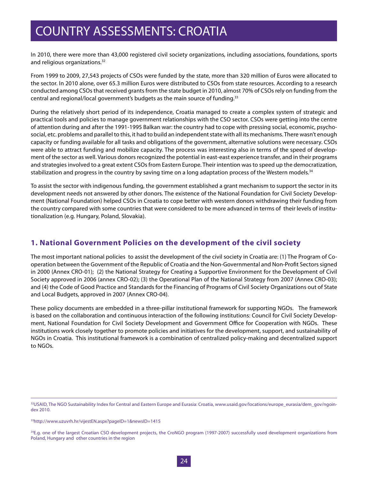In 2010, there were more than 43,000 registered civil society organizations, including associations, foundations, sports and religious organizations.<sup>32</sup>

From 1999 to 2009, 27,543 projects of CSOs were funded by the state, more than 320 million of Euros were allocated to the sector. In 2010 alone, over 65.3 million Euros were distributed to CSOs from state resources. According to a research conducted among CSOs that received grants from the state budget in 2010, almost 70% of CSOs rely on funding from the central and regional/local government's budgets as the main source of funding.<sup>33</sup>

During the relatively short period of its independence, Croatia managed to create a complex system of strategic and practical tools and policies to manage government relationships with the CSO sector. CSOs were getting into the centre of attention during and after the 1991-1995 Balkan war: the country had to cope with pressing social, economic, psychosocial, etc. problems and parallel to this, it had to build an independent state with all its mechanisms. There wasn't enough capacity or funding available for all tasks and obligations of the government, alternative solutions were necessary. CSOs were able to attract funding and mobilize capacity. The process was interesting also in terms of the speed of development of the sector as well. Various donors recognized the potential in east-east experience transfer, and in their programs and strategies involved to a great extent CSOs from Eastern Europe. Their intention was to speed up the democratization, stabilization and progress in the country by saving time on a long adaptation process of the Western models.<sup>34</sup>

To assist the sector with indigenous funding, the government established a grant mechanism to support the sector in its development needs not answered by other donors. The existence of the National Foundation for Civil Society Development (National Foundation) helped CSOs in Croatia to cope better with western donors withdrawing their funding from the country compared with some countries that were considered to be more advanced in terms of their levels of institutionalization (e.g. Hungary, Poland, Slovakia).

#### **1. National Government Policies on the development of the civil society**

The most important national policies to assist the development of the civil society in Croatia are: (1) The Program of Cooperation between the Government of the Republic of Croatia and the Non-Governmental and Non-Profit Sectors signed in 2000 (Annex CRO-01); (2) the National Strategy for Creating a Supportive Environment for the Development of Civil Society approved in 2006 (annex CRO-02); (3) the Operational Plan of the National Strategy from 2007 (Annex CRO-03); and (4) the Code of Good Practice and Standards for the Financing of Programs of Civil Society Organizations out of State and Local Budgets, approved in 2007 (Annex CRO-04).

These policy documents are embedded in a three-pillar institutional framework for supporting NGOs. The framework is based on the collaboration and continuous interaction of the following institutions: Council for Civil Society Development, National Foundation for Civil Society Development and Government Office for Cooperation with NGOs. These institutions work closely together to promote policies and initiatives for the development, support, and sustainability of NGOs in Croatia. This institutional framework is a combination of centralized policy-making and decentralized support to NGOs.

<sup>32</sup>USAID, The NGO Sustainability Index for Central and Eastern Europe and Eurasia: Croatia, www.usaid.gov/locations/europe\_eurasia/dem\_gov/ngoindex 2010.

<sup>33</sup>http://www.uzuvrh.hr/vijestEN.aspx?pageID=1&newsID=1415

<sup>&</sup>lt;sup>34</sup>E.g. one of the largest Croatian CSO development projects, the CroNGO program (1997-2007) successfully used development organizations from Poland, Hungary and other countries in the region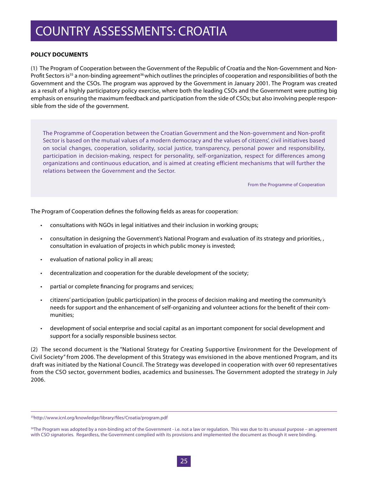#### **POLICY DOCUMENTS**

(1) The Program of Cooperation between the Government of the Republic of Croatia and the Non-Government and Non-Profit Sectors is<sup>35</sup> a non-binding agreement<sup>36</sup> which outlines the principles of cooperation and responsibilities of both the Government and the CSOs. The program was approved by the Government in January 2001. The Program was created as a result of a highly participatory policy exercise, where both the leading CSOs and the Government were putting big emphasis on ensuring the maximum feedback and participation from the side of CSOs; but also involving people responsible from the side of the government.

The Programme of Cooperation between the Croatian Government and the Non-government and Non-profit Sector is based on the mutual values of a modern democracy and the values of citizens', civil initiatives based on social changes, cooperation, solidarity, social justice, transparency, personal power and responsibility, participation in decision-making, respect for personality, self-organization, respect for differences among organizations and continuous education, and is aimed at creating efficient mechanisms that will further the relations between the Government and the Sector.

From the Programme of Cooperation

The Program of Cooperation defines the following fields as areas for cooperation:

- consultations with NGOs in legal initiatives and their inclusion in working groups;
- consultation in designing the Government's National Program and evaluation of its strategy and priorities, , consultation in evaluation of projects in which public money is invested;
- • evaluation of national policy in all areas;
- decentralization and cooperation for the durable development of the society;
- partial or complete financing for programs and services;
- citizens' participation (public participation) in the process of decision making and meeting the community's needs for support and the enhancement of self-organizing and volunteer actions for the benefit of their communities;
- • development of social enterprise and social capital as an important component for social development and support for a socially responsible business sector.

(2) The second document is the "National Strategy for Creating Supportive Environment for the Development of Civil Society" from 2006. The development of this Strategy was envisioned in the above mentioned Program, and its draft was initiated by the National Council. The Strategy was developed in cooperation with over 60 representatives from the CSO sector, government bodies, academics and businesses. The Government adopted the strategy in July 2006.

<sup>35</sup>http://www.icnl.org/knowledge/library/files/Croatia/program.pdf

<sup>&</sup>lt;sup>36</sup>The Program was adopted by a non-binding act of the Government - i.e. not a law or regulation. This was due to its unusual purpose – an agreement with CSO signatories. Regardless, the Government complied with its provisions and implemented the document as though it were binding.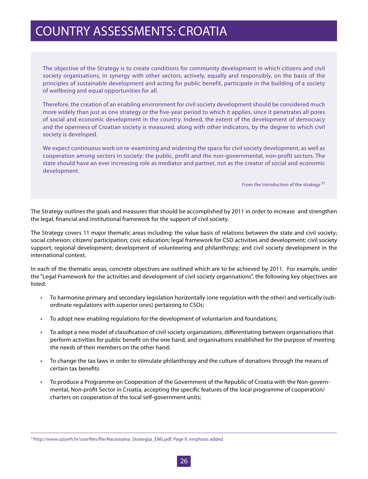The objective of the Strategy is to create conditions for community development in which citizens and civil society organisations, in synergy with other sectors, actively, equally and responsibly, on the basis of the principles of sustainable development and acting for public benefit, participate in the building of a society of wellbeing and equal opportunities for all.

Therefore, the creation of an enabling environment for civil society development should be considered much more widely than just as one strategy or the five-year period to which it applies, since it penetrates all pores of social and economic development in the country. Indeed, the extent of the development of democracy and the openness of Croatian society is measured, along with other indicators, by the degree to which civil society is developed.

We expect continuous work on re-examining and widening the space for civil society development, as well as cooperation among sectors in society: the public, profit and the non-governmental, non-profit sectors. The state should have an ever increasing role as mediator and partner, not as the creator of social and economic development.

From the Introduction of the strategy <sup>37</sup>

The Strategy outlines the goals and measures that should be accomplished by 2011 in order to increase and strengthen the legal, financial and institutional framework for the support of civil society.

The Strategy covers 11 major thematic areas including: the value basis of relations between the state and civil society; social cohesion; citizens' participation; civic education; legal framework for CSO activities and development; civil society support; regional development; development of volunteering and philanthropy; and civil society development in the international context.

In each of the thematic areas, concrete objectives are outlined which are to be achieved by 2011. For example, under the "Legal Framework for the activities and development of civil society organisations", the following key objectives are listed:

- • To harmonise primary and secondary legislation horizontally (one regulation with the other) and vertically (subordinate regulations with superior ones) pertaining to CSOs;
- To adopt new enabling regulations for the development of voluntarism and foundations;
- • To adopt a new model of classification of civil society organizations, differentiating between organisations that perform activities for public benefit on the one hand, and organisations established for the purpose of meeting the needs of their members on the other hand;
- • To change the tax laws in order to stimulate philanthropy and the culture of donations through the means of certain tax benefits
- To produce a Programme on Cooperation of the Government of the Republic of Croatia with the Non-governmental, Non-profit Sector in Croatia, accepting the specific features of the local programme of cooperation/ charters on cooperation of the local self-government units;

<sup>37</sup>http://www.uzuvrh.hr/userfiles/file/Nacionalna\_Strategija\_ENG.pdf. Page 9, emphasis added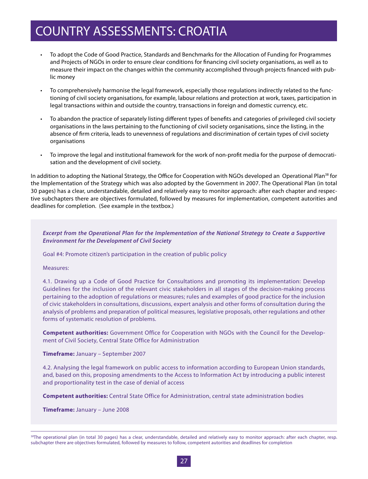- • To adopt the Code of Good Practice, Standards and Benchmarks for the Allocation of Funding for Programmes and Projects of NGOs in order to ensure clear conditions for financing civil society organisations, as well as to measure their impact on the changes within the community accomplished through projects financed with public money
- • To comprehensively harmonise the legal framework, especially those regulations indirectly related to the functioning of civil society organisations, for example, labour relations and protection at work, taxes, participation in legal transactions within and outside the country, transactions in foreign and domestic currency, etc.
- • To abandon the practice of separately listing different types of benefits and categories of privileged civil society organisations in the laws pertaining to the functioning of civil society organisations, since the listing, in the absence of firm criteria, leads to unevenness of regulations and discrimination of certain types of civil society organisations
- To improve the legal and institutional framework for the work of non-profit media for the purpose of democratisation and the development of civil society.

In addition to adopting the National Strategy, the Office for Cooperation with NGOs developed an Operational Plan<sup>38</sup> for the Implementation of the Strategy which was also adopted by the Government in 2007. The Operational Plan (in total 30 pages) has a clear, understandable, detailed and relatively easy to monitor approach: after each chapter and respective subchapters there are objectives formulated, followed by measures for implementation, competent autorities and deadlines for completion. (See example in the textbox.)

#### *Excerpt from the Operational Plan for the Implementation of the National Strategy to Create a Supportive Environment for the Development of Civil Society*

Goal #4: Promote citizen's participation in the creation of public policy

Measures:

4.1. Drawing up a Code of Good Practice for Consultations and promoting its implementation: Develop Guidelines for the inclusion of the relevant civic stakeholders in all stages of the decision-making process pertaining to the adoption of regulations or measures; rules and examples of good practice for the inclusion of civic stakeholders in consultations, discussions, expert analysis and other forms of consultation during the analysis of problems and preparation of political measures, legislative proposals, other regulations and other forms of systematic resolution of problems.

**Competent authorities:** Government Office for Cooperation with NGOs with the Council for the Development of Civil Society, Central State Office for Administration

**Timeframe:** January – September 2007

4.2. Analysing the legal framework on public access to information according to European Union standards, and, based on this, proposing amendments to the Access to Information Act by introducing a public interest and proportionality test in the case of denial of access

**Competent authorities:** Central State Office for Administration, central state administration bodies

**Timeframe:** January – June 2008

<sup>&</sup>lt;sup>38</sup>The operational plan (in total 30 pages) has a clear, understandable, detailed and relatively easy to monitor approach: after each chapter, resp. subchapter there are objectives formulated, followed by measures to follow, competent autorities and deadlines for completion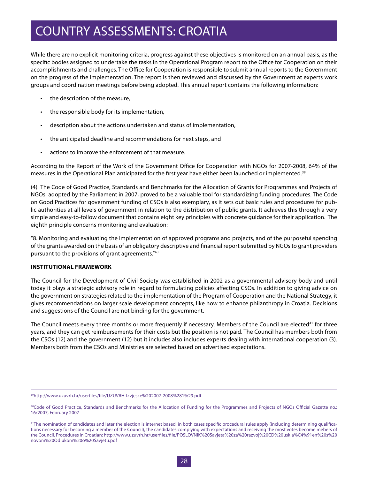While there are no explicit monitoring criteria, progress against these objectives is monitored on an annual basis, as the specific bodies assigned to undertake the tasks in the Operational Program report to the Office for Cooperation on their accomplishments and challenges. The Office for Cooperation is responsible to submit annual reports to the Government on the progress of the implementation. The report is then reviewed and discussed by the Government at experts work groups and coordination meetings before being adopted. This annual report contains the following information:

- the description of the measure,
- the responsible body for its implementation,
- description about the actions undertaken and status of implementation,
- the anticipated deadline and recommendations for next steps, and
- actions to improve the enforcement of that measure.

According to the Report of the Work of the Government Office for Cooperation with NGOs for 2007-2008, 64% of the measures in the Operational Plan anticipated for the first year have either been launched or implemented.39

(4) The Code of Good Practice, Standards and Benchmarks for the Allocation of Grants for Programmes and Projects of NGOs adopted by the Parliament in 2007, proved to be a valuable tool for standardizing funding procedures. The Code on Good Practices for government funding of CSOs is also exemplary, as it sets out basic rules and procedures for public authorities at all levels of government in relation to the distribution of public grants. It achieves this through a very simple and easy-to-follow document that contains eight key principles with concrete guidance for their application. The eighth principle concerns monitoring and evaluation:

"8. Monitoring and evaluating the implementation of approved programs and projects, and of the purposeful spending of the grants awarded on the basis of an obligatory descriptive and financial report submitted by NGOs to grant providers pursuant to the provisions of grant agreements."40

#### **INSTITUTIONAL FRAMEWORK**

The Council for the Development of Civil Society was established in 2002 as a governmental advisory body and until today it plays a strategic advisory role in regard to formulating policies affecting CSOs. In addition to giving advice on the government on strategies related to the implementation of the Program of Cooperation and the National Strategy, it gives recommendations on larger scale development concepts, like how to enhance philanthropy in Croatia. Decisions and suggestions of the Council are not binding for the government.

The Council meets every three months or more frequently if necessary. Members of the Council are elected<sup>41</sup> for three years, and they can get reimbursements for their costs but the position is not paid. The Council has members both from the CSOs (12) and the government (12) but it includes also includes experts dealing with international cooperation (3). Members both from the CSOs and Ministries are selected based on advertised expectations.

<sup>39</sup>http://www.uzuvrh.hr/userfiles/file/UZUVRH-Izvjesce%202007-2008%281%29.pdf

<sup>40</sup>Code of Good Practice, Standards and Benchmarks for the Allocation of Funding for the Programmes and Projects of NGOs Official Gazette no.: 16/2007, February 2007

<sup>&</sup>lt;sup>41</sup>The nomination of candidates and later the election is internet based, in both cases specific procedural rules apply (including determining qualifications necessary for becoming a member of the Council), the candidates complying with expectations and receiving the most votes become mebers of the Council. Procedures in Croatian: http://www.uzuvrh.hr/userfiles/file/POSLOVNIK%20Savjeta%20za%20razvoj%20CD%20uskla%C4%91en%20s%20 novom%20Odlukom%20o%20Savjetu.pdf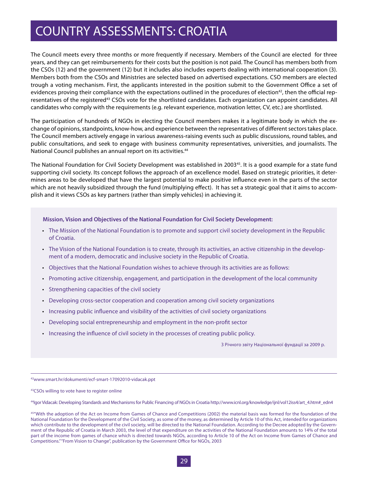The Council meets every three months or more frequently if necessary. Members of the Council are elected for three years, and they can get reimbursements for their costs but the position is not paid. The Council has members both from the CSOs (12) and the government (12) but it includes also includes experts dealing with international cooperation (3). Members both from the CSOs and Ministries are selected based on advertised expectations. CSO members are elected trough a voting mechanism. First, the applicants interested in the position submit to the Government Office a set of evidences proving their compliance with the expectations outlined in the procedures of election<sup>42</sup>, then the official representatives of the registered<sup>43</sup> CSOs vote for the shortlisted candidates. Each organization can appoint candidates. All candidates who comply with the requirements (e.g. relevant experience, motivation letter, CV, etc.) are shortlisted.

The participation of hundreds of NGOs in electing the Council members makes it a legitimate body in which the exchange of opinions, standpoints, know-how, and experience between the representatives of different sectors takes place. The Council members actively engage in various awareness-raising events such as public discussions, round tables, and public consultations, and seek to engage with business community representatives, universities, and journalists. The National Council publishes an annual report on its activities.<sup>44</sup>

The National Foundation for Civil Society Development was established in 2003<sup>45</sup>. It is a good example for a state fund supporting civil society. Its concept follows the approach of an excellence model. Based on strategic priorities, it determines areas to be developed that have the largest potential to make positive influence even in the parts of the sector which are not heavily subsidized through the fund (multiplying effect). It has set a strategic goal that it aims to accomplish and it views CSOs as key partners (rather than simply vehicles) in achieving it.

**Mission, Vision and Objectives of the National Foundation for Civil Society Development:**

- • The Mission of the National Foundation is to promote and support civil society development in the Republic of Croatia.
- • The Vision of the National Foundation is to create, through its activities, an active citizenship in the development of a modern, democratic and inclusive society in the Republic of Croatia.
- • Objectives that the National Foundation wishes to achieve through its activities are as follows:
- • Promoting active citizenship, engagement, and participation in the development of the local community
- • Strengthening capacities of the civil society
- • Developing cross-sector cooperation and cooperation among civil society organizations
- • Increasing public influence and visibility of the activities of civil society organizations
- Developing social entrepreneurship and employment in the non-profit sector
- • Increasing the influence of civil society in the processes of creating public policy.

З Річного звіту Національної фундації за 2009 р.

42www.smart.hr/dokumenti/ecf-smart-17092010-vidacak.ppt

43CSOs willing to vote have to register online

44Igor Vidacak: Developing Standards and Mechanisms for Public Financing of NGOs in Croatia http://www.icnl.org/knowledge/ijnl/vol12iss4/art\_4.htm#\_edn4

<sup>45&</sup>quot;With the adoption of the Act on Income from Games of Chance and Competitions (2002) the material basis was formed for the foundation of the National Foundation for the Development of the Civil Society, as some of the money, as determined by Article 10 of this Act, intended for organizations which contribute to the development of the civil society, will be directed to the National Foundation. According to the Decree adopted by the Government of the Republic of Croatia in March 2003, the level of that expenditure on the activities of the National Foundation amounts to 14% of the total part of the income from games of chance which is directed towards NGOs, according to Article 10 of the Act on Income from Games of Chance and Competitions." "From Vision to Change", publication by the Government Office for NGOs, 2003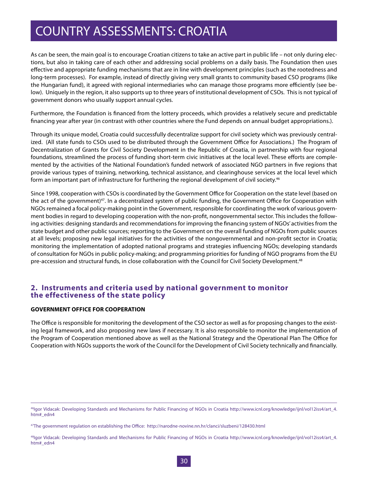As can be seen, the main goal is to encourage Croatian citizens to take an active part in public life – not only during elections, but also in taking care of each other and addressing social problems on a daily basis. The Foundation then uses effective and appropriate funding mechanisms that are in line with development principles (such as the rootedness and long-term processes). For example, instead of directly giving very small grants to community based CSO programs (like the Hungarian fund), it agreed with regional intermediaries who can manage those programs more efficiently (see below). Uniquely in the region, it also supports up to three years of institutional development of CSOs. This is not typical of government donors who usually support annual cycles.

Furthermore, the Foundation is financed from the lottery proceeds, which provides a relatively secure and predictable financing year after year (in contrast with other countries where the Fund depends on annual budget appropriations.).

Through its unique model, Croatia could successfully decentralize support for civil society which was previously centralized. (All state funds to CSOs used to be distributed through the Government Office for Associations.) The Program of Decentralization of Grants for Civil Society Development in the Republic of Croatia, in partnership with four regional foundations, streamlined the process of funding short-term civic initiatives at the local level. These efforts are complemented by the activities of the National Foundation's funded network of associated NGO partners in five regions that provide various types of training, networking, technical assistance, and clearinghouse services at the local level which form an important part of infrastructure for furthering the regional development of civil society.<sup>46</sup>

Since 1998, cooperation with CSOs is coordinated by the Government Office for Cooperation on the state level (based on the act of the government)47. In a decentralized system of public funding, the Government Office for Cooperation with NGOs remained a focal policy-making point in the Government, responsible for coordinating the work of various government bodies in regard to developing cooperation with the non-profit, nongovernmental sector. This includes the following activities: designing standards and recommendations for improving the financing system of NGOs' activities from the state budget and other public sources; reporting to the Government on the overall funding of NGOs from public sources at all levels; proposing new legal initiatives for the activities of the nongovernmental and non-profit sector in Croatia; monitoring the implementation of adopted national programs and strategies influencing NGOs; developing standards of consultation for NGOs in public policy-making; and programming priorities for funding of NGO programs from the EU pre-accession and structural funds, in close collaboration with the Council for Civil Society Development.<sup>48</sup>

#### **2. Instruments and criteria used by national government to monitor the effectiveness of the state policy**

#### **GOVERNMENT OFFICE FOR COOPERATION**

The Office is responsible for monitoring the development of the CSO sector as well as for proposing changes to the existing legal framework, and also proposing new laws if necessary. It is also responsible to monitor the implementation of the Program of Cooperation mentioned above as well as the National Strategy and the Operational Plan The Office for Cooperation with NGOs supports the work of the Council for the Development of Civil Society technically and financially.

<sup>46</sup>Igor Vidacak: Developing Standards and Mechanisms for Public Financing of NGOs in Croatia http://www.icnl.org/knowledge/ijnl/vol12iss4/art\_4. htm#\_edn4

<sup>47</sup>The government regulation on establishing the Office: http://narodne-novine.nn.hr/clanci/sluzbeni/128430.html

<sup>48</sup>Igor Vidacak: Developing Standards and Mechanisms for Public Financing of NGOs in Croatia http://www.icnl.org/knowledge/ijnl/vol12iss4/art\_4. htm#\_edn4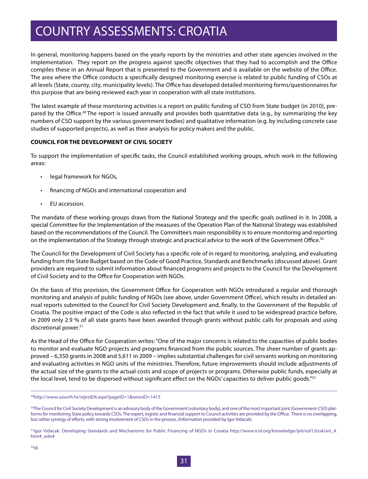In general, monitoring happens based on the yearly reports by the ministries and other state agencies involved in the implementation. They report on the progress against specific objectives that they had to accomplish and the Office compiles these in an Annual Report that is presented to the Government and is available on the website of the Office. The area where the Office conducts a specifically designed monitoring exercise is related to public funding of CSOs at all levels (State, county, city, municipality levels). The Office has developed detailed monitoring forms/questionnaires for this purpose that are being reviewed each year in cooperation with all state institutions.

The latest example of these monitoring activities is a report on public funding of CSO from State budget (in 2010), prepared by the Office.<sup>49</sup> The report is issued annually and provides both quantitative data (e.g., by summarizing the key numbers of CSO support by the various government bodies) and qualitative information (e.g. by including concrete case studies of supported projects), as well as their analysis for policy makers and the public.

#### **COUNCIL FOR THE DEVELOPMENT OF CIVIL SOCIETY**

To support the implementation of specific tasks, the Council established working groups, which work in the following areas:

- • legal framework for NGOs,
- financing of NGOs and international cooperation and
- EU accession.

The mandate of these working groups draws from the National Strategy and the specific goals outlined in it. In 2008, a special Committee for the Implementation of the measures of the Operation Plan of the National Strategy was established based on the recommendations of the Council. The Committee's main responsibility is to ensure monitoring and reporting on the implementation of the Strategy through strategic and practical advice to the work of the Government Office.<sup>50</sup>

The Council for the Development of Civil Society has a specific role of in regard to monitoring, analyzing, and evaluating funding from the State Budget based on the Code of Good Practice, Standards and Benchmarks (discussed above). Grant providers are required to submit information about financed programs and projects to the Council for the Development of Civil Society and to the Office for Cooperation with NGOs.

On the basis of this provision, the Government Office for Cooperation with NGOs introduced a regular and thorough monitoring and analysis of public funding of NGOs (see above, under Government Office), which results in detailed annual reports submitted to the Council for Civil Society Development and, finally, to the Government of the Republic of Croatia. The positive impact of the Code is also reflected in the fact that while it used to be widespread practice before, in 2009 only 2.9 % of all state grants have been awarded through grants without public calls for proposals and using discretional power.<sup>51</sup>

As the Head of the Office for Cooperation writes: "One of the major concerns is related to the capacities of public bodies to monitor and evaluate NGO projects and programs financed from the public sources. The sheer number of grants approved – 6,350 grants in 2008 and 5,611 in 2009 – implies substantial challenges for civil servants working on monitoring and evaluating activities in NGO units of the ministries. Therefore, future improvements should include adjustments of the actual size of the grants to the actual costs and scope of projects or programs. Otherwise public funds, especially at the local level, tend to be dispersed without significant effect on the NGOs' capacities to deliver public goods."<sup>52</sup>

<sup>49</sup>http://www.uzuvrh.hr/vijestEN.aspx?pageID=1&newsID=1415

<sup>50</sup>The Council for Civil Society Development is an advisory body of the Government (voluntary body), and one of the most important joint (Government-CSO) platforms for monitoring State policy towards CSOs. The expert, logistic and financial support to Council activities are provided by the Office. There is no overlapping, but rather synergy of efforts, with strong involvement of CSOs in the process. (Information provided by Igor Vidacak)

51Igor Vidacak: Developing Standards and Mechanisms for Public Financing of NGOs in Croatia http://www.icnl.org/knowledge/ijnl/vol12iss4/art\_4. htm#\_edn4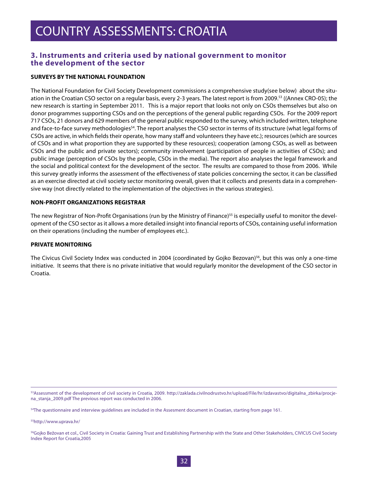#### **3. Instruments and criteria used by national government to monitor the development of the sector**

#### **SURVEYS BY THE NATIONAL FOUNDATION**

The National Foundation for Civil Society Development commissions a comprehensive study(see below) about the situation in the Croatian CSO sector on a regular basis, every 2-3 years. The latest report is from 2009.<sup>53</sup> ((Annex CRO-05); the new research is starting in September 2011. This is a major report that looks not only on CSOs themselves but also on donor programmes supporting CSOs and on the perceptions of the general public regarding CSOs. For the 2009 report 717 CSOs, 21 donors and 629 members of the general public responded to the survey, which included written, telephone and face-to-face survey methodologies<sup>54</sup>. The report analyses the CSO sector in terms of its structure (what legal forms of CSOs are active, in which fields their operate, how many staff and volunteers they have etc.); resources (which are sources of CSOs and in what proportion they are supported by these resources); cooperation (among CSOs, as well as between CSOs and the public and private sectors); community involvement (participation of people in activities of CSOs); and public image (perception of CSOs by the people, CSOs in the media). The report also analyses the legal framework and the social and political context for the development of the sector. The results are compared to those from 2006. While this survey greatly informs the assessment of the effectiveness of state policies concerning the sector, it can be classified as an exercise directed at civil society sector monitoring overall, given that it collects and presents data in a comprehensive way (not directly related to the implementation of the objectives in the various strategies).

#### **NON-PROFIT ORGANIZATIONS REGISTRAR**

The new Registrar of Non-Profit Organisations (run by the Ministry of Finance)<sup>55</sup> is especially useful to monitor the development of the CSO sector as it allows a more detailed insight into financial reports of CSOs, containing useful information on their operations (including the number of employees etc.).

#### **PRIVATE MONITORING**

The Civicus Civil Society Index was conducted in 2004 (coordinated by Gojko Bezovan)<sup>56</sup>, but this was only a one-time initiative. It seems that there is no private initiative that would regularly monitor the development of the CSO sector in Croatia.

53Assessment of the development of civil society in Croatia, 2009. http://zaklada.civilnodrustvo.hr/upload/File/hr/izdavastvo/digitalna\_zbirka/procjena\_stanja\_2009.pdf The previous report was conducted in 2006.

<sup>54</sup>The questionnaire and interview guidelines are included in the Assesment document in Croatian, starting from page 161.

55http://www.uprava.hr/

<sup>56</sup>Gojko Bežovan et col., Civil Society in Croatia: Gaining Trust and Establishing Partnership with the State and Other Stakeholders, CIVICUS Civil Society Index Report for Croatia,2005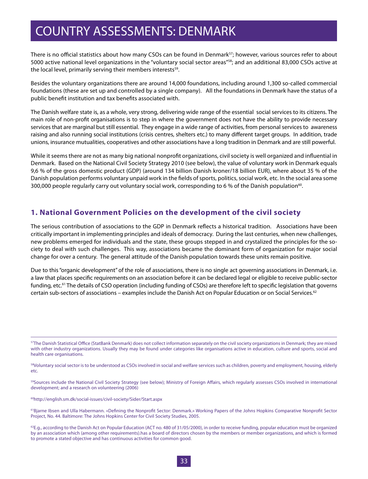## COUNTRY ASSESSMENTS: DENMARK

There is no official statistics about how many CSOs can be found in Denmark<sup>57</sup>; however, various sources refer to about 5000 active national level organizations in the "voluntary social sector areas"58; and an additional 83,000 CSOs active at the local level, primarily serving their members interests<sup>59</sup>.

Besides the voluntary organizations there are around 14,000 foundations, including around 1,300 so-called commercial foundations (these are set up and controlled by a single company). All the foundations in Denmark have the status of a public benefit institution and tax benefits associated with.

The Danish welfare state is, as a whole, very strong, delivering wide range of the essential social services to its citizens. The main role of non-profit organisations is to step in where the government does not have the ability to provide necessary services that are marginal but still essential. They engage in a wide range of activities, from personal services to awareness raising and also running social institutions (crisis centres, shelters etc.) to many different target groups. In addition, trade unions, insurance mutualities, cooperatives and other associations have a long tradition in Denmark and are still powerful.

While it seems there are not as many big national nonprofit organizations, civil society is well organized and influential in Denmark. Based on the National Civil Society Strategy 2010 (see below), the value of voluntary work in Denmark equals 9,6 % of the gross domestic product (GDP) (around 134 billion Danish kroner/18 billion EUR), where about 35 % of the Danish population performs voluntary unpaid work in the fields of sports, politics, social work, etc. In the social area some 300,000 people regularly carry out voluntary social work, corresponding to 6 % of the Danish population<sup>60</sup>.

#### **1. National Government Policies on the development of the civil society**

The serious contribution of associations to the GDP in Denmark reflects a historical tradition. Associations have been critically important in implementing principles and ideals of democracy. During the last centuries, when new challenges, new problems emerged for individuals and the state, these groups stepped in and crystalized the principles for the society to deal with such challenges. This way, associations became the dominant form of organization for major social change for over a century. The general attitude of the Danish population towards these units remain positive.

Due to this "organic development" of the role of associations, there is no single act governing associations in Denmark, i.e. a law that places specific requirements on an association before it can be declared legal or eligible to receive public-sector funding, etc.<sup>61</sup> The details of CSO operation (including funding of CSOs) are therefore left to specific legislation that governs certain sub-sectors of associations – examples include the Danish Act on Popular Education or on Social Services.<sup>62</sup>

<sup>59</sup>Sources include the National Civil Society Strategy (see below); Ministry of Foreign Affairs, which regularly assesses CSOs involved in international development; and a research on volunteering (2006)

60http://english.sm.dk/social-issues/civil-society/Sider/Start.aspx

<sup>&</sup>lt;sup>57</sup>The Danish Statistical Office (StatBank Denmark) does not collect information separately on the civil society organizations in Denmark; they are mixed with other industry organizations. Usually they may be found under categories like organisations active in education, culture and sports, social and health care organisations.

<sup>&</sup>lt;sup>58</sup>Voluntary social sector is to be understood as CSOs involved in social and welfare services such as children, poverty and employment, housing, elderly etc.

<sup>61</sup>Bjarne Ibsen and Ulla Habermann. «Defining the Nonprofit Sector: Denmark.» Working Papers of the Johns Hopkins Comparative Nonprofit Sector Project, No. 44. Baltimore: The Johns Hopkins Center for Civil Society Studies, 2005.

<sup>&</sup>lt;sup>62</sup>E.g., according to the Danish Act on Popular Education (ACT no. 480 of 31/05/2000), in order to receive funding, popular education must be organized by an association which (among other requirements).has a board of directors chosen by the members or member organizations, and which is formed to promote a stated objective and has continuous activities for common good.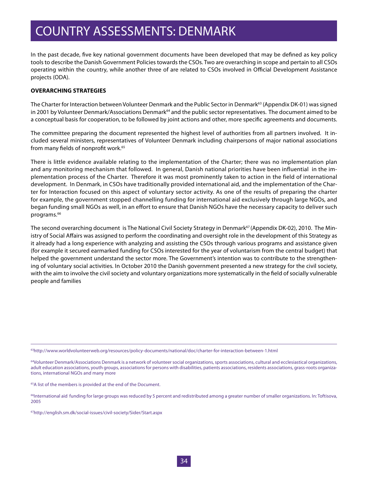## COUNTRY ASSESSMENTS: DENMARK

In the past decade, five key national government documents have been developed that may be defined as key policy tools to describe the Danish Government Policies towards the CSOs. Two are overarching in scope and pertain to all CSOs operating within the country, while another three of are related to CSOs involved in Official Development Assistance projects (ODA).

#### **OVERARCHING STRATEGIES**

The Charter for Interaction between Volunteer Denmark and the Public Sector in Denmark<sup>63</sup> (Appendix DK-01) was signed in 2001 by Volunteer Denmark/Associations Denmark<sup>64</sup> and the public sector representatives. The document aimed to be a conceptual basis for cooperation, to be followed by joint actions and other, more specific agreements and documents.

The committee preparing the document represented the highest level of authorities from all partners involved. It included several ministers, representatives of Volunteer Denmark including chairpersons of major national associations from many fields of nonprofit work.<sup>65</sup>

There is little evidence available relating to the implementation of the Charter; there was no implementation plan and any monitoring mechanism that followed. In general, Danish national priorities have been influential in the implementation process of the Charter. Therefore it was most prominently taken to action in the field of international development. In Denmark, in CSOs have traditionally provided international aid, and the implementation of the Charter for Interaction focused on this aspect of voluntary sector activity. As one of the results of preparing the charter for example, the government stopped channelling funding for international aid exclusively through large NGOs, and began funding small NGOs as well, in an effort to ensure that Danish NGOs have the necessary capacity to deliver such programs.<sup>66</sup>

The second overarching document is The National Civil Society Strategy in Denmark<sup>67</sup> (Appendix DK-02), 2010. The Ministry of Social Affairs was assigned to perform the coordinating and oversight role in the development of this Strategy as it already had a long experience with analyzing and assisting the CSOs through various programs and assistance given (for example it secured earmarked funding for CSOs interested for the year of voluntarism from the central budget) that helped the government understand the sector more. The Government's intention was to contribute to the strengthening of voluntary social activities. In October 2010 the Danish government presented a new strategy for the civil society, with the aim to involve the civil society and voluntary organizations more systematically in the field of socially vulnerable people and families

63http://www.worldvolunteerweb.org/resources/policy-documents/national/doc/charter-for-interaction-between-1.html

64Volunteer Denmark/Associations Denmark is a network of volunteer social organizations, sports associations, cultural and ecclesiastical organizations, adult education associations, youth groups, associations for persons with disabilities, patients associations, residents associations, grass-roots organizations, international NGOs and many more

<sup>65</sup>A list of the members is provided at the end of the Document.

<sup>66</sup>International aid funding for large groups was reduced by 5 percent and redistributed among a greater number of smaller organizations. In: Toftisova, 2005

67http://english.sm.dk/social-issues/civil-society/Sider/Start.aspx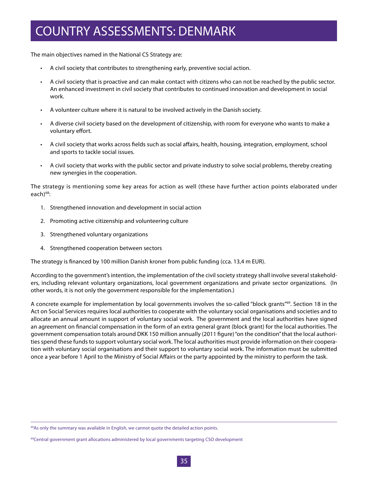## COUNTRY ASSESSMENTS: DENMARK

The main objectives named in the National CS Strategy are:

- • A civil society that contributes to strengthening early, preventive social action.
- A civil society that is proactive and can make contact with citizens who can not be reached by the public sector. An enhanced investment in civil society that contributes to continued innovation and development in social work.
- A volunteer culture where it is natural to be involved actively in the Danish society.
- A diverse civil society based on the development of citizenship, with room for everyone who wants to make a voluntary effort.
- • A civil society that works across fields such as social affairs, health, housing, integration, employment, school and sports to tackle social issues.
- • A civil society that works with the public sector and private industry to solve social problems, thereby creating new synergies in the cooperation.

The strategy is mentioning some key areas for action as well (these have further action points elaborated under each)<sup>68</sup>:

- 1. Strengthened innovation and development in social action
- 2. Promoting active citizenship and volunteering culture
- 3. Strengthened voluntary organizations
- 4. Strengthened cooperation between sectors

The strategy is financed by 100 million Danish kroner from public funding (cca. 13,4 m EUR).

According to the government's intention, the implementation of the civil society strategy shall involve several stakeholders, including relevant voluntary organizations, local government organizations and private sector organizations. (In other words, it is not only the government responsible for the implementation.)

A concrete example for implementation by local governments involves the so-called "block grants"<sup>69</sup>. Section 18 in the Act on Social Services requires local authorities to cooperate with the voluntary social organisations and societies and to allocate an annual amount in support of voluntary social work. The government and the local authorities have signed an agreement on financial compensation in the form of an extra general grant (block grant) for the local authorities. The government compensation totals around DKK 150 million annually (2011 figure) "on the condition" that the local authorities spend these funds to support voluntary social work. The local authorities must provide information on their cooperation with voluntary social organisations and their support to voluntary social work. The information must be submitted once a year before 1 April to the Ministry of Social Affairs or the party appointed by the ministry to perform the task.

<sup>&</sup>lt;sup>68</sup>As only the summary was available in English, we cannot quote the detailed action points.

<sup>69</sup>Central government grant allocations administered by local governments targeting CSO development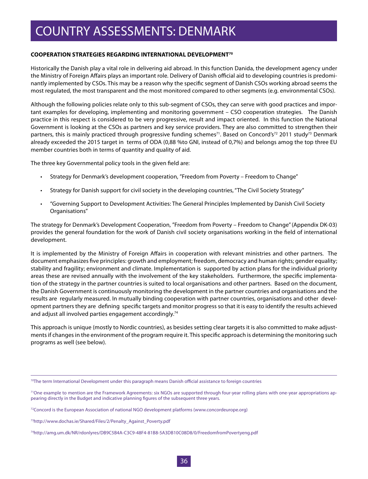#### **COOPERATION STRATEGIES REGARDING INTERNATIONAL DEVELOPMENT70**

Historically the Danish play a vital role in delivering aid abroad. In this function Danida, the development agency under the Ministry of Foreign Affairs plays an important role. Delivery of Danish official aid to developing countries is predominantly implemented by CSOs. This may be a reason why the specific segment of Danish CSOs working abroad seems the most regulated, the most transparent and the most monitored compared to other segments (e.g. environmental CSOs).

Although the following policies relate only to this sub-segment of CSOs, they can serve with good practices and important examples for developing, implementing and monitoring government – CSO cooperation strategies. The Danish practice in this respect is considered to be very progressive, result and impact oriented. In this function the National Government is looking at the CSOs as partners and key service providers. They are also committed to strengthen their partners, this is mainly practiced through progressive funding schemes<sup>71</sup>. Based on Concord's<sup>72</sup> 2011 study<sup>73</sup> Denmark already exceeded the 2015 target in terms of ODA (0,88 %to GNI, instead of 0,7%) and belongs amog the top three EU member countries both in terms of quantity and quality of aid.

The three key Governmental policy tools in the given field are:

- Strategy for Denmark's development cooperation, "Freedom from Poverty Freedom to Change"
- Strategy for Danish support for civil society in the developing countries, "The Civil Society Strategy"
- • "Governing Support to Development Activities: The General Principles Implemented by Danish Civil Society Organisations"

The strategy for Denmark's Development Cooperation, "Freedom from Poverty – Freedom to Change" (Appendix DK-03) provides the general foundation for the work of Danish civil society organisations working in the field of international development.

It is implemented by the Ministry of Foreign Affairs in cooperation with relevant ministries and other partners. The document emphasizes five principles: growth and employment; freedom, democracy and human rights; gender equality; stability and fragility; environment and climate. Implementation is supported by action plans for the individual priority areas these are revised annually with the involvement of the key stakeholders. Furthermore, the specific implementation of the strategy in the partner countries is suited to local organisations and other partners. Based on the document, the Danish Government is continuously monitoring the development in the partner countries and organisations and the results are regularly measured. In mutually binding cooperation with partner countries, organisations and other development partners they are defining specific targets and monitor progress so that it is easy to identify the results achieved and adjust all involved parties engagement accordingly.<sup>74</sup>

This approach is unique (mostly to Nordic countries), as besides setting clear targets it is also committed to make adjustments if changes in the environment of the program require it. This specific approach is determining the monitoring such programs as well (see below).

 $70$ The term International Development under this paragraph means Danish official assistance to foreign countries

<sup>71</sup>One example to mention are the Framework Agreements: six NGOs are supported through four-year rolling plans with one-year appropriations appearing directly in the Budget and indicative planning figures of the subsequent three years.

<sup>72</sup>Concord is the European Association of national NGO development platforms (www.concordeurope.org)

<sup>73</sup>http://www.dochas.ie/Shared/Files/2/Penalty\_Against\_Poverty.pdf

<sup>74</sup>http://amg.um.dk/NR/rdonlyres/DB9C5B4A-C3C9-48F4-81B8-5A3DB10C08D8/0/FreedomfromPovertyeng.pdf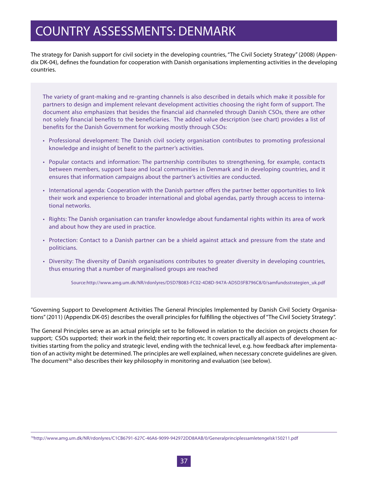The strategy for Danish support for civil society in the developing countries, "The Civil Society Strategy" (2008) (Appendix DK-04), defines the foundation for cooperation with Danish organisations implementing activities in the developing countries.

The variety of grant-making and re-granting channels is also described in details which make it possible for partners to design and implement relevant development activities choosing the right form of support. The document also emphasizes that besides the financial aid channeled through Danish CSOs, there are other not solely financial benefits to the beneficiaries. The added value description (see chart) provides a list of benefits for the Danish Government for working mostly through CSOs:

- Professional development: The Danish civil society organisation contributes to promoting professional knowledge and insight of benefit to the partner's activities.
- • Popular contacts and information: The partnership contributes to strengthening, for example, contacts between members, support base and local communities in Denmark and in developing countries, and it ensures that information campaigns about the partner's activities are conducted.
- • International agenda: Cooperation with the Danish partner offers the partner better opportunities to link their work and experience to broader international and global agendas, partly through access to international networks.
- • Rights: The Danish organisation can transfer knowledge about fundamental rights within its area of work and about how they are used in practice.
- • Protection: Contact to a Danish partner can be a shield against attack and pressure from the state and politicians.
- • Diversity: The diversity of Danish organisations contributes to greater diversity in developing countries, thus ensuring that a number of marginalised groups are reached

Source:http://www.amg.um.dk/NR/rdonlyres/D5D7B083-FC02-4D8D-947A-AD5D3FB796C8/0/samfundsstrategien\_uk.pdf

"Governing Support to Development Activities The General Principles Implemented by Danish Civil Society Organisations" (2011) (Appendix DK-05) describes the overall principles for fulfilling the objectives of "The Civil Society Strategy".

The General Principles serve as an actual principle set to be followed in relation to the decision on projects chosen for support; CSOs supported; their work in the field; their reporting etc. It covers practically all aspects of development activities starting from the policy and strategic level, ending with the technical level, e.g. how feedback after implementation of an activity might be determined. The principles are well explained, when necessary concrete guidelines are given. The document<sup>76</sup> also describes their key philosophy in monitoring and evaluation (see below).

<sup>76</sup>http://www.amg.um.dk/NR/rdonlyres/C1CB6791-627C-46A6-9099-942972DD8AAB/0/Generalprinciplessamletengelsk150211.pdf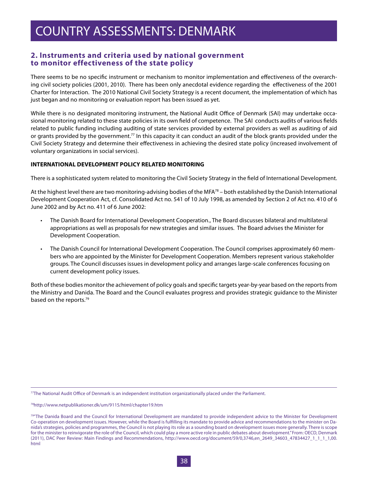### **2. Instruments and criteria used by national government to monitor effectiveness of the state policy**

There seems to be no specific instrument or mechanism to monitor implementation and effectiveness of the overarching civil society policies (2001, 2010). There has been only anecdotal evidence regarding the effectiveness of the 2001 Charter for Interaction. The 2010 National Civil Society Strategy is a recent document, the implementation of which has just began and no monitoring or evaluation report has been issued as yet.

While there is no designated monitoring instrument, the National Audit Office of Denmark (SAI) may undertake occasional monitoring related to these state policies in its own field of competence. The SAI conducts audits of various fields related to public funding including auditing of state services provided by external providers as well as auditing of aid or grants provided by the government.<sup>77</sup> In this capacity it can conduct an audit of the block grants provided under the Civil Society Strategy and determine their effectiveness in achieving the desired state policy (increased involvement of voluntary organizations in social services).

#### **INTERNATIONAL DEVELOPMENT POLICY RELATED MONITORING**

There is a sophisticated system related to monitoring the Civil Society Strategy in the field of International Development.

At the highest level there are two monitoring-advising bodies of the MFA<sup>78</sup> – both established by the Danish International Development Cooperation Act, cf. Consolidated Act no. 541 of 10 July 1998, as amended by Section 2 of Act no. 410 of 6 June 2002 and by Act no. 411 of 6 June 2002:

- The Danish Board for International Development Cooperation., The Board discusses bilateral and multilateral appropriations as well as proposals for new strategies and similar issues. The Board advises the Minister for Development Cooperation.
- The Danish Council for International Development Cooperation. The Council comprises approximately 60 members who are appointed by the Minister for Development Cooperation. Members represent various stakeholder groups. The Council discusses issues in development policy and arranges large-scale conferences focusing on current development policy issues.

Both of these bodies monitor the achievement of policy goals and specific targets year-by-year based on the reports from the Ministry and Danida. The Board and the Council evaluates progress and provides strategic guidance to the Minister based on the reports.<sup>79</sup>

77The National Audit Office of Denmark is an independent institution organizationally placed under the Parliament.

78http://www.netpublikationer.dk/um/9115/html/chapter19.htm

<sup>&</sup>lt;sup>79</sup>The Danida Board and the Council for International Development are mandated to provide independent advice to the Minister for Development Co-operation on development issues. However, while the Board is fulfilling its mandate to provide advice and recommendations to the minister on Danida's strategies, policies and programmes, the Council is not playing its role as a sounding board on development issues more generally. There is scope for the minister to reinvigorate the role of the Council, which could play a more active role in public debates about development." From: OECD, Denmark (2011), DAC Peer Review: Main Findings and Recommendations, http://www.oecd.org/document/59/0,3746,en\_2649\_34603\_47834427\_1\_1\_1\_1,00. html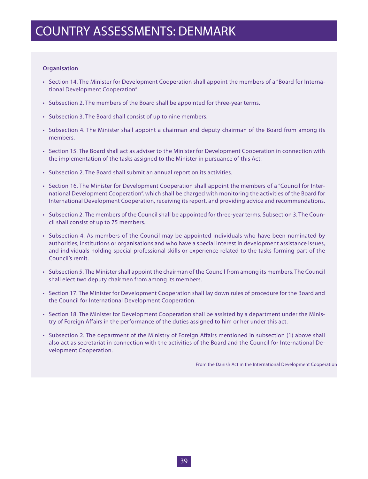#### **Organisation**

- • Section 14. The Minister for Development Cooperation shall appoint the members of a "Board for International Development Cooperation".
- • Subsection 2. The members of the Board shall be appointed for three-year terms.
- • Subsection 3. The Board shall consist of up to nine members.
- • Subsection 4. The Minister shall appoint a chairman and deputy chairman of the Board from among its members.
- • Section 15. The Board shall act as adviser to the Minister for Development Cooperation in connection with the implementation of the tasks assigned to the Minister in pursuance of this Act.
- Subsection 2. The Board shall submit an annual report on its activities.
- • Section 16. The Minister for Development Cooperation shall appoint the members of a "Council for International Development Cooperation", which shall be charged with monitoring the activities of the Board for International Development Cooperation, receiving its report, and providing advice and recommendations.
- • Subsection 2. The members of the Council shall be appointed for three-year terms. Subsection 3. The Council shall consist of up to 75 members.
- • Subsection 4. As members of the Council may be appointed individuals who have been nominated by authorities, institutions or organisations and who have a special interest in development assistance issues, and individuals holding special professional skills or experience related to the tasks forming part of the Council's remit.
- • Subsection 5. The Minister shall appoint the chairman of the Council from among its members. The Council shall elect two deputy chairmen from among its members.
- • Section 17. The Minister for Development Cooperation shall lay down rules of procedure for the Board and the Council for International Development Cooperation.
- • Section 18. The Minister for Development Cooperation shall be assisted by a department under the Ministry of Foreign Affairs in the performance of the duties assigned to him or her under this act.
- • Subsection 2. The department of the Ministry of Foreign Affairs mentioned in subsection (1) above shall also act as secretariat in connection with the activities of the Board and the Council for International Development Cooperation.

From the Danish Act in the International Development Cooperation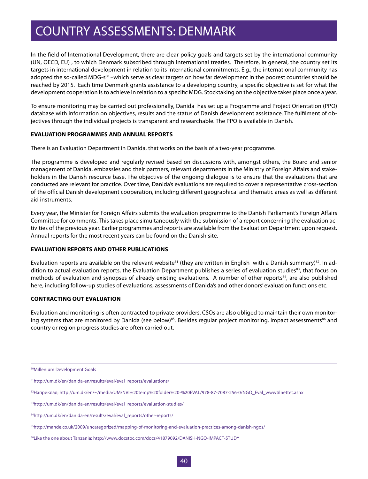In the field of International Development, there are clear policy goals and targets set by the international community (UN, OECD, EU) , to which Denmark subscribed through international treaties. Therefore, in general, the country set its targets in international development in relation to its international commitments. E.g., the international community has adopted the so-called MDG-s<sup>80</sup> –which serve as clear targets on how far development in the poorest countries should be reached by 2015. Each time Denmark grants assistance to a developing country, a specific objective is set for what the development cooperation is to achieve in relation to a specific MDG. Stocktaking on the objective takes place once a year.

To ensure monitoring may be carried out professionally, Danida has set up a Programme and Project Orientation (PPO) database with information on objectives, results and the status of Danish development assistance. The fulfilment of objectives through the individual projects is transparent and researchable. The PPO is available in Danish.

#### **EVALUATION PROGRAMMES AND ANNUAL REPORTS**

There is an Evaluation Department in Danida, that works on the basis of a two-year programme.

The programme is developed and regularly revised based on discussions with, amongst others, the Board and senior management of Danida, embassies and their partners, relevant departments in the Ministry of Foreign Affairs and stakeholders in the Danish resource base. The objective of the ongoing dialogue is to ensure that the evaluations that are conducted are relevant for practice. Over time, Danida's evaluations are required to cover a representative cross-section of the official Danish development cooperation, including different geographical and thematic areas as well as different aid instruments.

Every year, the Minister for Foreign Affairs submits the evaluation programme to the Danish Parliament's Foreign Affairs Committee for comments. This takes place simultaneously with the submission of a report concerning the evaluation activities of the previous year. Earlier programmes and reports are available from the Evaluation Department upon request. Annual reports for the most recent years can be found on the Danish site.

#### **EVALUATION REPORTS AND OTHER PUBLICATIONS**

Evaluation reports are available on the relevant website<sup>81</sup> (they are written in English with a Danish summary)<sup>82</sup>. In addition to actual evaluation reports, the Evaluation Department publishes a series of evaluation studies<sup>83</sup>, that focus on methods of evaluation and synopses of already existing evaluations. A number of other reports<sup>84</sup>, are also published here, including follow-up studies of evaluations, assessments of Danida's and other donors' evaluation functions etc.

#### **CONTRACTING OUT EVALUATION**

Evaluation and monitoring is often contracted to private providers. CSOs are also obliged to maintain their own monitoring systems that are monitored by Danida (see below)<sup>85</sup>. Besides regular project monitoring, impact assessments<sup>86</sup> and country or region progress studies are often carried out.

<sup>80</sup>Millenium Development Goals

<sup>81</sup>http://um.dk/en/danida-en/results/eval/eval\_reports/evaluations/

<sup>82</sup>Наприклад: http://um.dk/en/~/media/UM/NVI%20temp%20folder%20-%20EVAL/978-87-7087-256-0/NGO\_Eval\_wwwtilnettet.ashx

<sup>83</sup>http://um.dk/en/danida-en/results/eval/eval\_reports/evaluation-studies/

<sup>84</sup>http://um.dk/en/danida-en/results/eval/eval\_reports/other-reports/

<sup>85</sup>http://mande.co.uk/2009/uncategorized/mapping-of-monitoring-and-evaluation-practices-among-danish-ngos/

<sup>86</sup>Like the one about Tanzania: http://www.docstoc.com/docs/41879092/DANISH-NGO-IMPACT-STUDY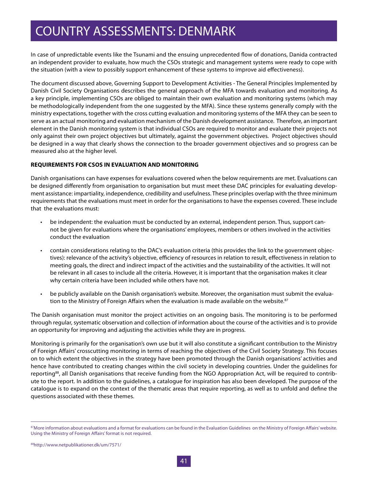In case of unpredictable events like the Tsunami and the ensuing unprecedented flow of donations, Danida contracted an independent provider to evaluate, how much the CSOs strategic and management systems were ready to cope with the situation (with a view to possibly support enhancement of these systems to improve aid effectiveness).

The document discussed above, Governing Support to Development Activities - The General Principles Implemented by Danish Civil Society Organisations describes the general approach of the MFA towards evaluation and monitoring. As a key principle, implementing CSOs are obliged to maintain their own evaluation and monitoring systems (which may be methodologically independent from the one suggested by the MFA). Since these systems generally comply with the ministry expectations, together with the cross cutting evaluation and monitoring systems of the MFA they can be seen to serve as an actual monitoring and evaluation mechanism of the Danish development assistance. Therefore, an important element in the Danish monitoring system is that individual CSOs are required to monitor and evaluate their projects not only against their own project objectives but ultimately, against the government objectives. Project objectives should be designed in a way that clearly shows the connection to the broader government objectives and so progress can be measured also at the higher level.

#### **REQUIREMENTS FOR CSOS IN EVALUATION AND MONITORING**

Danish organisations can have expenses for evaluations covered when the below requirements are met. Evaluations can be designed differently from organisation to organisation but must meet these DAC principles for evaluating development assistance: impartiality, independence, credibility and usefulness. These principles overlap with the three minimum requirements that the evaluations must meet in order for the organisations to have the expenses covered. These include that the evaluations must:

- • be independent: the evaluation must be conducted by an external, independent person. Thus, support cannot be given for evaluations where the organisations' employees, members or others involved in the activities conduct the evaluation
- $\cdot$  contain considerations relating to the DAC's evaluation criteria (this provides the link to the government objectives): relevance of the activity's objective, efficiency of resources in relation to result, effectiveness in relation to meeting goals, the direct and indirect impact of the activities and the sustainability of the activities. It will not be relevant in all cases to include all the criteria. However, it is important that the organisation makes it clear why certain criteria have been included while others have not.
- be publicly available on the Danish organisation's website. Moreover, the organisation must submit the evaluation to the Ministry of Foreign Affairs when the evaluation is made available on the website.<sup>87</sup>

The Danish organisation must monitor the project activities on an ongoing basis. The monitoring is to be performed through regular, systematic observation and collection of information about the course of the activities and is to provide an opportunity for improving and adjusting the activities while they are in progress.

Monitoring is primarily for the organisation's own use but it will also constitute a significant contribution to the Ministry of Foreign Affairs' crosscutting monitoring in terms of reaching the objectives of the Civil Society Strategy. This focuses on to which extent the objectives in the strategy have been promoted through the Danish organisations' activities and hence have contributed to creating changes within the civil society in developing countries. Under the guidelines for reporting<sup>88</sup>, all Danish organisations that receive funding from the NGO Appropriation Act, will be required to contribute to the report. In addition to the guidelines, a catalogue for inspiration has also been developed. The purpose of the catalogue is to expand on the context of the thematic areas that require reporting, as well as to unfold and define the questions associated with these themes.

<sup>87</sup>More information about evaluations and a format for evaluations can be found in the Evaluation Guidelines on the Ministry of Foreign Affairs' website. Using the Ministry of Foreign Affairs' format is not required.

<sup>88</sup>http://www.netpublikationer.dk/um/7571/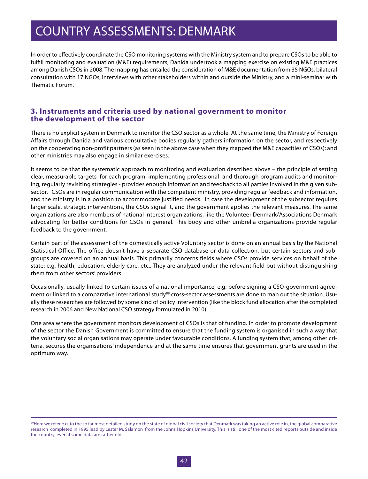In order to effectively coordinate the CSO monitoring systems with the Ministry system and to prepare CSOs to be able to fulfill monitoring and evaluation (M&E) requirements, Danida undertook a mapping exercise on existing M&E practices among Danish CSOs in 2008. The mapping has entailed the consideration of M&E documentation from 35 NGOs, bilateral consultation with 17 NGOs, interviews with other stakeholders within and outside the Ministry, and a mini-seminar with Thematic Forum.

### **3. Instruments and criteria used by national government to monitor the development of the sector**

There is no explicit system in Denmark to monitor the CSO sector as a whole. At the same time, the Ministry of Foreign Affairs through Danida and various consultative bodies regularly gathers information on the sector, and respectively on the cooperating non-profit partners (as seen in the above case when they mapped the M&E capacities of CSOs); and other ministries may also engage in similar exercises.

It seems to be that the systematic approach to monitoring and evaluation described above – the principle of setting clear, measurable targets for each program, implementing professional and thorough program audits and monitoring, regularly revisiting strategies - provides enough information and feedback to all parties involved in the given subsector. CSOs are in regular communication with the competent ministry, providing regular feedback and information, and the ministry is in a position to accommodate justified needs. In case the development of the subsector requires larger scale, strategic interventions, the CSOs signal it, and the government applies the relevant measures. The same organizations are also members of national interest organizations, like the Volunteer Denmark/Associations Denmark advocating for better conditions for CSOs in general. This body and other umbrella organizations provide regular feedback to the government.

Certain part of the assessment of the domestically active Voluntary sector is done on an annual basis by the National Statistical Office. The office doesn't have a separate CSO database or data collection, but certain sectors and subgroups are covered on an annual basis. This primarily concerns fields where CSOs provide services on behalf of the state: e.g. health, education, elderly care, etc.. They are analyzed under the relevant field but without distinguishing them from other sectors' providers.

Occasionally, usually linked to certain issues of a national importance, e.g. before signing a CSO-government agreement or linked to a comparative international study<sup>89</sup> cross-sector assessments are done to map out the situation. Usually these researches are followed by some kind of policy intervention (like the block fund allocation after the completed research in 2006 and New National CSO strategy formulated in 2010).

One area where the government monitors development of CSOs is that of funding. In order to promote development of the sector the Danish Government is committed to ensure that the funding system is organised in such a way that the voluntary social organisations may operate under favourable conditions. A funding system that, among other criteria, secures the organisations' independence and at the same time ensures that government grants are used in the optimum way.

<sup>89</sup>Here we refer e.g. to the so far most detailed study on the state of global civil society that Denmark was taking an active role in, the global comparative research completed in 1995 lead by Lester M. Salamon from the Johns Hopkins University. This is still one of the most cited reports outside and inside the country, even if some data are rather old.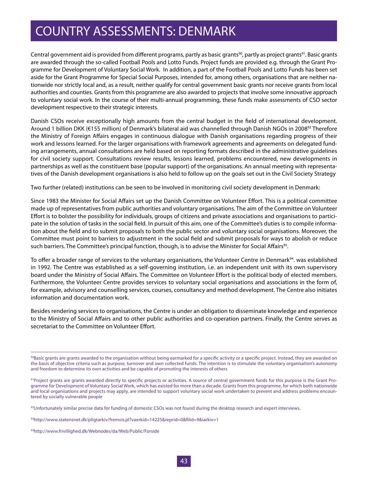Central government aid is provided from different programs, partly as basic grants<sup>90</sup>, partly as project grants<sup>91</sup>. Basic grants are awarded through the so-called Football Pools and Lotto Funds. Project funds are provided e.g. through the Grant Programme for Development of Voluntary Social Work. In addition, a part of the Football Pools and Lotto Funds has been set aside for the Grant Programme for Special Social Purposes, intended for, among others, organisations that are neither nationwide nor strictly local and, as a result, neither qualify for central government basic grants nor receive grants from local authorities and counties. Grants from this programme are also awarded to projects that involve some innovative approach to voluntary social work. In the course of their multi-annual programming, these funds make assessments of CSO sector development respective to their strategic interests.

Danish CSOs receive exceptionally high amounts from the central budget in the field of international development. Around 1 billion DKK (€155 million) of Denmark's bilateral aid was channelled through Danish NGOs in 2008<sup>92</sup> Therefore the Ministry of Foreign Affairs engages in continuous dialogue with Danish organisations regarding progress of their work and lessons learned. For the larger organisations with framework agreements and agreements on delegated funding arrangements, annual consultations are held based on reporting formats described in the administrative guidelines for civil society support. Consultations review results, lessons learned, problems encountered, new developments in partnerships as well as the constituent base (popular support) of the organisations. An annual meeting with representatives of the Danish development organisations is also held to follow up on the goals set out in the Civil Society Strategy

Two further (related) institutions can be seen to be involved in monitoring civil society development in Denmark:

Since 1983 the Minister for Social Affairs set up the Danish Committee on Volunteer Effort. This is a political committee made up of representatives from public authorities and voluntary organisations. The aim of the Committee on Volunteer Effort is to bolster the possibility for individuals, groups of citizens and private associations and organisations to participate in the solution of tasks in the social field. In pursuit of this aim, one of the Committee's duties is to compile information about the field and to submit proposals to both the public sector and voluntary social organisations. Moreover, the Committee must point to barriers to adjustment in the social field and submit proposals for ways to abolish or reduce such barriers. The Committee's principal function, though, is to advise the Minister for Social Affairs<sup>93</sup>.

To offer a broader range of services to the voluntary organisations, the Volunteer Centre in Denmark<sup>94</sup>. was established in 1992. The Centre was established as a self-governing institution, i.e. an independent unit with its own supervisory board under the Ministry of Social Affairs. The Committee on Volunteer Effort is the political body of elected members. Furthermore, the Volunteer Centre provides services to voluntary social organisations and associations in the form of, for example, advisory and counselling services, courses, consultancy and method development. The Centre also initiates information and documentation work.

Besides rendering services to organisations, the Centre is under an obligation to disseminate knowledge and experience to the Ministry of Social Affairs and to other public authorities and co-operation partners. Finally, the Centre serves as secretariat to the Committee on Volunteer Effort.

 $92$ Unfortunately similar precise data for funding of domestic CSOs was not found during the desktop research and expert interviews.

<sup>93</sup>http://www.statensnet.dk/pligtarkiv/fremvis.pl?vaerkid=14225&reprid=0&filid=9&iarkiv=1

<sup>&</sup>lt;sup>90</sup>Basic grants are grants awarded to the organisation without being earmarked for a specific activity or a specific project. Instead, they are awarded on the basis of objective criteria such as purpose, turnover and own collected funds. The intention is to stimulate the voluntary organisation's autonomy and freedom to determine its own activities and be capable of promoting the interests of others

<sup>91</sup>Project grants are grants awarded directly to specific projects or activities. A source of central government funds for this purpose is the Grant Programme for Development of Voluntary Social Work, which has existed for more than a decade. Grants from this programme, for which both nationwide and local organisations and projects may apply, are intended to support voluntary social work undertaken to prevent and address problems encountered by socially vulnerable people

<sup>94</sup>http://www.frivillighed.dk/Webnodes/da/Web/Public/Forside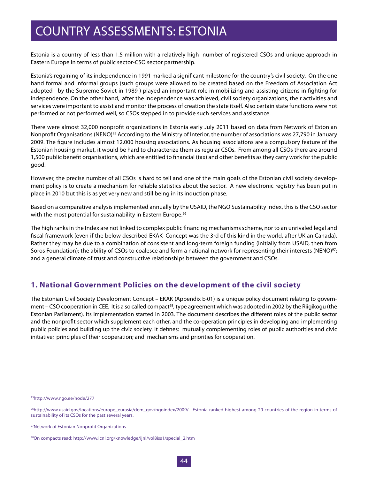Estonia is a country of less than 1.5 million with a relatively high number of registered CSOs and unique approach in Eastern Europe in terms of public sector-CSO sector partnership.

Estonia's regaining of its independence in 1991 marked a significant milestone for the country's civil society. On the one hand formal and informal groups (such groups were allowed to be created based on the Freedom of Association Act adopted by the Supreme Soviet in 1989 ) played an important role in mobilizing and assisting citizens in fighting for independence. On the other hand, after the independence was achieved, civil society organizations, their activities and services were important to assist and monitor the process of creation the state itself. Also certain state functions were not performed or not performed well, so CSOs stepped in to provide such services and assistance.

There were almost 32,000 nonprofit organizations in Estonia early July 2011 based on data from Network of Estonian Nonprofit Organisations (NENO)<sup>95</sup> According to the Ministry of Interior, the number of associations was 27,790 in January 2009. The figure includes almost 12,000 housing associations. As housing associations are a compulsory feature of the Estonian housing market, it would be hard to characterize them as regular CSOs. From among all CSOs there are around 1,500 public benefit organisations, which are entitled to financial (tax) and other benefits as they carry work for the public good.

However, the precise number of all CSOs is hard to tell and one of the main goals of the Estonian civil society development policy is to create a mechanism for reliable statistics about the sector. A new electronic registry has been put in place in 2010 but this is as yet very new and still being in its induction phase.

Based on a comparative analysis implemented annually by the USAID, the NGO Sustainability Index, this is the CSO sector with the most potential for sustainability in Eastern Europe.<sup>96</sup>

The high ranks in the Index are not linked to complex public financing mechanisms scheme, nor to an unrivaled legal and fiscal framework (even if the below described EKAK Concept was the 3rd of this kind in the world, after UK an Canada). Rather they may be due to a combination of consistent and long-term foreign funding (initially from USAID, then from Soros Foundation); the ability of CSOs to coalesce and form a national network for representing their interests (NENO)<sup>97</sup>; and a general climate of trust and constructive relationships between the government and CSOs.

### **1. National Government Policies on the development of the civil society**

The Estonian Civil Society Development Concept – EKAK (Appendix E-01) is a unique policy document relating to government – CSO cooperation in CEE. It is a so called compact<sup>98</sup>, type agreement which was adopted in 2002 by the Riigikogu (the Estonian Parliament). Its implementation started in 2003. The document describes the different roles of the public sector and the nonprofit sector which supplement each other, and the co-operation principles in developing and implementing public policies and building up the civic society. It defines: mutually complementing roles of public authorities and civic initiative; principles of their cooperation; and mechanisms and priorities for cooperation.

95http://www.ngo.ee/node/277

<sup>96</sup>http://www.usaid.gov/locations/europe\_eurasia/dem\_gov/ngoindex/2009/. Estonia ranked highest among 29 countries of the region in terms of sustainability of its CSOs for the past several years.

<sup>97</sup>Network of Estonian Nonprofit Organizations

<sup>98</sup>On compacts read: http://www.icnl.org/knowledge/ijnl/vol8iss1/special\_2.htm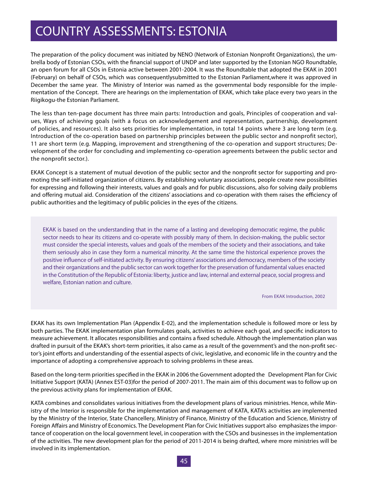The preparation of the policy document was initiated by NENO (Network of Estonian Nonprofit Organizations), the umbrella body of Estonian CSOs, with the financial support of UNDP and later supported by the Estonian NGO Roundtable, an open forum for all CSOs in Estonia active between 2001-2004. It was the Roundtable that adopted the EKAK in 2001 (February) on behalf of CSOs, which was consequentlysubmitted to the Estonian Parliament,where it was approved in December the same year. The Ministry of Interior was named as the governmental body responsible for the implementation of the Concept. There are hearings on the implementation of EKAK, which take place every two years in the Riigikogu-the Estonian Parliament.

The less than ten-page document has three main parts: Introduction and goals, Principles of cooperation and values, Ways of achieving goals (with a focus on acknowledgement and representation, partnership, development of policies, and resources). It also sets priorities for implementation, in total 14 points where 3 are long term (e.g. Introduction of the co-operation based on partnership principles between the public sector and nonprofit sector), 11 are short term (e.g. Mapping, improvement and strengthening of the co-operation and support structures; Development of the order for concluding and implementing co-operation agreements between the public sector and the nonprofit sector.).

EKAK Concept is a statement of mutual devotion of the public sector and the nonprofit sector for supporting and promoting the self-initiated organization of citizens. By establishing voluntary associations, people create new possibilities for expressing and following their interests, values and goals and for public discussions, also for solving daily problems and offering mutual aid. Consideration of the citizens' associations and co-operation with them raises the efficiency of public authorities and the legitimacy of public policies in the eyes of the citizens.

EKAK is based on the understanding that in the name of a lasting and developing democratic regime, the public sector needs to hear its citizens and co-operate with possibly many of them. In decision-making, the public sector must consider the special interests, values and goals of the members of the society and their associations, and take them seriously also in case they form a numerical minority. At the same time the historical experience proves the positive influence of self-initiated activity. By ensuring citizens' associations and democracy, members of the society and their organizations and the public sector can work together for the preservation of fundamental values enacted in the Constitution of the Republic of Estonia: liberty, justice and law, internal and external peace, social progress and welfare, Estonian nation and culture.

From EKAK Introduction, 2002

EKAK has its own Implementation Plan (Appendix E-02), and the implementation schedule is followed more or less by both parties. The EKAK implementation plan formulates goals, activities to achieve each goal, and specific indicators to measure achievement. It allocates responsibilities and contains a fixed schedule. Although the implementation plan was drafted in pursuit of the EKAK's short-term priorities, it also came as a result of the government's and the non-profit sector's joint efforts and understanding of the essential aspects of civic, legislative, and economic life in the country and the importance of adopting a comprehensive approach to solving problems in these areas.

Based on the long-term priorities specified in the EKAK in 2006 the Government adopted the Development Plan for Civic Initiative Support (KATA) (Annex EST-03)for the period of 2007-2011. The main aim of this document was to follow up on the previous activity plans for implementation of EKAK.

KATA combines and consolidates various initiatives from the development plans of various ministries. Hence, while Ministry of the Interior is responsible for the implementation and management of KATA, KATA's activities are implemented by the Ministry of the Interior, State Chancellery, Ministry of Finance, Ministry of the Education and Science, Ministry of Foreign Affairs and Ministry of Economics. The Development Plan for Civic Initiatives support also emphasizes the importance of cooperation on the local government level, in cooperation with the CSOs and businesses in the implementation of the activities. The new development plan for the period of 2011-2014 is being drafted, where more ministries will be involved in its implementation.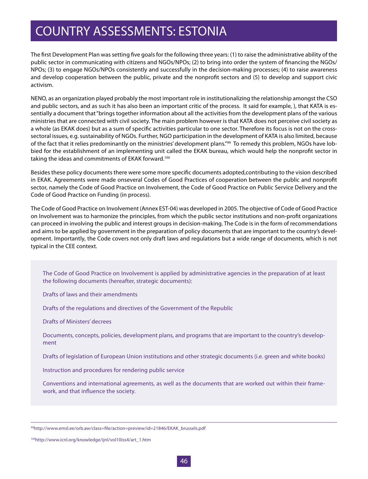The first Development Plan was setting five goals for the following three years: (1) to raise the administrative ability of the public sector in communicating with citizens and NGOs/NPOs; (2) to bring into order the system of financing the NGOs/ NPOs; (3) to engage NGOs/NPOs consistently and successfully in the decision-making processes; (4) to raise awareness and develop cooperation between the public, private and the nonprofit sectors and (5) to develop and support civic activism.

NENO, as an organization played probably the most important role in institutionalizing the relationship amongst the CSO and public sectors, and as such it has also been an important critic of the process. It said for example, ), that KATA is essentially a document that "brings together information about all the activities from the development plans of the various ministries that are connected with civil society. The main problem however is that KATA does not perceive civil society as a whole (as EKAK does) but as a sum of specific activities particular to one sector. Therefore its focus is not on the crosssectoral issues, e.g. sustainability of NGOs. Further, NGO participation in the development of KATA is also limited, because of the fact that it relies predominantly on the ministries' development plans."99 To remedy this problem, NGOs have lobbied for the establishment of an implementing unit called the EKAK bureau, which would help the nonprofit sector in taking the ideas and commitments of EKAK forward.<sup>100</sup>

Besides these policy documents there were some more specific documents adopted,contributing to the vision described in EKAK. Agreements were made onseveral Codes of Good Practices of cooperation between the public and nonprofit sector, namely the Code of Good Practice on Involvement, the Code of Good Practice on Public Service Delivery and the Code of Good Practice on Funding (in process).

The Code of Good Practice on Involvement (Annex EST-04) was developed in 2005. The objective of Code of Good Practice on Involvement was to harmonize the principles, from which the public sector institutions and non-profit organizations can proceed in involving the public and interest groups in decision-making. The Code is in the form of recommendations and aims to be applied by government in the preparation of policy documents that are important to the country's development. Importantly, the Code covers not only draft laws and regulations but a wide range of documents, which is not typical in the CEE context.

The Code of Good Practice on Involvement is applied by administrative agencies in the preparation of at least the following documents (hereafter, strategic documents):

Drafts of laws and their amendments

Drafts of the regulations and directives of the Government of the Republic

Drafts of Ministers' decrees

Documents, concepts, policies, development plans, and programs that are important to the country's development

Drafts of legislation of European Union institutions and other strategic documents (i.e. green and white books)

Instruction and procedures for rendering public service

Conventions and international agreements, as well as the documents that are worked out within their framework, and that influence the society.

<sup>99</sup>http://www.emsl.ee/orb.aw/class=file/action=preview/id=21846/EKAK\_brussels.pdf

<sup>100</sup>http://www.icnl.org/knowledge/ijnl/vol10iss4/art\_1.htm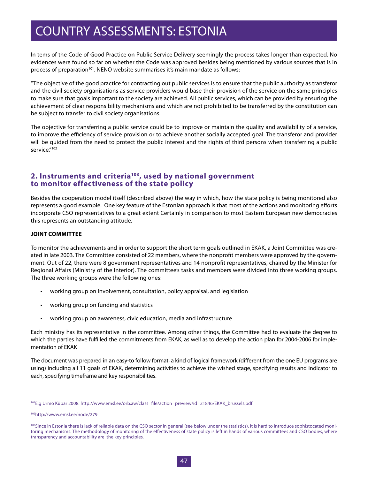In tems of the Code of Good Practice on Public Service Delivery seemingly the process takes longer than expected. No evidences were found so far on whether the Code was approved besides being mentioned by various sources that is in process of preparation<sup>101</sup>. NENO website summarises it's main mandate as follows:

"The objective of the good practice for contracting out public services is to ensure that the public authority as transferor and the civil society organisations as service providers would base their provision of the service on the same principles to make sure that goals important to the society are achieved. All public services, which can be provided by ensuring the achievement of clear responsibility mechanisms and which are not prohibited to be transferred by the constitution can be subject to transfer to civil society organisations.

The objective for transferring a public service could be to improve or maintain the quality and availability of a service, to improve the efficiency of service provision or to achieve another socially accepted goal. The transferor and provider will be guided from the need to protect the public interest and the rights of third persons when transferring a public service."<sup>102</sup>

### **2. Instruments and criteria103, used by national government to monitor effectiveness of the state policy**

Besides the cooperation model itself (described above) the way in which, how the state policy is being monitored also represents a good example. One key feature of the Estonian approach is that most of the actions and monitoring efforts incorporate CSO representatives to a great extent Certainly in comparison to most Eastern European new democracies this represents an outstanding attitude.

#### **JOINT COMMITTEE**

To monitor the achievements and in order to support the short term goals outlined in EKAK, a Joint Committee was created in late 2003. The Committee consisted of 22 members, where the nonprofit members were approved by the government. Out of 22, there were 8 government representatives and 14 nonprofit representatives, chaired by the Minister for Regional Affairs (Ministry of the Interior). The committee's tasks and members were divided into three working groups. The three working groups were the following ones:

- working group on involvement, consultation, policy appraisal, and legislation
- working group on funding and statistics
- • working group on awareness, civic education, media and infrastructure

Each ministry has its representative in the committee. Among other things, the Committee had to evaluate the degree to which the parties have fulfilled the commitments from EKAK, as well as to develop the action plan for 2004-2006 for implementation of EKAK

The document was prepared in an easy-to follow format, a kind of logical framework (different from the one EU programs are using) including all 11 goals of EKAK, determining activities to achieve the wished stage, specifying results and indicator to each, specifying timeframe and key responsibilities.

<sup>101</sup>E.g Urmo Kübar 2008: http://www.emsl.ee/orb.aw/class=file/action=preview/id=21846/EKAK\_brussels.pdf

<sup>102</sup>http://www.emsl.ee/node/279

<sup>&</sup>lt;sup>103</sup>Since in Estonia there is lack of reliable data on the CSO sector in general (see below under the statistics), it is hard to introduce sophistocated monitoring mechanisms. The methodology of monitoring of the effectiveness of state policy is left in hands of various committees and CSO bodies, where transparency and accountability are the key principles.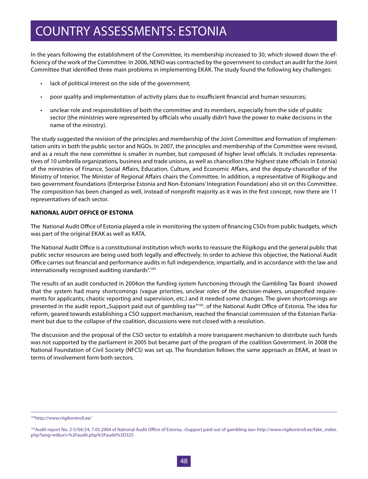In the years following the establishment of the Committee, its membership increased to 30, which slowed down the efficiency of the work of the Committee. In 2006, NENO was contracted by the government to conduct an audit for the Joint Committee that identified three main problems in implementing EKAK. The study found the following key challenges:

- lack of political interest on the side of the government;
- poor quality and implementation of activity plans due to insufficient financial and human resources;
- unclear role and responsibilities of both the committee and its members, especially from the side of public sector (the ministries were represented by officials who usually didn't have the power to make decisions in the name of the ministry).

The study suggested the revision of the principles and membership of the Joint Committee and formation of implementation units in both the public sector and NGOs. In 2007, the principles and membership of the Committee were revised, and as a result the new committee is smaller in number, but composed of higher level officials. It includes representatives of 10 umbrella organizations, business and trade unions, as well as chancellors (the highest state officials in Estonia) of the ministries of Finance, Social Affairs, Education, Culture, and Economic Affairs, and the deputy-chancellor of the Ministry of Interior. The Minister of Regional Affairs chairs the Committee. In addition, a representative of Riigikogu and two government foundations (Enterprise Estonia and Non-Estonians' Integration Foundation) also sit on this Committee. The composition has been changed as well, instead of nonprofit majority as it was in the first concept, now there are 11 representatives of each sector.

#### **NATIONAL AUDIT OFFICE OF ESTONIA**

The National Audit Office of Estonia played a role in monitoring the system of financing CSOs from public budgets, which was part of the original EKAK as well as KATA.

The National Audit Office is a constitutional institution which works to reassure the Riigikogu and the general public that public sector resources are being used both legally and effectively. In order to achieve this objective, the National Audit Office carries out financial and performance audits in full independence, impartially, and in accordance with the law and internationally recognised auditing standards".104

The results of an audit conducted in 2004on the funding system functioning through the Gambling Tax Board showed that the system had many shortcomings (vague priorities, unclear roles of the decision-makers, unspecified requirements for applicants, chaotic reporting and supervision, etc.) and it needed some changes. The given shortcomings are presented in the audit report "Support paid out of gambling tax"<sup>105</sup>. of the National Audit Office of Estonia. The idea for reform, geared towards establishing a CSO support mechanism, reached the financial commission of the Estonian Parliament but due to the collapse of the coalition, discussions were not closed with a resolution.

The discussion and the proposal of the CSO sector to establish a more transparent mechanism to distribute such funds was not supported by the parliament in 2005 but became part of the program of the coalition Government. In 2008 the National Foundation of Civil Society (NFCS) was set up. The foundation follows the same approach as EKAK, at least in terms of involvement form both sectors.

<sup>104</sup>http://www.riigikontroll.ee/

<sup>105</sup> Audit report No. 2-5/04/24, 7.05.2004 of National Audit Office of Estonia, «Support paid out of gambling tax» http://www.riigikontroll.ee/fake\_index. php?lang=et&uri=%2Faudit.php%3Faudit%3D325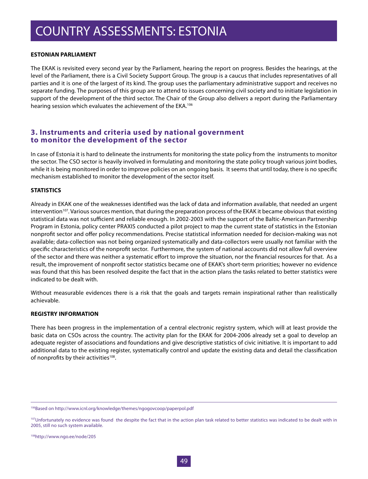#### **ESTONIAN PARLIAMENT**

The EKAK is revisited every second year by the Parliament, hearing the report on progress. Besides the hearings, at the level of the Parliament, there is a Civil Society Support Group. The group is a caucus that includes representatives of all parties and it is one of the largest of its kind. The group uses the parliamentary administrative support and receives no separate funding. The purposes of this group are to attend to issues concerning civil society and to initiate legislation in support of the development of the third sector. The Chair of the Group also delivers a report during the Parliamentary hearing session which evaluates the achievement of the EKA.<sup>106</sup>

### **3. Instruments and criteria used by national government to monitor the development of the sector**

In case of Estonia it is hard to delineate the instruments for monitoring the state policy from the instruments to monitor the sector. The CSO sector is heavily involved in formulating and monitoring the state policy trough various joint bodies, while it is being monitored in order to improve policies on an ongoing basis. It seems that until today, there is no specific mechanism established to monitor the development of the sector itself.

#### **STATISTICS**

Already in EKAK one of the weaknesses identified was the lack of data and information available, that needed an urgent intervention<sup>107</sup>. Various sources mention, that during the preparation process of the EKAK it became obvious that existing statistical data was not sufficient and reliable enough. In 2002-2003 with the support of the Baltic-American Partnership Program in Estonia, policy center PRAXIS conducted a pilot project to map the current state of statistics in the Estonian nonprofit sector and offer policy recommendations. Precise statistical information needed for decision-making was not available; data-collection was not being organized systematically and data-collectors were usually not familiar with the specific characteristics of the nonprofit sector. Furthermore, the system of national accounts did not allow full overview of the sector and there was neither a systematic effort to improve the situation, nor the financial resources for that. As a result, the improvement of nonprofit sector statistics became one of EKAK's short-term priorities; however no evidence was found that this has been resolved despite the fact that in the action plans the tasks related to better statistics were indicated to be dealt with.

Without measurable evidences there is a risk that the goals and targets remain inspirational rather than realistically achievable.

#### **REGISTRY INFORMATION**

There has been progress in the implementation of a central electronic registry system, which will at least provide the basic data on CSOs across the country. The activity plan for the EKAK for 2004-2006 already set a goal to develop an adequate register of associations and foundations and give descriptive statistics of civic initiative. It is important to add additional data to the existing register, systematically control and update the existing data and detail the classification of nonprofits by their activities<sup>108</sup>.

108http://www.ngo.ee/node/205

<sup>106</sup>Based on http://www.icnl.org/knowledge/themes/ngogovcoop/paperpol.pdf

<sup>&</sup>lt;sup>107</sup>Unfortunately no evidence was found the despite the fact that in the action plan task related to better statistics was indicated to be dealt with in 2005, still no such system available.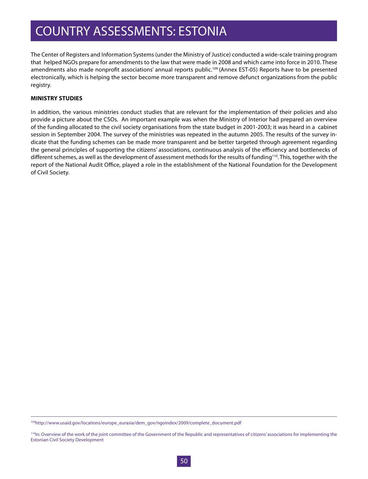The Center of Registers and Information Systems (under the Ministry of Justice) conducted a wide-scale training program that helped NGOs prepare for amendments to the law that were made in 2008 and which came into force in 2010. These amendments also made nonprofit associations' annual reports public.<sup>109</sup> (Annex EST-05) Reports have to be presented electronically, which is helping the sector become more transparent and remove defunct organizations from the public registry.

#### **MINISTRY STUDIES**

In addition, the various ministries conduct studies that are relevant for the implementation of their policies and also provide a picture about the CSOs. An important example was when the Ministry of Interior had prepared an overview of the funding allocated to the civil society organisations from the state budget in 2001-2003; it was heard in a cabinet session in September 2004. The survey of the ministries was repeated in the autumn 2005. The results of the survey indicate that the funding schemes can be made more transparent and be better targeted through agreement regarding the general principles of supporting the citizens' associations, continuous analysis of the efficiency and bottlenecks of different schemes, as well as the development of assessment methods for the results of funding<sup>110</sup>. This, together with the report of the National Audit Office, played a role in the establishment of the National Foundation for the Development of Civil Society.

<sup>109</sup>http://www.usaid.gov/locations/europe\_eurasia/dem\_gov/ngoindex/2009/complete\_document.pdf

<sup>&</sup>lt;sup>110</sup>In: Overview of the work of the joint committee of the Government of the Republic and representatives of citizens' associations for implementing the Estonian Civil Society Development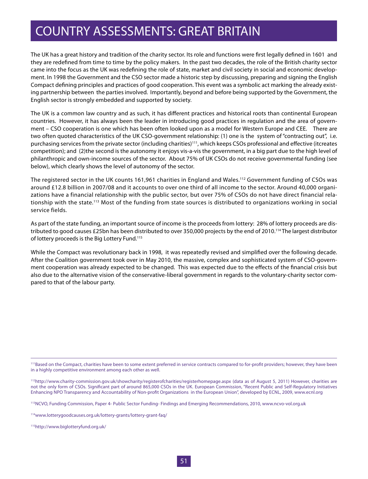The UK has a great history and tradition of the charity sector. Its role and functions were first legally defined in 1601 and they are redefined from time to time by the policy makers. In the past two decades, the role of the British charity sector came into the focus as the UK was redefining the role of state, market and civil society in social and economic development. In 1998 the Government and the CSO sector made a historic step by discussing, preparing and signing the English Compact defining principles and practices of good cooperation. This event was a symbolic act marking the already existing partnership between the parties involved. Importantly, beyond and before being supported by the Government, the English sector is strongly embedded and supported by society.

The UK is a common law country and as such, it has different practices and historical roots than continental European countries. However, it has always been the leader in introducing good practices in regulation and the area of government – CSO cooperation is one which has been often looked upon as a model for Western Europe and CEE. There are two often quoted characteristics of the UK CSO-government relationship: (1) one is the system of "contracting out", i.e. purchasing services from the private sector (including charities)<sup>111</sup>, which keeps CSOs professional and effective (itcreates competition); and (2)the second is the autonomy it enjoys vis-a-vis the government, in a big part due to the high level of philanthropic and own-income sources of the sector. About 75% of UK CSOs do not receive governmental funding (see below), which clearly shows the level of autonomy of the sector.

The registered sector in the UK counts 161,961 charities in England and Wales.<sup>112</sup> Government funding of CSOs was around £12.8 billion in 2007/08 and it accounts to over one third of all income to the sector. Around 40,000 organizations have a financial relationship with the public sector, but over 75% of CSOs do not have direct financial relationship with the state.113 Most of the funding from state sources is distributed to organizations working in social service fields.

As part of the state funding, an important source of income is the proceeds from lottery: 28% of lottery proceeds are distributed to good causes £25bn has been distributed to over 350,000 projects by the end of 2010.<sup>114</sup> The largest distributor of lottery proceeds is the Big Lottery Fund.<sup>115</sup>

While the Compact was revolutionary back in 1998, it was repeatedly revised and simplified over the following decade. After the Coalition government took over in May 2010, the massive, complex and sophisticated system of CSO-government cooperation was already expected to be changed. This was expected due to the effects of the financial crisis but also due to the alternative vision of the conservative-liberal government in regards to the voluntary-charity sector compared to that of the labour party.

113NCVO, Funding Commission, Paper 4- Public Sector Funding- Findings and Emerging Recommendations, 2010, www.ncvo-vol.org.uk

<sup>&</sup>lt;sup>111</sup>Based on the Compact, charities have been to some extent preferred in service contracts compared to for-profit providers; however, they have been in a highly competitive environment among each other as well.

<sup>112</sup>http://www.charity-commission.gov.uk/showcharity/registerofcharities/registerhomepage.aspx (data as of August 5, 2011) However, charities are not the only form of CSOs. Significant part of around 865,000 CSOs in the UK. European Commission, "Recent Public and Self-Regulatory Initiatives Enhancing NPO Transparency and Accountability of Non-profit Organizations in the European Union", developed by ECNL, 2009, www.ecnl.org

<sup>114</sup>www.lotterygoodcauses.org.uk/lottery-grants/lottery-grant-faq/

<sup>115</sup>http://www.biglotteryfund.org.uk/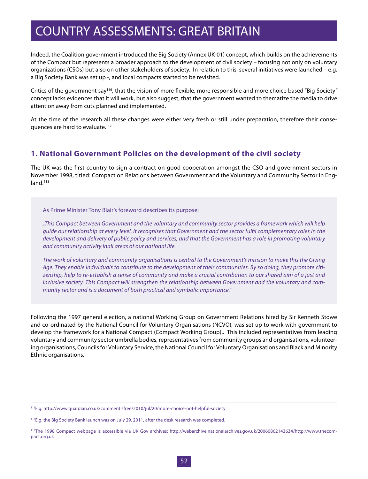Indeed, the Coalition government introduced the Big Society (Annex UK-01) concept, which builds on the achievements of the Compact but represents a broader approach to the development of civil society – focusing not only on voluntary organizations (CSOs) but also on other stakeholders of society. In relation to this, several initiatives were launched – e.g. a Big Society Bank was set up -, and local compacts started to be revisited.

Critics of the government say<sup>116</sup>, that the vision of more flexible, more responsible and more choice based "Big Society" concept lacks evidences that it will work, but also suggest, that the government wanted to thematize the media to drive attention away from cuts planned and implemented.

At the time of the research all these changes were either very fresh or still under preparation, therefore their consequences are hard to evaluate.<sup>117</sup>

### **1. National Government Policies on the development of the civil society**

The UK was the first country to sign a contract on good cooperation amongst the CSO and government sectors in November 1998, titled: Compact on Relations between Government and the Voluntary and Community Sector in England.<sup>118</sup>

As Prime Minister Tony Blair's foreword describes its purpose:

*"This Compact between Government and the voluntary and community sector provides a framework which will help guide our relationship at every level. It recognises that Government and the sector fulfil complementary roles in the development and delivery of public policy and services, and that the Government has a role in promoting voluntary and community activity inall areas of our national life.*

*The work of voluntary and community organisations is central to the Government's mission to make this the Giving Age. They enable individuals to contribute to the development of their communities. By so doing, they promote citizenship, help to re-establish a sense of community and make a crucial contribution to our shared aim of a just and inclusive society. This Compact will strengthen the relationship between Government and the voluntary and community sector and is a document of both practical and symbolic importance."*

Following the 1997 general election, a national Working Group on Government Relations hired by Sir Kenneth Stowe and co-ordinated by the National Council for Voluntary Organisations (NCVO), was set up to work with government to develop the framework for a National Compact (Compact Working Group),. This included representatives from leading voluntary and community sector umbrella bodies, representatives from community groups and organisations, volunteering organisations, Councils for Voluntary Service, the National Council for Voluntary Organisations and Black and Minority Ethnic organisations.

<sup>116</sup>E.g. http://www.guardian.co.uk/commentisfree/2010/jul/20/more-choice-not-helpful-society

<sup>&</sup>lt;sup>117</sup>E.g. the Big Society Bank launch was on July 29. 2011, after the desk research was completed.

<sup>118</sup>The 1998 Compact webpage is accessible via UK Gov archives: http://webarchive.nationalarchives.gov.uk/20060802143634/http://www.thecompact.org.uk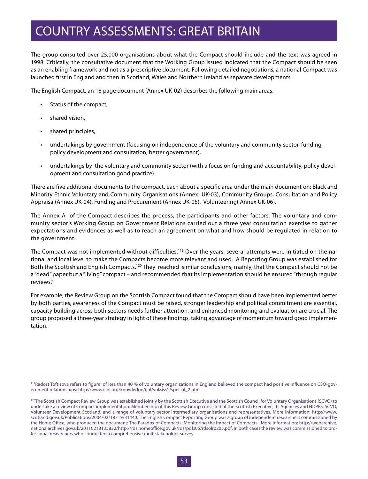The group consulted over 25,000 organisations about what the Compact should include and the text was agreed in 1998. Critically, the consultative document that the Working Group issued indicated that the Compact should be seen as an enabling framework and not as a prescriptive document. Following detailed negotiations, a national Compact was launched first in England and then in Scotland, Wales and Northern Ireland as separate developments.

The English Compact, an 18 page document (Annex UK-02) describes the following main areas:

- • Status of the compact,
- shared vision,
- • shared principles,
- undertakings by government (focusing on independence of the voluntary and community sector, funding, policy development and consultation, better government),
- undertakings by the voluntary and community sector (with a focus on funding and accountability, policy development and consultation good practice).

There are five additional documents to the compact, each about a specific area under the main document on: Black and Minority Ethnic Voluntary and Community Organisations (Annex UK-03), Community Groups, Consultation and Policy Appraisal(Annex UK-04), Funding and Procurement (Annex UK-05), Volunteering( Annex UK-06).

The Annex A of the Compact describes the process, the participants and other factors. The voluntary and community sector's Working Group on Government Relations carried out a three year consultation exercise to gather expectations and evidences as well as to reach an agreement on what and how should be regulated in relation to the government.

The Compact was not implemented without difficulties.<sup>119</sup> Over the years, several attempts were initiated on the national and local level to make the Compacts become more relevant and used. A Reporting Group was established for Both the Scottish and English Compacts.120 They reached similar conclusions, mainly, that the Compact should not be a "dead" paper but a "living" compact – and recommended that its implementation should be ensured "through regular reviews."

For example, the Review Group on the Scottish Compact found that the Compact should have been implemented better by both parties, awareness of the Compact must be raised, stronger leadership and political commitment are essential, capacity building across both sectors needs further attention, and enhanced monitoring and evaluation are crucial. The group proposed a three-year strategy in light of these findings, taking advantage of momentum toward good implementation.

<sup>119</sup>Radost Toftisova refers to figure of less than 40 % of voluntary organizations in England believed the compact had positive influence on CSO-government relationships: http://www.icnl.org/knowledge/ijnl/vol8iss1/special\_2.htm

<sup>&</sup>lt;sup>120</sup>The Scottish Compact Review Group was established jointly by the Scottish Executive and the Scottish Council for Voluntary Organisations (SCVO) to undertake a review of Compact implementation. Membership of this Review Group consisted of the Scottish Executive, its Agencies and NDPBs, SCVO, Volunteer Development Scotland, and a range of voluntary sector intermediary organisations and representatives. More information: http://www. scotland.gov.uk/Publications/2004/02/18719/31440. The English Compact Reporting Group was a group of independent researchers commissioned by the Home Office, who produced the document: The Paradox of Compacts: Monitoring the Impact of Compacts. More information: http://webarchive. nationalarchives.gov.uk/20110218135832/http://rds.homeoffice.gov.uk/rds/pdfs05/rdsolr0205.pdf. In both cases the review was commissioned to professional researchers who conducted a comprehensive multistakeholder survey.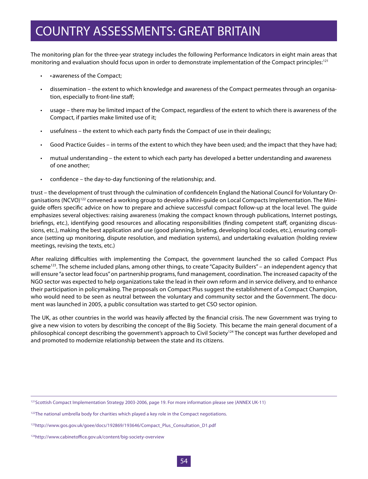The monitoring plan for the three-year strategy includes the following Performance Indicators in eight main areas that monitoring and evaluation should focus upon in order to demonstrate implementation of the Compact principles:<sup>121</sup>

- awareness of the Compact;
- dissemination the extent to which knowledge and awareness of the Compact permeates through an organisation, especially to front-line staff;
- usage there may be limited impact of the Compact, regardless of the extent to which there is awareness of the Compact, if parties make limited use of it;
- usefulness the extent to which each party finds the Compact of use in their dealings;
- • Good Practice Guides in terms of the extent to which they have been used; and the impact that they have had;
- mutual understanding the extent to which each party has developed a better understanding and awareness of one another;
- confidence the day-to-day functioning of the relationship; and.

trust – the development of trust through the culmination of confidenceIn England the National Council for Voluntary Organisations (NCVO)<sup>122</sup> convened a working group to develop a Mini-guide on Local Compacts Implementation. The Miniguide offers specific advice on how to prepare and achieve successful compact follow-up at the local level. The guide emphasizes several objectives: raising awareness (making the compact known through publications, Internet postings, briefings, etc.), identifying good resources and allocating responsibilities (finding competent staff, organizing discussions, etc.), making the best application and use (good planning, briefing, developing local codes, etc.), ensuring compliance (setting up monitoring, dispute resolution, and mediation systems), and undertaking evaluation (holding review meetings, revising the texts, etc.)

After realizing difficulties with implementing the Compact, the government launched the so called Compact Plus scheme<sup>123</sup>. The scheme included plans, among other things, to create "Capacity Builders" – an independent agency that will ensure "a sector lead focus" on partnership programs, fund management, coordination. The increased capacity of the NGO sector was expected to help organizations take the lead in their own reform and in service delivery, and to enhance their participation in policymaking. The proposals on Compact Plus suggest the establishment of a Compact Champion, who would need to be seen as neutral between the voluntary and community sector and the Government. The document was launched in 2005, a public consultation was started to get CSO sector opinion.

The UK, as other countries in the world was heavily affected by the financial crisis. The new Government was trying to give a new vision to voters by describing the concept of the Big Society. This became the main general document of a philosophical concept describing the government's approach to Civil Society<sup>124</sup> The concept was further developed and and promoted to modernize relationship between the state and its citizens.

<sup>&</sup>lt;sup>121</sup>Scottish Compact Implementation Strategy 2003-2006, page 19. For more information please see (ANNEX UK-11)

<sup>&</sup>lt;sup>122</sup>The national umbrella body for charities which played a key role in the Compact negotiations.

<sup>123</sup>http://www.gos.gov.uk/goee/docs/192869/193646/Compact\_Plus\_Consultation\_D1.pdf

<sup>124</sup>http://www.cabinetoffice.gov.uk/content/big-society-overview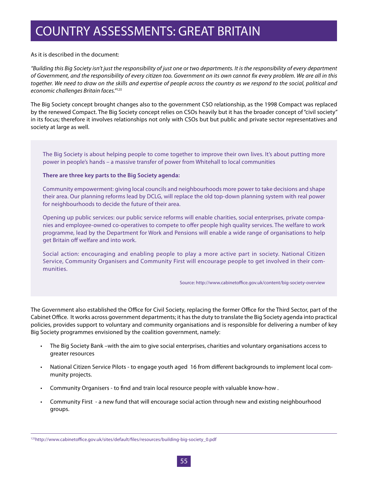#### As it is described in the document:

*"Building this Big Society isn't just the responsibility of just one or two departments. It is the responsibility of every department of Government, and the responsibility of every citizen too. Government on its own cannot fix every problem. We are all in this together. We need to draw on the skills and expertise of people across the country as we respond to the social, political and economic challenges Britain faces."125*

The Big Society concept brought changes also to the government CSO relationship, as the 1998 Compact was replaced by the renewed Compact. The Big Society concept relies on CSOs heavily but it has the broader concept of "civil society" in its focus; therefore it involves relationships not only with CSOs but but public and private sector representatives and society at large as well.

The Big Society is about helping people to come together to improve their own lives. It's about putting more power in people's hands – a massive transfer of power from Whitehall to local communities

#### **There are three key parts to the Big Society agenda:**

Community empowerment: giving local councils and neighbourhoods more power to take decisions and shape their area. Our planning reforms lead by DCLG, will replace the old top-down planning system with real power for neighbourhoods to decide the future of their area.

Opening up public services: our public service reforms will enable charities, social enterprises, private companies and employee-owned co-operatives to compete to offer people high quality services. The welfare to work programme, lead by the Department for Work and Pensions will enable a wide range of organisations to help get Britain off welfare and into work.

Social action: encouraging and enabling people to play a more active part in society. National Citizen Service, Community Organisers and Community First will encourage people to get involved in their communities.

Source: http://www.cabinetoffice.gov.uk/content/big-society-overview

The Government also established the Office for Civil Society, replacing the former Office for the Third Sector, part of the Cabinet Office. It works across government departments; it has the duty to translate the Big Society agenda into practical policies, provides support to voluntary and community organisations and is responsible for delivering a number of key Big Society programmes envisioned by the coalition government, namely:

- • The Big Society Bank –with the aim to give social enterprises, charities and voluntary organisations access to greater resources
- National Citizen Service Pilots to engage youth aged 16 from different backgrounds to implement local community projects.
- • Community Organisers to find and train local resource people with valuable know-how .
- • Community First a new fund that will encourage social action through new and existing neighbourhood groups.

<sup>125</sup>http://www.cabinetoffice.gov.uk/sites/default/files/resources/building-big-society\_0.pdf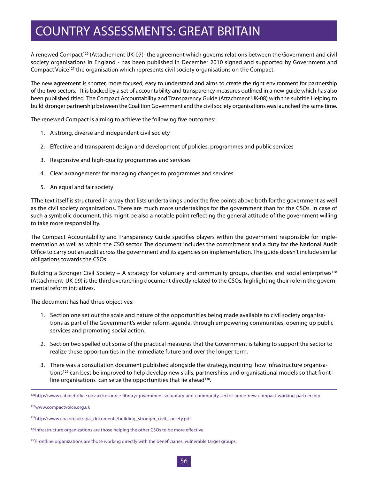A renewed Compact<sup>126</sup> (Attachement UK-07)- the agreement which governs relations between the Government and civil society organisations in England - has been published in December 2010 signed and supported by Government and Compact Voice<sup>127</sup> the organisation which represents civil society organisations on the Compact.

The new agreement is shorter, more focused, easy to understand and aims to create the right environment for partnership of the two sectors. It is backed by a set of accountability and transparency measures outlined in a new guide which has also been published titled The Compact Accountability and Transparency Guide (Attachment UK-08) with the subtitle Helping to build stronger partnership between the Coalition Government and the civil society organisations was launched the same time.

The renewed Compact is aiming to achieve the following five outcomes:

- 1. A strong, diverse and independent civil society
- 2. Effective and transparent design and development of policies, programmes and public services
- 3. Responsive and high-quality programmes and services
- 4. Clear arrangements for managing changes to programmes and services
- 5. An equal and fair society

ТThe text itself is structured in a way that lists undertakings under the five points above both for the government as well as the civil society organizations. There are much more undertakings for the government than for the CSOs. In case of such a symbolic document, this might be also a notable point reflecting the general attitude of the government willing to take more responsibility.

The Compact Accountability and Transparency Guide specifies players within the government responsible for implementation as well as within the CSO sector. The document includes the commitment and a duty for the National Audit Office to carry out an audit across the government and its agencies on implementation. The guide doesn't include similar obligations towards the CSOs.

Building a Stronger Civil Society – A strategy for voluntary and community groups, charities and social enterprises<sup>128</sup> (Attachment UK-09) is the third overarching document directly related to the CSOs, highlighting their role in the governmental reform initiatives.

The document has had three objectives:

- 1. Section one set out the scale and nature of the opportunities being made available to civil society organisations as part of the Government's wider reform agenda, through empowering communities, opening up public services and promoting social action.
- 2. Section two spelled out some of the practical measures that the Government is taking to support the sector to realize these opportunities in the immediate future and over the longer term.
- 3. There was a consultation document published alongside the strategy,inquiring how infrastructure organisations<sup>129</sup> can best be improved to help develop new skills, partnerships and organisational models so that frontline organisations can seize the opportunities that lie ahead<sup>130</sup>.

<sup>126</sup>http://www.cabinetoffice.gov.uk/resource-library/government-voluntary-and-community-sector-agree-new-compact-working-partnership

<sup>127</sup>www.compactvoice.org.uk

<sup>128</sup>http://www.cpa.org.uk/cpa\_documents/building\_stronger\_civil\_society.pdf

<sup>&</sup>lt;sup>129</sup>Infrastructure organizations are those helping the other CSOs to be more effective.

<sup>&</sup>lt;sup>130</sup>Frontline organizations are those working directly with the beneficiaries, vulnerable target groups..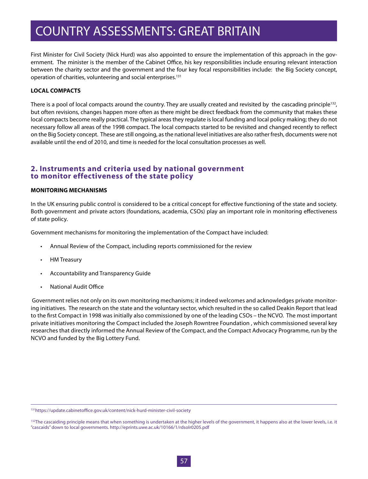First Minister for Civil Society (Nick Hurd) was also appointed to ensure the implementation of this approach in the government. The minister is the member of the Cabinet Office, his key responsibilities include ensuring relevant interaction between the charity sector and the government and the four key focal responsibilities include: the Big Society concept, operation of charities, volunteering and social enterprises.<sup>131</sup>

#### **LOCAL COMPACTS**

There is a pool of local compacts around the country. They are usually created and revisited by the cascading principle<sup>132</sup>, but often revisions, changes happen more often as there might be direct feedback from the community that makes these local compacts become really practical. The typical areas they regulate is local funding and local policy making; they do not necessary follow all areas of the 1998 compact. The local compacts started to be revisited and changed recently to reflect on the Big Society concept. These are still ongoing, as the national level initiatives are also rather fresh, documents were not available until the end of 2010, and time is needed for the local consultation processes as well.

### **2. Instruments and criteria used by national government to monitor effectiveness of the state policy**

#### **MONITORING MECHANISMS**

In the UK ensuring public control is considered to be a critical concept for effective functioning of the state and society. Both government and private actors (foundations, academia, CSOs) play an important role in monitoring effectiveness of state policy.

Government mechanisms for monitoring the implementation of the Compact have included:

- Annual Review of the Compact, including reports commissioned for the review
- HM Treasury
- Accountability and Transparency Guide
- National Audit Office

 Government relies not only on its own monitoring mechanisms; it indeed welcomes and acknowledges private monitoring initiatives. The research on the state and the voluntary sector, which resulted in the so called Deakin Report that lead to the first Compact in 1998 was initially also commissioned by one of the leading CSOs – the NCVO. The most important private initiatives monitoring the Compact included the Joseph Rowntree Foundation , which commissioned several key researches that directly informed the Annual Review of the Compact, and the Compact Advocacy Programme, run by the NCVO and funded by the Big Lottery Fund.

<sup>131</sup>https://update.cabinetoffice.gov.uk/content/nick-hurd-minister-civil-society

<sup>&</sup>lt;sup>132</sup>The cascaiding principle means that when something is undertaken at the higher levels of the government, it happens also at the lower levels, i.e. it "cascaids" down to local governments. http://eprints.uwe.ac.uk/10166/1/rdsolr0205.pdf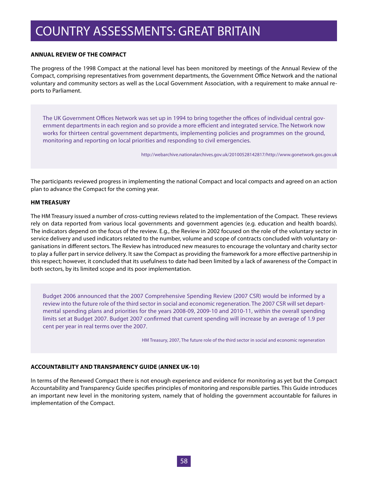#### **ANNUAL REVIEW OF THE COMPACT**

The progress of the 1998 Compact at the national level has been monitored by meetings of the Annual Review of the Compact, comprising representatives from government departments, the Government Office Network and the national voluntary and community sectors as well as the Local Government Association, with a requirement to make annual reports to Parliament.

The UK Government Offices Network was set up in 1994 to bring together the offices of individual central government departments in each region and so provide a more efficient and integrated service. The Network now works for thirteen central government departments, implementing policies and programmes on the ground, monitoring and reporting on local priorities and responding to civil emergencies.

http://webarchive.nationalarchives.gov.uk/20100528142817/http://www.gonetwork.gos.gov.uk

The participants reviewed progress in implementing the national Compact and local compacts and agreed on an action plan to advance the Compact for the coming year.

#### **HM TREASURY**

The HM Treasury issued a number of cross-cutting reviews related to the implementation of the Compact. These reviews rely on data reported from various local governments and government agencies (e.g. education and health boards). The indicators depend on the focus of the review. E.g., the Review in 2002 focused on the role of the voluntary sector in service delivery and used indicators related to the number, volume and scope of contracts concluded with voluntary organisations in different sectors. The Review has introduced new measures to encourage the voluntary and charity sector to play a fuller part in service delivery. It saw the Compact as providing the framework for a more effective partnership in this respect; however, it concluded that its usefulness to date had been limited by a lack of awareness of the Compact in both sectors, by its limited scope and its poor implementation.

Budget 2006 announced that the 2007 Comprehensive Spending Review (2007 CSR) would be informed by a review into the future role of the third sector in social and economic regeneration. The 2007 CSR will set departmental spending plans and priorities for the years 2008-09, 2009-10 and 2010-11, within the overall spending limits set at Budget 2007. Budget 2007 confirmed that current spending will increase by an average of 1.9 per cent per year in real terms over the 2007.

HM Treasury, 2007, The future role of the third sector in social and economic regeneration

#### **ACCOUNTABILITY AND TRANSPARENCY GUIDE (ANNEX UK-10)**

In terms of the Renewed Compact there is not enough experience and evidence for monitoring as yet but the Compact Accountability and Transparency Guide specifies principles of monitoring and responsible parties. This Guide introduces an important new level in the monitoring system, namely that of holding the government accountable for failures in implementation of the Compact.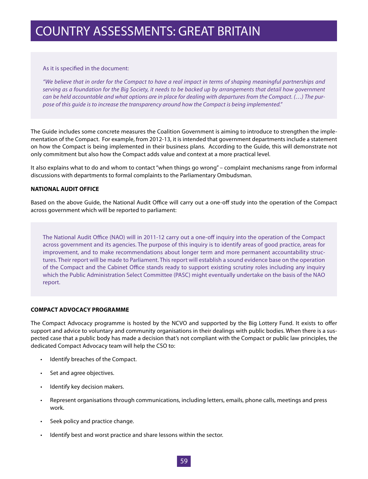#### As it is specified in the document:

*"We believe that in order for the Compact to have a real impact in terms of shaping meaningful partnerships and serving as a foundation for the Big Society, it needs to be backed up by arrangements that detail how government can be held accountable and what options are in place for dealing with departures from the Compact. (…) The purpose of this guide is to increase the transparency around how the Compact is being implemented."* 

The Guide includes some concrete measures the Coalition Government is aiming to introduce to strengthen the implementation of the Compact. For example, from 2012-13, it is intended that government departments include a statement on how the Compact is being implemented in their business plans. According to the Guide, this will demonstrate not only commitment but also how the Compact adds value and context at a more practical level.

It also explains what to do and whom to contact "when things go wrong" – complaint mechanisms range from informal discussions with departments to formal complaints to the Parliamentary Ombudsman.

#### **NATIONAL AUDIT OFFICE**

Based on the above Guide, the National Audit Office will carry out a one-off study into the operation of the Compact across government which will be reported to parliament:

The National Audit Office (NAO) will in 2011-12 carry out a one-off inquiry into the operation of the Compact across government and its agencies. The purpose of this inquiry is to identify areas of good practice, areas for improvement, and to make recommendations about longer term and more permanent accountability structures. Their report will be made to Parliament. This report will establish a sound evidence base on the operation of the Compact and the Cabinet Office stands ready to support existing scrutiny roles including any inquiry which the Public Administration Select Committee (PASC) might eventually undertake on the basis of the NAO report.

#### **COMPACT ADVOCACY PROGRAMME**

The Compact Advocacy programme is hosted by the NCVO and supported by the Big Lottery Fund. It exists to offer support and advice to voluntary and community organisations in their dealings with public bodies. When there is a suspected case that a public body has made a decision that's not compliant with the Compact or public law principles, the dedicated Compact Advocacy team will help the CSO to:

- • Identify breaches of the Compact.
- • Set and agree objectives.
- • Identify key decision makers.
- • Represent organisations through communications, including letters, emails, phone calls, meetings and press work.
- Seek policy and practice change.
- Identify best and worst practice and share lessons within the sector.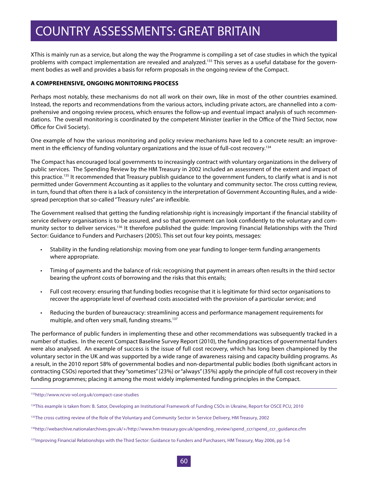ХThis is mainly run as a service, but along the way the Programme is compiling a set of case studies in which the typical problems with compact implementation are revealed and analyzed.<sup>133</sup> This serves as a useful database for the government bodies as well and provides a basis for reform proposals in the ongoing review of the Compact.

#### **A COMPREHENSIVE, ONGOING MONITORING PROCESS**

Perhaps most notably, these mechanisms do not all work on their own, like in most of the other countries examined. Instead, the reports and recommendations from the various actors, including private actors, are channelled into a comprehensive and ongoing review process, which ensures the follow-up and eventual impact analysis of such recommendations. The overall monitoring is coordinated by the competent Minister (earlier in the Office of the Third Sector, now Office for Civil Society).

One example of how the various monitoring and policy review mechanisms have led to a concrete result: an improvement in the efficiency of funding voluntary organizations and the issue of full-cost recovery.134

The Compact has encouraged local governments to increasingly contract with voluntary organizations in the delivery of public services. The Spending Review by the HM Treasury in 2002 included an assessment of the extent and impact of this practice.<sup>135</sup> It recommended that Treasury publish quidance to the government funders, to clarify what is and is not permitted under Government Accounting as it applies to the voluntary and community sector. The cross cutting review, in turn, found that often there is a lack of consistency in the interpretation of Government Accounting Rules, and a widespread perception that so-called "Treasury rules" are inflexible.

The Government realised that getting the funding relationship right is increasingly important if the financial stability of service delivery organisations is to be assured, and so that government can look confidently to the voluntary and community sector to deliver services.136 It therefore published the guide: Improving Financial Relationships with the Third Sector: Guidance to Funders and Purchasers (2005). This set out four key points, messages:

- • Stability in the funding relationship: moving from one year funding to longer-term funding arrangements where appropriate.
- • Timing of payments and the balance of risk: recognising that payment in arrears often results in the third sector bearing the upfront costs of borrowing and the risks that this entails;
- • Full cost recovery: ensuring that funding bodies recognise that it is legitimate for third sector organisations to recover the appropriate level of overhead costs associated with the provision of a particular service; and
- Reducing the burden of bureaucracy: streamlining access and performance management requirements for multiple, and often very small, funding streams.<sup>137</sup>

The performance of public funders in implementing these and other recommendations was subsequently tracked in a number of studies. In the recent Compact Baseline Survey Report (2010), the funding practices of governmental funders were also analysed. An example of success is the issue of full cost recovery, which has long been championed by the voluntary sector in the UK and was supported by a wide range of awareness raising and capacity building programs. As a result, in the 2010 report 58% of governmental bodies and non-departmental public bodies (both significant actors in contracting CSOs) reported that they "sometimes" (23%) or "always" (35%) apply the principle of full cost recovery in their funding programmes; placing it among the most widely implemented funding principles in the Compact.

<sup>133</sup>http://www.ncvo-vol.org.uk/compact-case-studies

<sup>&</sup>lt;sup>134</sup>This example is taken from: B. Sator, Developing an Institutional Framework of Funding CSOs in Ukraine, Report for OSCE PCU, 2010

<sup>&</sup>lt;sup>135</sup>The cross cutting review of the Role of the Voluntary and Community Sector in Service Delivery, HM Treasury, 2002

<sup>136</sup>http://webarchive.nationalarchives.gov.uk/+/http://www.hm-treasury.gov.uk/spending\_review/spend\_ccr/spend\_ccr\_guidance.cfm

<sup>&</sup>lt;sup>137</sup>Improving Financial Relationships with the Third Sector: Guidance to Funders and Purchasers, HM Treasury, May 2006, pp 5-6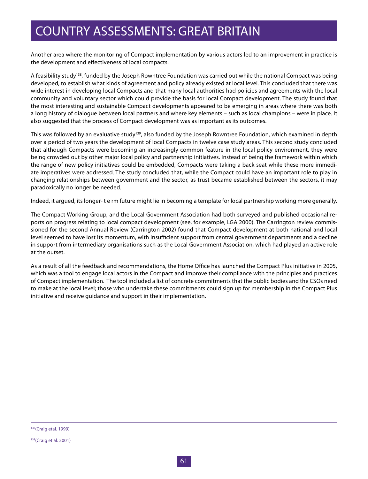Another area where the monitoring of Compact implementation by various actors led to an improvement in practice is the development and effectiveness of local compacts.

A feasibility study<sup>138</sup>, funded by the Joseph Rowntree Foundation was carried out while the national Compact was being developed, to establish what kinds of agreement and policy already existed at local level. This concluded that there was wide interest in developing local Compacts and that many local authorities had policies and agreements with the local community and voluntary sector which could provide the basis for local Compact development. The study found that the most interesting and sustainable Compact developments appeared to be emerging in areas where there was both a long history of dialogue between local partners and where key elements – such as local champions – were in place. It also suggested that the process of Compact development was as important as its outcomes.

This was followed by an evaluative study<sup>139</sup>, also funded by the Joseph Rowntree Foundation, which examined in depth over a period of two years the development of local Compacts in twelve case study areas. This second study concluded that although Compacts were becoming an increasingly common feature in the local policy environment, they were being crowded out by other major local policy and partnership initiatives. Instead of being the framework within which the range of new policy initiatives could be embedded, Compacts were taking a back seat while these more immediate imperatives were addressed. The study concluded that, while the Compact could have an important role to play in changing relationships between government and the sector, as trust became established between the sectors, it may paradoxically no longer be needed.

Indeed, it argued, its longer- t e rm future might lie in becoming a template for local partnership working more generally.

The Compact Working Group, and the Local Government Association had both surveyed and published occasional reports on progress relating to local compact development (see, for example, LGA 2000). The Carrington review commissioned for the second Annual Review (Carrington 2002) found that Compact development at both national and local level seemed to have lost its momentum, with insufficient support from central government departments and a decline in support from intermediary organisations such as the Local Government Association, which had played an active role at the outset.

As a result of all the feedback and recommendations, the Home Office has launched the Compact Plus initiative in 2005, which was a tool to engage local actors in the Compact and improve their compliance with the principles and practices of Compact implementation. The tool included a list of concrete commitments that the public bodies and the CSOs need to make at the local level; those who undertake these commitments could sign up for membership in the Compact Plus initiative and receive guidance and support in their implementation.

<sup>139(</sup>Craig et al. 2001)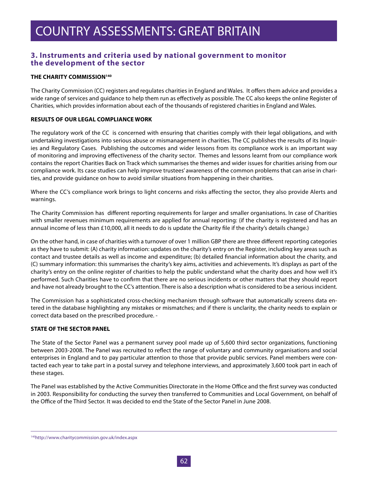### **3. Instruments and criteria used by national government to monitor the development of the sector**

#### **THE CHARITY COMMISSION140**

The Charity Commission (CC) registers and regulates charities in England and Wales. It offers them advice and provides a wide range of services and guidance to help them run as effectively as possible. The CC also keeps the online Register of Charities, which provides information about each of the thousands of registered charities in England and Wales.

#### **RESULTS OF OUR LEGAL COMPLIANCE WORK**

The regulatory work of the CC is concerned with ensuring that charities comply with their legal obligations, and with undertaking investigations into serious abuse or mismanagement in charities. The CC publishes the results of its Inquiries and Regulatory Cases. Publishing the outcomes and wider lessons from its compliance work is an important way of monitoring and improving effectiveness of the charity sector. Themes and lessons learnt from our compliance work contains the report Charities Back on Track which summarises the themes and wider issues for charities arising from our compliance work. Its case studies can help improve trustees' awareness of the common problems that can arise in charities, and provide guidance on how to avoid similar situations from happening in their charities.

Where the CC's compliance work brings to light concerns and risks affecting the sector, they also provide Alerts and warnings.

The Charity Commission has different reporting requirements for larger and smaller organisations. In case of Charities with smaller revenues minimum requirements are applied for annual reporting: (if the charity is registered and has an annual income of less than £10,000, all it needs to do is update the Charity file if the charity's details change.)

On the other hand, in case of charities with a turnover of over 1 million GBP there are three different reporting categories as they have to submit: (A) charity information: updates on the charity's entry on the Register, including key areas such as contact and trustee details as well as income and expenditure; (b) detailed financial information about the charity, and (C) summary information: this summarises the charity's key aims, activities and achievements. It's displays as part of the charity's entry on the online register of charities to help the public understand what the charity does and how well it's performed. Such Charities have to confirm that there are no serious incidents or other matters that they should report and have not already brought to the CC's attention. There is also a description what is considered to be a serious incident.

The Commission has a sophisticated cross-checking mechanism through software that automatically screens data entered in the database highlighting any mistakes or mismatches; and if there is unclarity, the charity needs to explain or correct data based on the prescribed procedure. -

#### **STATE OF THE SECTOR PANEL**

The State of the Sector Panel was a permanent survey pool made up of 5,600 third sector organizations, functioning between 2003-2008. The Panel was recruited to reflect the range of voluntary and community organisations and social enterprises in England and to pay particular attention to those that provide public services. Panel members were contacted each year to take part in a postal survey and telephone interviews, and approximately 3,600 took part in each of these stages.

The Panel was established by the Active Communities Directorate in the Home Office and the first survey was conducted in 2003. Responsibility for conducting the survey then transferred to Communities and Local Government, on behalf of the Office of the Third Sector. It was decided to end the State of the Sector Panel in June 2008.

<sup>140</sup>http://www.charitycommission.gov.uk/index.aspx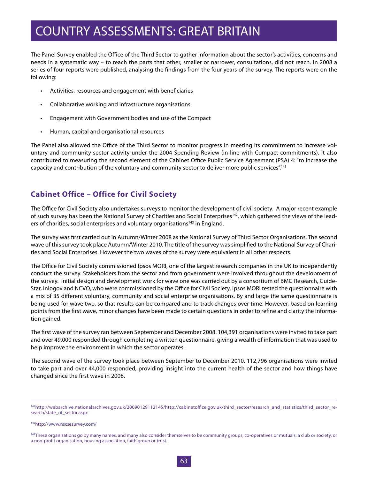The Panel Survey enabled the Office of the Third Sector to gather information about the sector's activities, concerns and needs in a systematic way – to reach the parts that other, smaller or narrower, consultations, did not reach. In 2008 a series of four reports were published, analysing the findings from the four years of the survey. The reports were on the following:

- • Activities, resources and engagement with beneficiaries
- • Collaborative working and infrastructure organisations
- Engagement with Government bodies and use of the Compact
- • Human, capital and organisational resources

The Panel also allowed the Office of the Third Sector to monitor progress in meeting its commitment to increase voluntary and community sector activity under the 2004 Spending Review (in line with Compact commitments). It also contributed to measuring the second element of the Cabinet Office Public Service Agreement (PSA) 4: "to increase the capacity and contribution of the voluntary and community sector to deliver more public services".141

### **Cabinet Office – Office for Civil Society**

The Office for Civil Society also undertakes surveys to monitor the development of civil society. A major recent example of such survey has been the National Survey of Charities and Social Enterprises<sup>142</sup>, which gathered the views of the leaders of charities, social enterprises and voluntary organisations<sup>143</sup> in England.

The survey was first carried out in Autumn/Winter 2008 as the National Survey of Third Sector Organisations. The second wave of this survey took place Autumn/Winter 2010. The title of the survey was simplified to the National Survey of Charities and Social Enterprises. However the two waves of the survey were equivalent in all other respects.

The Office for Civil Society commissioned Ipsos MORI, one of the largest research companies in the UK to independently conduct the survey. Stakeholders from the sector and from government were involved throughout the development of the survey. Initial design and development work for wave one was carried out by a consortium of BMG Research, Guide-Star, Inlogov and NCVO, who were commissioned by the Office for Civil Society. Ipsos MORI tested the questionnaire with a mix of 35 different voluntary, community and social enterprise organisations. By and large the same questionnaire is being used for wave two, so that results can be compared and to track changes over time. However, based on learning points from the first wave, minor changes have been made to certain questions in order to refine and clarity the information gained.

The first wave of the survey ran between September and December 2008. 104,391 organisations were invited to take part and over 49,000 responded through completing a written questionnaire, giving a wealth of information that was used to help improve the environment in which the sector operates.

The second wave of the survey took place between September to December 2010. 112,796 organisations were invited to take part and over 44,000 responded, providing insight into the current health of the sector and how things have changed since the first wave in 2008.

<sup>141</sup>http://webarchive.nationalarchives.gov.uk/20090129112145/http://cabinetoffice.gov.uk/third\_sector/research\_and\_statistics/third\_sector\_research/state\_of\_sector.aspx

<sup>142</sup>http://www.nscsesurvey.com/

<sup>&</sup>lt;sup>143</sup>These organisations go by many names, and many also consider themselves to be community groups, co-operatives or mutuals, a club or society, or a non-profit organisation, housing association, faith group or trust.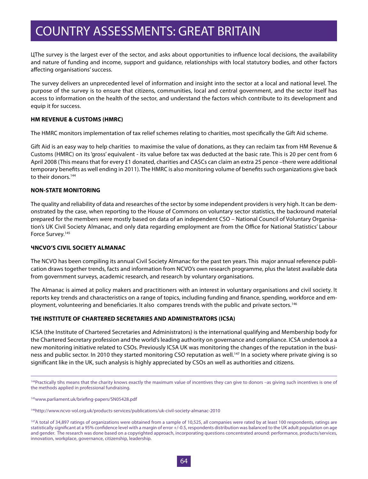ЦThe survey is the largest ever of the sector, and asks about opportunities to influence local decisions, the availability and nature of funding and income, support and guidance, relationships with local statutory bodies, and other factors affecting organisations' success.

The survey delivers an unprecedented level of information and insight into the sector at a local and national level. The purpose of the survey is to ensure that citizens, communities, local and central government, and the sector itself has access to information on the health of the sector, and understand the factors which contribute to its development and equip it for success.

#### **HM REVENUE & CUSTOMS (HMRC)**

The HMRC monitors implementation of tax relief schemes relating to charities, most specifically the Gift Aid scheme.

Gift Aid is an easy way to help charities to maximise the value of donations, as they can reclaim tax from HM Revenue & Customs (HMRC) on its 'gross' equivalent - its value before tax was deducted at the basic rate. This is 20 per cent from 6 April 2008 (This means that for every £1 donated, charities and CASCs can claim an extra 25 pence –there were additional temporary benefits as well ending in 2011). The HMRC is also monitoring volume of benefits such organizations give back to their donors.<sup>144</sup>

#### **NON-STATE MONITORING**

The quality and reliability of data and researches of the sector by some independent providers is very high. It can be demonstrated by the case, when reporting to the House of Commons on voluntary sector statistics, the backround material prepared for the members were mostly based on data of an independent CSO – National Council of Voluntary Organisation's UK Civil Society Almanac, and only data regarding employment are from the Office for National Statistics' Labour Force Survey.<sup>145</sup>

#### **ЧNCVO'S CIVIL SOCIETY ALMANAC**

The NCVO has been compiling its annual Civil Society Almanac for the past ten years. This major annual reference publication draws together trends, facts and information from NCVO's own research programme, plus the latest available data from government surveys, academic research, and research by voluntary organisations.

The Almanac is aimed at policy makers and practitioners with an interest in voluntary organisations and civil society. It reports key trends and characteristics on a range of topics, including funding and finance, spending, workforce and employment, volunteering and beneficiaries. It also compares trends with the public and private sectors.<sup>146</sup>

#### **THE INSTITUTE OF CHARTERED SECRETARIES AND ADMINISTRATORS (ICSA)**

ICSA (the Institute of Chartered Secretaries and Administrators) is the international qualifying and Membership body for the Chartered Secretary profession and the world's leading authority on governance and compliance. ICSA undertook a a new monitoring initiative related to CSOs. Previously ICSA UK was monitoring the changes of the reputation in the business and public sector. In 2010 they started monitoring CSO reputation as well.<sup>147</sup> In a society where private giving is so significant like in the UK, such analysis is highly appreciated by CSOs an well as authorities and citizens.

<sup>&</sup>lt;sup>144</sup>Practically tihs means that the charity knows exactly the maximum value of incentives they can give to donors -as giving such incentives is one of the methods applied in professional fundraising.

<sup>145</sup>www.parliament.uk/briefing-papers/SN05428.pdf

<sup>146</sup>http://www.ncvo-vol.org.uk/products-services/publications/uk-civil-society-almanac-2010

<sup>&</sup>lt;sup>147</sup>A total of 34,897 ratings of organizations were obtained from a sample of 10,525, all companies were rated by at least 100 respondents, ratings are statistically significant at a 95% confidence level with a margin of error +/-0.5, respondents distribution was balanced to the UK adult population on age and gender. The research was done based on a copyrighted approach, incorporating questions concentrated around: performance, products/services, innovation, workplace, governance, citizenship, leadership.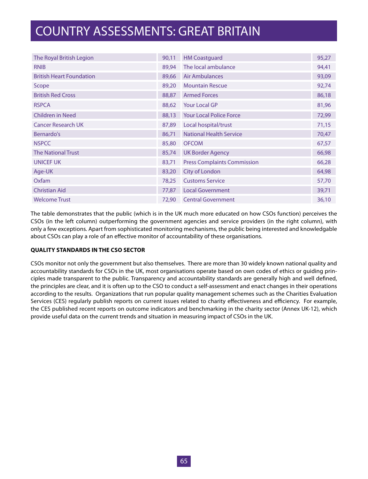| The Royal British Legion        | 90,11 | <b>HM Coastguard</b>               | 95,27 |
|---------------------------------|-------|------------------------------------|-------|
| <b>RNIB</b>                     | 89,94 | The local ambulance                | 94,41 |
| <b>British Heart Foundation</b> | 89,66 | Air Ambulances                     | 93,09 |
| Scope                           | 89,20 | <b>Mountain Rescue</b>             | 92,74 |
| <b>British Red Cross</b>        | 88,87 | <b>Armed Forces</b>                | 86,18 |
| <b>RSPCA</b>                    | 88,62 | Your Local GP                      | 81,96 |
| <b>Children in Need</b>         | 88,13 | <b>Your Local Police Force</b>     | 72,99 |
| <b>Cancer Research UK</b>       | 87,89 | Local hospital/trust               | 71,15 |
| Bernardo's                      | 86,71 | <b>National Health Service</b>     | 70,47 |
| <b>NSPCC</b>                    | 85,80 | <b>OFCOM</b>                       | 67,57 |
| <b>The National Trust</b>       | 85,74 | <b>UK Border Agency</b>            | 66,98 |
| <b>UNICEF UK</b>                | 83,71 | <b>Press Complaints Commission</b> | 66,28 |
| Age-UK                          | 83,20 | City of London                     | 64,98 |
| Oxfam                           | 78,25 | <b>Customs Service</b>             | 57,70 |
| <b>Christian Aid</b>            | 77,87 | <b>Local Government</b>            | 39,71 |
| <b>Welcome Trust</b>            | 72,90 | <b>Central Government</b>          | 36,10 |

The table demonstrates that the public (which is in the UK much more educated on how CSOs function) perceives the CSOs (in the left column) outperforming the government agencies and service providers (in the right column), with only a few exceptions. Apart from sophisticated monitoring mechanisms, the public being interested and knowledgable about CSOs can play a role of an effective monitor of accountability of these organisations.

#### **QUALITY STANDARDS IN THE CSO SECTOR**

CSOs monitor not only the government but also themselves. There are more than 30 widely known national quality and accountability standards for CSOs in the UK, most organisations operate based on own codes of ethics or guiding principles made transparent to the public. Transparency and accountability standards are generally high and well defined, the principles are clear, and it is often up to the CSO to conduct a self-assessment and enact changes in their operations according to the results. Organizations that run popular quality management schemes such as the Charities Evaluation Services (CES) regularly publish reports on current issues related to charity effectiveness and efficiency. For example, the CES published recent reports on outcome indicators and benchmarking in the charity sector (Annex UK-12), which provide useful data on the current trends and situation in measuring impact of CSOs in the UK.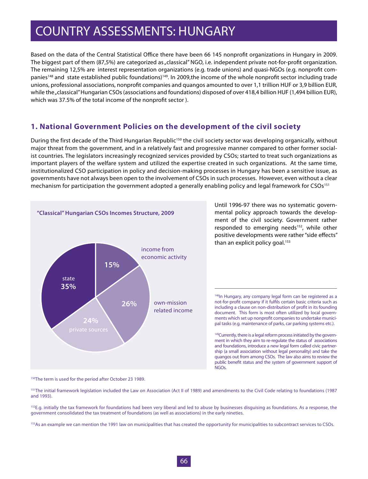Based on the data of the Central Statistical Office there have been 66 145 nonprofit organizations in Hungary in 2009. The biggest part of them (87,5%) are categorized as "classical" NGO, i.e. independent private not-for-profit organization. The remaining 12,5% are interest representation organizations (e.g. trade unions) and quasi-NGOs (e.g. nonprofit companies<sup>148</sup> and state established public foundations)<sup>149</sup>. In 2009,the income of the whole nonprofit sector including trade unions, professional associations, nonprofit companies and quangos amounted to over 1,1 trillion HUF or 3,9 billion EUR, while the "classical" Hungarian CSOs (associations and foundations) disposed of over 418,4 billion HUF (1,494 billion EUR), which was 37.5% of the total income of the nonprofit sector ).

### **1. National Government Policies on the development of the civil society**

During the first decade of the Third Hungarian Republic<sup>150</sup> the civil society sector was developing organically, without major threat from the government, and in a relatively fast and progressive manner compared to other former socialist countries. The legislators increasingly recognized services provided by CSOs; started to treat such organizations as important players of the welfare system and utilized the expertise created in such organizations. At the same time, institutionalized CSO participation in policy and decision-making processes in Hungary has been a sensitive issue, as governments have not always been open to the involvement of CSOs in such processes. However, even without a clear mechanism for participation the government adopted a generally enabling policy and legal framework for CSOs<sup>151</sup>



Until 1996-97 there was no systematic governmental policy approach towards the development of the civil society. Government rather responded to emerging needs<sup>152</sup>, while other positive developments were rather "side effects" than an explicit policy goal. $153$ 

148In Hungary, any company legal form can be registered as a not-for-profit company if it fulfils certain basic criteria such as including a clause on non-distribution of profit in its founding document. This form is most often utilized by local governments which set up nonprofit companies to undertake municipal tasks (e.g. maintenance of parks, car parking systems etc.).

<sup>149</sup>Currently, there is a legal reform process initiated by the government in which they aim to re-regulate the status of associations and foundations, introduce a new legal form called civic partnership (a small association without legal personality) and take the quangos out from among CSOs. The law also aims to review the public benefit status and the system of government support of NGOs.

<sup>150</sup>The term is used for the period after October 23 1989.

151The initial framework legislation included the Law on Association (Act II of 1989) and amendments to the Civil Code relating to foundations (1987 and 1993).

<sup>152</sup>E.g. initially the tax framework for foundations had been very liberal and led to abuse by businesses disguising as foundations. As a response, the government consolidated the tax treatment of foundations (as well as associations) in the early nineties.

<sup>153</sup>As an example we can mention the 1991 law on municipalities that has created the opportunity for municipalities to subcontract services to CSOs.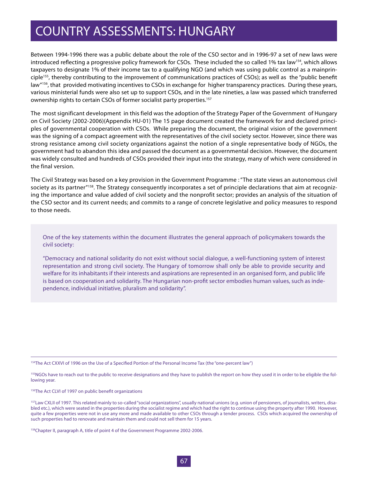Between 1994-1996 there was a public debate about the role of the CSO sector and in 1996-97 a set of new laws were introduced reflecting a progressive policy framework for CSOs. These included the so called 1% tax law<sup>154</sup>, which allows taxpayers to designate 1% of their income tax to a qualifying NGO (and which was using public control as a mainprinciple155, thereby contributing to the improvement of communications practices of CSOs); as well as the "public benefit law"<sup>156</sup>, that provided motivating incentives to CSOs in exchange for higher transparency practices. During these years, various ministerial funds were also set up to support CSOs, and in the late nineties, a law was passed which transferred ownership rights to certain CSOs of former socialist party properties.<sup>157</sup>

The most significant development in this field was the adoption of the Strategy Paper of the Government of Hungary on Civil Society (2002-2006)(Appendix HU-01) The 15 page document created the framework for and declared principles of governmental cooperation with CSOs. While preparing the document, the original vision of the government was the signing of a compact agreement with the representatives of the civil society sector. However, since there was strong resistance among civil society organizations against the notion of a single representative body of NGOs, the government had to abandon this idea and passed the document as a governmental decision. However, the document was widely consulted and hundreds of CSOs provided their input into the strategy, many of which were considered in the final version.

The Civil Strategy was based on a key provision in the Government Programme : "The state views an autonomous civil society as its partner<sup>"158</sup>. The Strategy consequently incorporates a set of principle declarations that aim at recognizing the importance and value added of civil society and the nonprofit sector; provides an analysis of the situation of the CSO sector and its current needs; and commits to a range of concrete legislative and policy measures to respond to those needs.

One of the key statements within the document illustrates the general approach of policymakers towards the civil society:

"Democracy and national solidarity do not exist without social dialogue, a well-functioning system of interest representation and strong civil society. The Hungary of tomorrow shall only be able to provide security and welfare for its inhabitants if their interests and aspirations are represented in an organised form, and public life is based on cooperation and solidarity. The Hungarian non-profit sector embodies human values, such as independence, individual initiative, pluralism and solidarity".

154The Act CXXVI of 1996 on the Use of a Specified Portion of the Personal Income Tax (the "one-percent law")

<sup>155</sup>NGOs have to reach out to the public to receive designations and they have to publish the report on how they used it in order to be eligible the following year.

156The Act CLVI of 1997 on public benefit organizations

<sup>157</sup>Law CXLII of 1997. This related mainly to so-called "social organizations", usually national unions (e.g. union of pensioners, of journalists, writers, disabled etc.), which were seated in the properties during the socialist regime and which had the right to continue using the property after 1990. However, quite a few properties were not in use any more and made available to other CSOs through a tender process. CSOs which acquired the ownership of such properties had to renovate and maintain them and could not sell them for 15 years.

158Chapter II, paragraph A, title of point 4 of the Government Programme 2002-2006.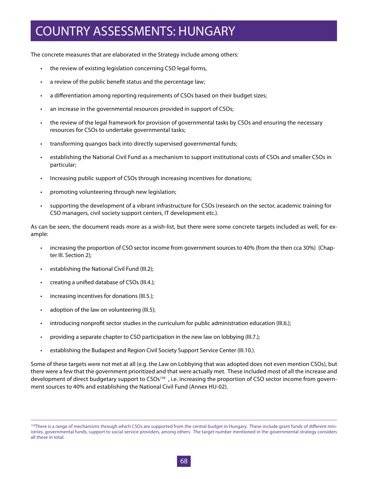The concrete measures that are elaborated in the Strategy include among others:

- the review of existing legislation concerning CSO legal forms,
- a review of the public benefit status and the percentage law;
- a differentiation among reporting requirements of CSOs based on their budget sizes;
- an increase in the governmental resources provided in support of CSOs:
- the review of the legal framework for provision of governmental tasks by CSOs and ensuring the necessary resources for CSOs to undertake governmental tasks;
- transforming quangos back into directly supervised governmental funds;
- • establishing the National Civil Fund as a mechanism to support institutional costs of CSOs and smaller CSOs in particular;
- Increasing public support of CSOs through increasing incentives for donations;
- promoting volunteering through new legislation;
- • supporting the development of a vibrant infrastructure for CSOs (research on the sector, academic training for CSO managers, civil society support centers, IT development etc.).

As can be seen, the document reads more as a wish-list, but there were some concrete targets included as well, for example:

- • increasing the proportion of CSO sector income from government sources to 40% (from the then cca 30%) (Chapter III. Section 2);
- establishing the National Civil Fund (III.2);
- creating a unified database of CSOs (III.4.);
- increasing incentives for donations (III.5.);
- adoption of the law on volunteering (III.5);
- introducing nonprofit sector studies in the curriculum for public administration education (III.6.);
- providing a separate chapter to CSO participation in the new law on lobbying (III.7.);
- establishing the Budapest and Region Civil Society Support Service Center (III.10.).

Some of these targets were not met at all (e.g. the Law on Lobbying that was adopted does not even mention CSOs), but there were a few that the government prioritized and that were actually met. These included most of all the increase and development of direct budgetary support to CSOs<sup>159</sup>, i.e. increasing the proportion of CSO sector income from government sources to 40% and establishing the National Civil Fund (Annex HU-02).

<sup>&</sup>lt;sup>159</sup>There is a range of mechanisms through which CSOs are supported from the central budget in Hungary. These include grant funds of different ministries, governmental funds, support to social service providers, among others. The target number mentioned in the governmental strategy considers all these in total.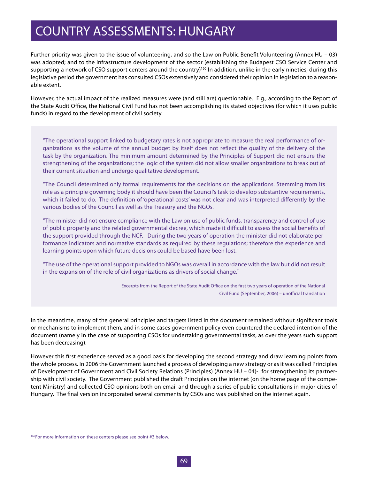Further priority was given to the issue of volunteering, and so the Law on Public Benefit Volunteering (Annex HU – 03) was adopted; and to the infrastructure development of the sector (establishing the Budapest CSO Service Center and supporting a network of CSO support centers around the country)<sup>160</sup> In addition, unlike in the early nineties, during this legislative period the government has consulted CSOs extensively and considered their opinion in legislation to a reasonable extent.

However, the actual impact of the realized measures were (and still are) questionable. E.g., according to the Report of the State Audit Office, the National Civil Fund has not been accomplishing its stated objectives (for which it uses public funds) in regard to the development of civil society.

"The operational support linked to budgetary rates is not appropriate to measure the real performance of organizations as the volume of the annual budget by itself does not reflect the quality of the delivery of the task by the organization. The minimum amount determined by the Principles of Support did not ensure the strengthening of the organizations; the logic of the system did not allow smaller organizations to break out of their current situation and undergo qualitative development.

"The Council determined only formal requirements for the decisions on the applications. Stemming from its role as a principle governing body it should have been the Council's task to develop substantive requirements, which it failed to do. The definition of 'operational costs' was not clear and was interpreted differently by the various bodies of the Council as well as the Treasury and the NGOs.

"The minister did not ensure compliance with the Law on use of public funds, transparency and control of use of public property and the related governmental decree, which made it difficult to assess the social benefits of the support provided through the NCF. During the two years of operation the minister did not elaborate performance indicators and normative standards as required by these regulations; therefore the experience and learning points upon which future decisions could be based have been lost.

"The use of the operational support provided to NGOs was overall in accordance with the law but did not result in the expansion of the role of civil organizations as drivers of social change."

> Excerpts from the Report of the State Audit Office on the first two years of operation of the National Civil Fund (September, 2006) – unofficial translation

In the meantime, many of the general principles and targets listed in the document remained without significant tools or mechanisms to implement them, and in some cases government policy even countered the declared intention of the document (namely in the case of supporting CSOs for undertaking governmental tasks, as over the years such support has been decreasing).

However this first experience served as a good basis for developing the second strategy and draw learning points from the whole process. In 2006 the Government launched a process of developing a new strategy or as it was called Principles of Development of Government and Civil Society Relations (Principles) (Annex HU – 04)- for strengthening its partnership with civil society. The Government published the draft Principles on the internet (on the home page of the competent Ministry) and collected CSO opinions both on email and through a series of public consultations in major cities of Hungary. The final version incorporated several comments by CSOs and was published on the internet again.

<sup>&</sup>lt;sup>160</sup>For more information on these centers please see point #3 below.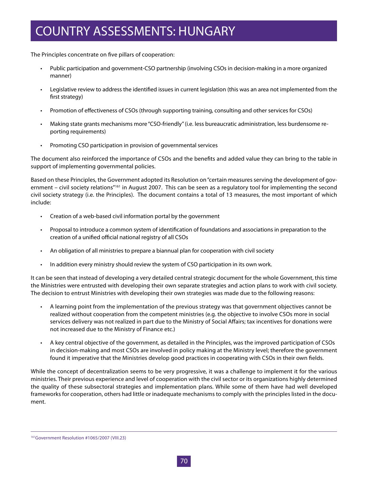The Principles concentrate on five pillars of cooperation:

- • Public participation and government-CSO partnership (involving CSOs in decision-making in a more organized manner)
- Legislative review to address the identified issues in current legislation (this was an area not implemented from the first strategy)
- • Promotion of effectiveness of CSOs (through supporting training, consulting and other services for CSOs)
- Making state grants mechanisms more "CSO-friendly" (i.e. less bureaucratic administration, less burdensome reporting requirements)
- • Promoting CSO participation in provision of governmental services

The document also reinforced the importance of CSOs and the benefits and added value they can bring to the table in support of implementing governmental policies.

Based on these Principles, the Government adopted its Resolution on "certain measures serving the development of government – civil society relations<sup>"161</sup> in August 2007. This can be seen as a regulatory tool for implementing the second civil society strategy (i.e. the Principles). The document contains a total of 13 measures, the most important of which include:

- • Creation of a web-based civil information portal by the government
- • Proposal to introduce a common system of identification of foundations and associations in preparation to the creation of a unified official national registry of all CSOs
- • An obligation of all ministries to prepare a biannual plan for cooperation with civil society
- • In addition every ministry should review the system of CSO participation in its own work.

It can be seen that instead of developing a very detailed central strategic document for the whole Government, this time the Ministries were entrusted with developing their own separate strategies and action plans to work with civil society. The decision to entrust Ministries with developing their own strategies was made due to the following reasons:

- • A learning point from the implementation of the previous strategy was that government objectives cannot be realized without cooperation from the competent ministries (e.g. the objective to involve CSOs more in social services delivery was not realized in part due to the Ministry of Social Affairs; tax incentives for donations were not increased due to the Ministry of Finance etc.)
- • A key central objective of the government, as detailed in the Principles, was the improved participation of CSOs in decision-making and most CSOs are involved in policy making at the Ministry level; therefore the government found it imperative that the Ministries develop good practices in cooperating with CSOs in their own fields.

While the concept of decentralization seems to be very progressive, it was a challenge to implement it for the various ministries. Their previous experience and level of cooperation with the civil sector or its organizations highly determined the quality of these subsectoral strategies and implementation plans. While some of them have had well developed frameworks for cooperation, others had little or inadequate mechanisms to comply with the principles listed in the document.

<sup>161</sup>Government Resolution #1065/2007 (VIII.23)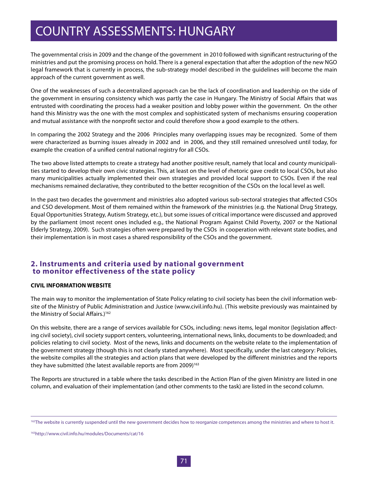The governmental crisis in 2009 and the change of the government in 2010 followed with significant restructuring of the ministries and put the promising process on hold. There is a general expectation that after the adoption of the new NGO legal framework that is currently in process, the sub-strategy model described in the guidelines will become the main approach of the current government as well.

One of the weaknesses of such a decentralized approach can be the lack of coordination and leadership on the side of the government in ensuring consistency which was partly the case in Hungary. The Ministry of Social Affairs that was entrusted with coordinating the process had a weaker position and lobby power within the government. On the other hand this Ministry was the one with the most complex and sophisticated system of mechanisms ensuring cooperation and mutual assistance with the nonprofit sector and could therefore show a good example to the others.

In comparing the 2002 Strategy and the 2006 Principles many overlapping issues may be recognized. Some of them were characterized as burning issues already in 2002 and in 2006, and they still remained unresolved until today, for example the creation of a unified central national registry for all CSOs.

The two above listed attempts to create a strategy had another positive result, namely that local and county municipalities started to develop their own civic strategies. This, at least on the level of rhetoric gave credit to local CSOs, but also many municipalities actually implemented their own strategies and provided local support to CSOs. Even if the real mechanisms remained declarative, they contributed to the better recognition of the CSOs on the local level as well.

In the past two decades the government and ministries also adopted various sub-sectoral strategies that affected CSOs and CSO development. Most of them remained within the framework of the ministries (e.g. the National Drug Strategy, Equal Opportunities Strategy, Autism Strategy, etc.), but some issues of critical importance were discussed and approved by the parliament (most recent ones included e.g., the National Program Against Child Poverty, 2007 or the National Elderly Strategy, 2009). Such strategies often were prepared by the CSOs in cooperation with relevant state bodies, and their implementation is in most cases a shared responsibility of the CSOs and the government.

### **2. Instruments and criteria used by national government to monitor effectiveness of the state policy**

#### **CIVIL INFORMATION WEBSITE**

The main way to monitor the implementation of State Policy relating to civil society has been the civil information website of the Ministry of Public Administration and Justice (www.civil.info.hu). (This website previously was maintained by the Ministry of Social Affairs.)<sup>162</sup>

On this website, there are a range of services available for CSOs, including: news items, legal monitor (legislation affecting civil society), civil society support centers, volunteering, international news, links, documents to be downloaded; and policies relating to civil society. Most of the news, links and documents on the website relate to the implementation of the government strategy (though this is not clearly stated anywhere). Most specifically, under the last category: Policies, the website compiles all the strategies and action plans that were developed by the different ministries and the reports they have submitted (the latest available reports are from  $2009$ <sup>163</sup>

The Reports are structured in a table where the tasks described in the Action Plan of the given Ministry are listed in one column, and evaluation of their implementation (and other comments to the task) are listed in the second column.

163http://www.civil.info.hu/modules/Documents/cat/16

<sup>&</sup>lt;sup>162</sup>The website is currently suspended until the new government decides how to reorganize competences among the ministries and where to host it.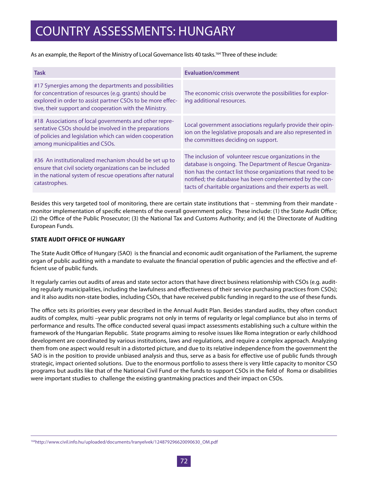As an example, the Report of the Ministry of Local Governance lists 40 tasks.<sup>164</sup> Three of these include:

| <b>Task</b>                                                                                                                                                                                                                             | <b>Evaluation/comment</b>                                                                                                                                                                                                                                                                                      |
|-----------------------------------------------------------------------------------------------------------------------------------------------------------------------------------------------------------------------------------------|----------------------------------------------------------------------------------------------------------------------------------------------------------------------------------------------------------------------------------------------------------------------------------------------------------------|
| #17 Synergies among the departments and possibilities<br>for concentration of resources (e.g. grants) should be<br>explored in order to assist partner CSOs to be more effec-<br>tive, their support and cooperation with the Ministry. | The economic crisis overwrote the possibilities for explor-<br>ing additional resources.                                                                                                                                                                                                                       |
| #18 Associations of local governments and other repre-<br>sentative CSOs should be involved in the preparations<br>of policies and legislation which can widen cooperation<br>among municipalities and CSOs.                            | Local government associations regularly provide their opin-<br>ion on the legislative proposals and are also represented in<br>the committees deciding on support.                                                                                                                                             |
| #36 An institutionalized mechanism should be set up to<br>ensure that civil society organizations can be included<br>in the national system of rescue operations after natural<br>catastrophes.                                         | The inclusion of volunteer rescue organizations in the<br>database is ongoing. The Department of Rescue Organiza-<br>tion has the contact list those organizations that need to be<br>notified; the database has been complemented by the con-<br>tacts of charitable organizations and their experts as well. |

Besides this very targeted tool of monitoring, there are certain state institutions that – stemming from their mandate monitor implementation of specific elements of the overall government policy. These include: (1) the State Audit Office; (2) the Office of the Public Prosecutor; (3) the National Tax and Customs Authority; and (4) the Directorate of Auditing European Funds.

#### **STATE AUDIT OFFICE OF HUNGARY**

The State Audit Office of Hungary (SAO) is the financial and economic audit organisation of the Parliament, the supreme organ of public auditing with a mandate to evaluate the financial operation of public agencies and the effective and efficient use of public funds.

It regularly carries out audits of areas and state sector actors that have direct business relationship with CSOs (e.g. auditing regularly municipalities, including the lawfulness and effectiveness of their service purchasing practices from CSOs); and it also audits non-state bodies, including CSOs, that have received public funding in regard to the use of these funds.

The office sets its priorities every year described in the Annual Audit Plan. Besides standard audits, they often conduct audits of complex, multi –year public programs not only in terms of regularity or legal compliance but also in terms of performance and results. The office conducted several quasi impact assessments establishing such a culture within the framework of the Hungarian Republic. State programs aiming to resolve issues like Roma integration or early childhood development are coordinated by various institutions, laws and regulations, and require a complex approach. Analyzing them from one aspect would result in a distorted picture, and due to its relative independence from the government the SAO is in the position to provide unbiased analysis and thus, serve as a basis for effective use of public funds through strategic, impact oriented solutions. Due to the enormous portfolio to assess there is very little capacity to monitor CSO programs but audits like that of the National Civil Fund or the funds to support CSOs in the field of Roma or disabilities were important studies to challenge the existing grantmaking practices and their impact on CSOs.

164http://www.civil.info.hu/uploaded/documents/Iranyelvek/124879296620090630\_OM.pdf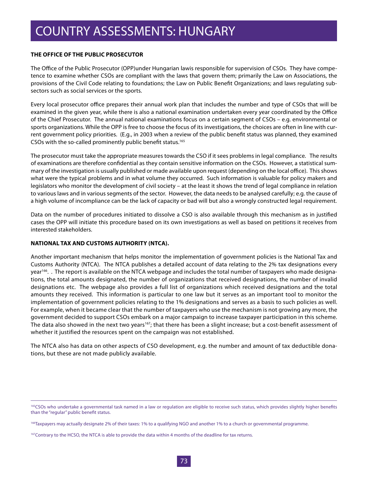### **THE OFFICE OF THE PUBLIC PROSECUTOR**

The Office of the Public Prosecutor (OPP)under Hungarian lawis responsible for supervision of CSOs. They have competence to examine whether CSOs are compliant with the laws that govern them; primarily the Law on Associations, the provisions of the Civil Code relating to foundations; the Law on Public Benefit Organizations; and laws regulating subsectors such as social services or the sports.

Every local prosecutor office prepares their annual work plan that includes the number and type of CSOs that will be examined in the given year, while there is also a national examination undertaken every year coordinated by the Office of the Chief Prosecutor. The annual national examinations focus on a certain segment of CSOs – e.g. environmental or sports organizations. While the OPP is free to choose the focus of its investigations, the choices are often in line with current government policy priorities. (E.g., in 2003 when a review of the public benefit status was planned, they examined CSOs with the so-called prominently public benefit status.165

The prosecutor must take the appropriate measures towards the CSO if it sees problems in legal compliance. The results of examinations are therefore confidential as they contain sensitive information on the CSOs. However, a statistical summary of the investigation is usually published or made available upon request (depending on the local office). This shows what were the typical problems and in what volume they occurred. Such information is valuable for policy makers and legislators who monitor the development of civil society – at the least it shows the trend of legal compliance in relation to various laws and in various segments of the sector. However, the data needs to be analysed carefully; e.g. the cause of a high volume of incompliance can be the lack of capacity or bad will but also a wrongly constructed legal requirement.

Data on the number of procedures initiated to dissolve a CSO is also available through this mechanism as in justified cases the OPP will initiate this procedure based on its own investigations as well as based on petitions it receives from interested stakeholders.

#### **NATIONAL TAX AND CUSTOMS AUTHORITY (NTCA).**

Another important mechanism that helps monitor the implementation of government policies is the National Tax and Customs Authority (NTCA). The NTCA publishes a detailed account of data relating to the 2% tax designations every year<sup>166</sup>. . The report is available on the NTCA webpage and includes the total number of taxpayers who made designations, the total amounts designated, the number of organizations that received designations, the number of invalid designations etc. The webpage also provides a full list of organizations which received designations and the total amounts they received. This information is particular to one law but it serves as an important tool to monitor the implementation of government policies relating to the 1% designations and serves as a basis to such policies as well. For example, when it became clear that the number of taxpayers who use the mechanism is not growing any more, the government decided to support CSOs embark on a major campaign to increase taxpayer participation in this scheme. The data also showed in the next two years<sup>167</sup>; that there has been a slight increase; but a cost-benefit assessment of whether it justified the resources spent on the campaign was not established.

The NTCA also has data on other aspects of CSO development, e.g. the number and amount of tax deductible donations, but these are not made publicly available.

<sup>&</sup>lt;sup>165</sup>CSOs who undertake a governmental task named in a law or regulation are eligible to receive such status, which provides slightly higher benefits than the "regular" public benefit status.

<sup>&</sup>lt;sup>166</sup>Taxpayers may actually designate 2% of their taxes: 1% to a qualifying NGO and another 1% to a church or governmental programme.

<sup>&</sup>lt;sup>167</sup>Contrary to the HCSO, the NTCA is able to provide the data within 4 months of the deadline for tax returns.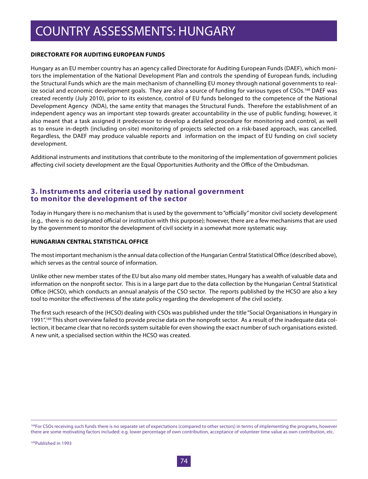### **DIRECTORATE FOR AUDITING EUROPEAN FUNDS**

Hungary as an EU member country has an agency called Directorate for Auditing European Funds (DAEF), which monitors the implementation of the National Development Plan and controls the spending of European funds, including the Structural Funds which are the main mechanism of channelling EU money through national governments to realize social and economic development goals. They are also a source of funding for various types of CSOs.<sup>168</sup> DAEF was created recently (July 2010), prior to its existence, control of EU funds belonged to the competence of the National Development Agency (NDA), the same entity that manages the Structural Funds. Therefore the establishment of an independent agency was an important step towards greater accountability in the use of public funding; however, it also meant that a task assigned it predecessor to develop a detailed procedure for monitoring and control, as well as to ensure in-depth (including on-site) monitoring of projects selected on a risk-based approach, was cancelled. Regardless, the DAEF may produce valuable reports and information on the impact of EU funding on civil society development.

Additional instruments and institutions that contribute to the monitoring of the implementation of government policies affecting civil society development are the Equal Opportunities Authority and the Office of the Ombudsman*.* 

### **3. Instruments and criteria used by national government to monitor the development of the sector**

Today in Hungary there is no mechanism that is used by the government to "officially" monitor civil society development (e.g., there is no designated official or institution with this purpose); however, there are a few mechanisms that are used by the government to monitor the development of civil society in a somewhat more systematic way.

#### **HUNGARIAN CENTRAL STATISTICAL OFFICE**

The most important mechanism is the annual data collection of the Hungarian Central Statistical Office (described above), which serves as the central source of information.

Unlike other new member states of the EU but also many old member states, Hungary has a wealth of valuable data and information on the nonprofit sector. This is in a large part due to the data collection by the Hungarian Central Statistical Office (HCSO), which conducts an annual analysis of the CSO sector. The reports published by the HCSO are also a key tool to monitor the effectiveness of the state policy regarding the development of the civil society.

The first such research of the (HCSO) dealing with CSOs was published under the title "Social Organisations in Hungary in 1991".169 This short overview failed to provide precise data on the nonprofit sector. As a result of the inadequate data collection, it became clear that no records system suitable for even showing the exact number of such organisations existed. A new unit, a specialised section within the HCSO was created.

<sup>&</sup>lt;sup>168</sup>For CSOs receiving such funds there is no separate set of expectations (compared to other sectors) in terms of implementing the programs, however there are some motivating factors included: e.g. lower percentage of own contribution, acceptance of volunteer time value as own contribution, etc.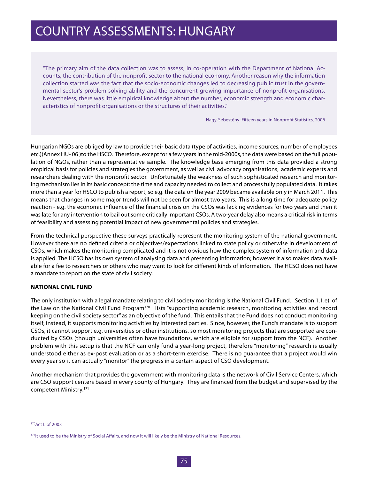### COUNTRY ASSESSMENTS: HUNGARY

"The primary aim of the data collection was to assess, in co-operation with the Department of National Accounts, the contribution of the nonprofit sector to the national economy. Another reason why the information collection started was the fact that the socio-economic changes led to decreasing public trust in the governmental sector's problem-solving ability and the concurrent growing importance of nonprofit organisations. Nevertheless, there was little empirical knowledge about the number, economic strength and economic characteristics of nonprofit organisations or the structures of their activities."

Nagy-Sebestény: Fifteen years in Nonprofit Statistics, 2006

Hungarian NGOs are obliged by law to provide their basic data (type of activities, income sources, number of employees etc.)(Annex HU- 06 )to the HSCO. Therefore, except for a few years in the mid-2000s, the data were based on the full population of NGOs, rather than a representative sample. The knowledge base emerging from this data provided a strong empirical basis for policies and strategies the government, as well as civil advocacy organisations, academic experts and researchers dealing with the nonprofit sector. Unfortunately the weakness of such sophisticated research and monitoring mechanism lies in its basic concept: the time and capacity needed to collect and process fully populated data. It takes more than a year for HSCO to publish a report, so e.g. the data on the year 2009 became available only in March 2011. This means that changes in some major trends will not be seen for almost two years. This is a long time for adequate policy reaction - e.g. the economic influence of the financial crisis on the CSOs was lacking evidences for two years and then it was late for any intervention to bail out some critically important CSOs. A two-year delay also means a critical risk in terms of feasibility and assessing potential impact of new governmental policies and strategies.

From the technical perspective these surveys practically represent the monitoring system of the national government. However there are no defined criteria or objectives/expectations linked to state policy or otherwise in development of CSOs, which makes the monitoring complicated and it is not obvious how the complex system of information and data is applied. The HCSO has its own system of analysing data and presenting information; however it also makes data available for a fee to researchers or others who may want to look for different kinds of information. The HCSO does not have a mandate to report on the state of civil society.

#### **NATIONAL CIVIL FUND**

The only institution with a legal mandate relating to civil society monitoring is the National Civil Fund. Section 1.1.e) of the Law on the National Civil Fund Program<sup>170</sup> lists "supporting academic research, monitoring activities and record keeping on the civil society sector" as an objective of the fund. This entails that the Fund does not conduct monitoring itself, instead, it supports monitoring activities by interested parties. Since, however, the Fund's mandate is to support CSOs, it cannot support e.g. universities or other institutions, so most monitoring projects that are supported are conducted by CSOs (though universities often have foundations, which are eligible for support from the NCF). Another problem with this setup is that the NCF can only fund a year-long project, therefore "monitoring" research is usually understood either as ex-post evaluation or as a short-term exercise. There is no guarantee that a project would win every year so it can actually "monitor" the progress in a certain aspect of CSO development.

Another mechanism that provides the government with monitoring data is the network of Civil Service Centers, which are CSO support centers based in every county of Hungary. They are financed from the budget and supervised by the competent Ministry.171

170Act L of 2003

<sup>&</sup>lt;sup>171</sup>It used to be the Ministry of Social Affairs, and now it will likely be the Ministry of National Resources.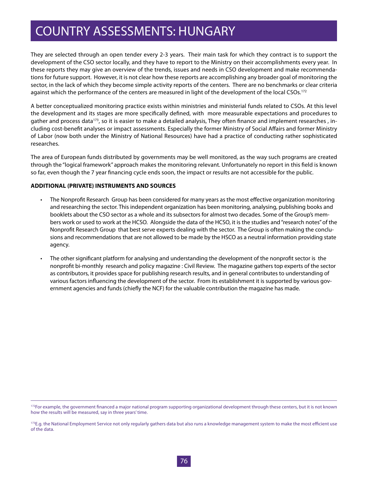### COUNTRY ASSESSMENTS: HUNGARY

They are selected through an open tender every 2-3 years. Their main task for which they contract is to support the development of the CSO sector locally, and they have to report to the Ministry on their accomplishments every year. In these reports they may give an overview of the trends, issues and needs in CSO development and make recommendations for future support. However, it is not clear how these reports are accomplishing any broader goal of monitoring the sector, in the lack of which they become simple activity reports of the centers. There are no benchmarks or clear criteria against which the performance of the centers are measured in light of the development of the local CSOs.<sup>172</sup>

A better conceptualized monitoring practice exists within ministries and ministerial funds related to CSOs. At this level the development and its stages are more specifically defined, with more measurable expectations and procedures to gather and process data173, so it is easier to make a detailed analysis, They often finance and implement researches , including cost-benefit analyses or impact assessments. Especially the former Ministry of Social Affairs and former Ministry of Labor (now both under the Ministry of National Resources) have had a practice of conducting rather sophisticated researches.

The area of European funds distributed by governments may be well monitored, as the way such programs are created through the "logical framework" approach makes the monitoring relevant. Unfortunately no report in this field is known so far, even though the 7 year financing cycle ends soon, the impact or results are not accessible for the public.

### **ADDITIONAL (PRIVATE) INSTRUMENTS AND SOURCES**

- • The Nonprofit Research Group has been considered for many years as the most effective organization monitoring and researching the sector. This independent organization has been monitoring, analysing, publishing books and booklets about the CSO sector as a whole and its subsectors for almost two decades. Some of the Group's members work or used to work at the HCSO. Alongside the data of the HCSO, it is the studies and "research notes" of the Nonprofit Research Group that best serve experts dealing with the sector. The Group is often making the conclusions and recommendations that are not allowed to be made by the HSCO as a neutral information providing state agency.
- The other significant platform for analysing and understanding the development of the nonprofit sector is the nonprofit bi-monthly research and policy magazine : Civil Review. The magazine gathers top experts of the sector as contributors, it provides space for publishing research results, and in general contributes to understanding of various factors influencing the development of the sector. From its establishment it is supported by various government agencies and funds (chiefly the NCF) for the valuable contribution the magazine has made.

<sup>&</sup>lt;sup>172</sup>For example, the government financed a major national program supporting organizational development through these centers, but it is not known how the results will be measured, say in three years' time.

<sup>&</sup>lt;sup>173</sup>E.g. the National Employment Service not only regularly gathers data but also runs a knowledge management system to make the most efficient use of the data.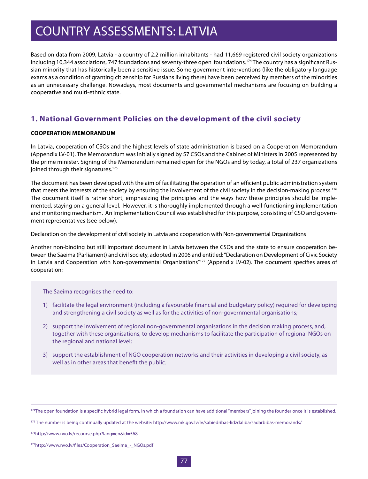Based on data from 2009, Latvia - a country of 2.2 million inhabitants - had 11,669 registered civil society organizations including 10,344 associations, 747 foundations and seventy-three open foundations.<sup>174</sup> The country has a significant Russian minority that has historically been a sensitive issue. Some government interventions (like the obligatory language exams as a condition of granting citizenship for Russians living there) have been perceived by members of the minorities as an unnecessary challenge. Nowadays, most documents and governmental mechanisms are focusing on building a cooperative and multi-ethnic state.

### **1. National Government Policies on the development of the civil society**

### **COOPERATION MEMORANDUM**

In Latvia, cooperation of CSOs and the highest levels of state administration is based on a Cooperation Memorandum (Appendix LV-01). The Memorandum was initially signed by 57 CSOs and the Cabinet of Ministers in 2005 represented by the prime minister. Signing of the Memorandum remained open for the NGOs and by today, a total of 237 organizations joined through their signatures.<sup>175</sup>

The document has been developed with the aim of facilitating the operation of an efficient public administration system that meets the interests of the society by ensuring the involvement of the civil society in the decision-making process.<sup>176</sup> The document itself is rather short, emphasizing the principles and the ways how these principles should be implemented, staying on a general level. However, it is thoroughly implemented through a well-functioning implementation and monitoring mechanism. An Implementation Council was established for this purpose, consisting of CSO and government representatives (see below).

Declaration on the development of civil society in Latvia and cooperation with Non-governmental Organizations

Another non-binding but still important document in Latvia between the CSOs and the state to ensure cooperation between the Saeima (Parliament) and civil society, adopted in 2006 and entitled: "Declaration on Development of Civic Society in Latvia and Cooperation with Non-governmental Organizations"<sup>177</sup> (Appendix LV-02). The document specifies areas of cooperation:

The Saeima recognises the need to:

- 1) facilitate the legal environment (including a favourable financial and budgetary policy) required for developing and strengthening a civil society as well as for the activities of non-governmental organisations;
- 2) support the involvement of regional non-governmental organisations in the decision making process, and, together with these organisations, to develop mechanisms to facilitate the participation of regional NGOs on the regional and national level;
- 3) support the establishment of NGO cooperation networks and their activities in developing a civil society, as well as in other areas that benefit the public.

<sup>&</sup>lt;sup>174</sup>The open foundation is a specific hybrid legal form, in which a foundation can have additional "members" joining the founder once it is established.

<sup>&</sup>lt;sup>175</sup> The number is being continually updated at the website: http://www.mk.gov.lv/lv/sabiedribas-lidzdaliba/sadarbibas-memorands/

<sup>176</sup>http://www.nvo.lv/recourse.php?lang=en&id=568

<sup>177</sup>http://www.nvo.lv/files/Cooperation\_Saeima\_-\_NGOs.pdf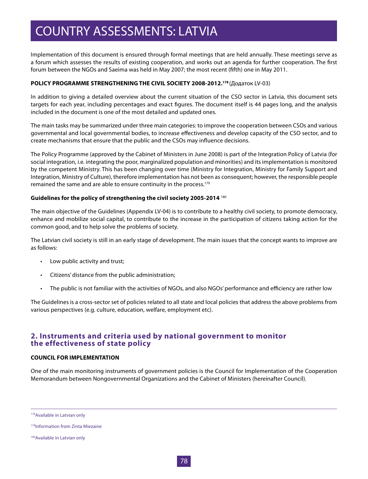Implementation of this document is ensured through formal meetings that are held annually. These meetings serve as a forum which assesses the results of existing cooperation, and works out an agenda for further cooperation. The first forum between the NGOs and Saeima was held in May 2007; the most recent (fifth) one in May 2011.

### **POLICY PROGRAMME STRENGTHENING THE CIVIL SOCIETY 2008-2012.178** (Додаток LV-03)

In addition to giving a detailed overview about the current situation of the CSO sector in Latvia, this document sets targets for each year, including percentages and exact figures. The document itself is 44 pages long, and the analysis included in the document is one of the most detailed and updated ones.

The main tasks may be summarized under three main categories: to improve the cooperation between CSOs and various governmental and local governmental bodies, to increase effectiveness and develop capacity of the CSO sector, and to create mechanisms that ensure that the public and the CSOs may influence decisions.

The Policy Programme (approved by the Cabinet of Ministers in June 2008) is part of the Integration Policy of Latvia (for social integration, i.e. integrating the poor, marginalized population and minorities) and its implementation is monitored by the competent Ministry. This has been changing over time (Ministry for Integration, Ministry for Family Support and Integration, Ministry of Culture), therefore implementation has not been as consequent; however, the responsible people remained the same and are able to ensure continuity in the process.<sup>179</sup>

### **Guidelines for the policy of strengthening the civil society 2005-2014** <sup>180</sup>

The main objective of the Guidelines (Appendix LV-04) is to contribute to a healthy civil society, to promote democracy, enhance and mobilize social capital, to contribute to the increase in the participation of citizens taking action for the common good, and to help solve the problems of society.

The Latvian civil society is still in an early stage of development. The main issues that the concept wants to improve are as follows:

- • Low public activity and trust;
- • Citizens' distance from the public administration;
- • The public is not familiar with the activities of NGOs, and also NGOs' performance and efficiency are rather low

The Guidelines is a cross-sector set of policies related to all state and local policies that address the above problems from various perspectives (e.g. culture, education, welfare, employment etc).

### **2. Instruments and criteria used by national government to monitor the effectiveness of state policy**

#### **COUNCIL FOR IMPLEMENTATION**

One of the main monitoring instruments of government policies is the Council for Implementation of the Cooperation Memorandum between Nongovernmental Organizations and the Cabinet of Ministers (hereinafter Council).

178Available in Latvian only

<sup>179</sup>Information from Zinta Miezaine

<sup>180</sup>Available in Latvian only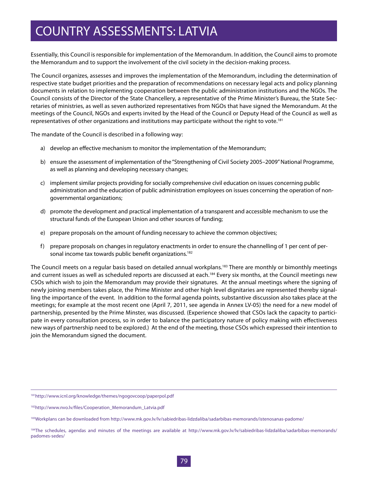Essentially, this Council is responsible for implementation of the Memorandum. In addition, the Council aims to promote the Memorandum and to support the involvement of the civil society in the decision-making process.

The Council organizes, assesses and improves the implementation of the Memorandum, including the determination of respective state budget priorities and the preparation of recommendations on necessary legal acts and policy planning documents in relation to implementing cooperation between the public administration institutions and the NGOs. The Council consists of the Director of the State Chancellery, a representative of the Prime Minister's Bureau, the State Secretaries of ministries, as well as seven authorized representatives from NGOs that have signed the Memorandum. At the meetings of the Council, NGOs and experts invited by the Head of the Council or Deputy Head of the Council as well as representatives of other organizations and institutions may participate without the right to vote.<sup>181</sup>

The mandate of the Council is described in a following way:

- a) develop an effective mechanism to monitor the implementation of the Memorandum;
- b) ensure the assessment of implementation of the "Strengthening of Civil Society 2005–2009" National Programme, as well as planning and developing necessary changes;
- c) implement similar projects providing for socially comprehensive civil education on issues concerning public administration and the education of public administration employees on issues concerning the operation of nongovernmental organizations;
- d) promote the development and practical implementation of a transparent and accessible mechanism to use the structural funds of the European Union and other sources of funding;
- e) prepare proposals on the amount of funding necessary to achieve the common objectives;
- f) prepare proposals on changes in regulatory enactments in order to ensure the channelling of 1 per cent of personal income tax towards public benefit organizations.<sup>182</sup>

The Council meets on a regular basis based on detailed annual workplans.<sup>183</sup> There are monthly or bimonthly meetings and current issues as well as scheduled reports are discussed at each.<sup>184</sup> Every six months, at the Council meetings new CSOs which wish to join the Memorandum may provide their signatures. At the annual meetings where the signing of newly joining members takes place, the Prime Minister and other high level dignitaries are represented thereby signalling the importance of the event. In addition to the formal agenda points, substantive discussion also takes place at the meetings; for example at the most recent one (April 7, 2011, see agenda in Annex LV-05) the need for a new model of partnership, presented by the Prime Minster, was discussed. (Experience showed that CSOs lack the capacity to participate in every consultation process, so in order to balance the participatory nature of policy making with effectiveness new ways of partnership need to be explored.) At the end of the meeting, those CSOs which expressed their intention to join the Memorandum signed the document.

<sup>181</sup>http://www.icnl.org/knowledge/themes/ngogovcoop/paperpol.pdf

<sup>182</sup>http://www.nvo.lv/files/Cooperation\_Memorandum\_Latvia.pdf

<sup>&</sup>lt;sup>183</sup>Workplans can be downloaded from http://www.mk.gov.lv/lv/sabiedribas-lidzdaliba/sadarbibas-memorands/istenosanas-padome/

<sup>184</sup>The schedules, agendas and minutes of the meetings are available at http://www.mk.gov.lv/lv/sabiedribas-lidzdaliba/sadarbibas-memorands/ padomes-sedes/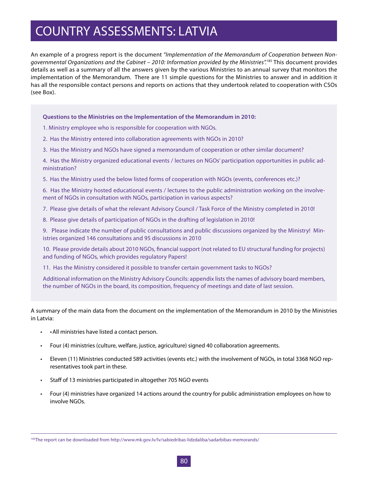An example of a progress report is the document *"Implementation of the Memorandum of Cooperation between Nongovernmental Organizations and the Cabinet – 2010: Information provided by the Ministries".*185 This document provides details as well as a summary of all the answers given by the various Ministries to an annual survey that monitors the implementation of the Memorandum. There are 11 simple questions for the Ministries to answer and in addition it has all the responsible contact persons and reports on actions that they undertook related to cooperation with CSOs (see Box).

#### **Questions to the Ministries on the Implementation of the Memorandum in 2010:**

1. Ministry employee who is responsible for cooperation with NGOs.

2. Has the Ministry entered into collaboration agreements with NGOs in 2010?

3. Has the Ministry and NGOs have signed a memorandum of cooperation or other similar document?

4. Has the Ministry organized educational events / lectures on NGOs' participation opportunities in public administration?

5. Has the Ministry used the below listed forms of cooperation with NGOs (events, conferences etc.)?

6. Has the Ministry hosted educational events / lectures to the public administration working on the involvement of NGOs in consultation with NGOs, participation in various aspects?

7. Please give details of what the relevant Advisory Council / Task Force of the Ministry completed in 2010!

8. Please give details of participation of NGOs in the drafting of legislation in 2010!

9. Please indicate the number of public consultations and public discussions organized by the Ministry! Ministries organized 146 consultations and 95 discussions in 2010

10. Please provide details about 2010 NGOs, financial support (not related to EU structural funding for projects) and funding of NGOs, which provides regulatory Papers!

11. Has the Ministry considered it possible to transfer certain government tasks to NGOs?

Additional information on the Ministry Advisory Councils: appendix lists the names of advisory board members, the number of NGOs in the board, its composition, frequency of meetings and date of last session.

A summary of the main data from the document on the implementation of the Memorandum in 2010 by the Ministries in Latvia:

- • All ministries have listed a contact person.
- • Four (4) ministries (culture, welfare, justice, agriculture) signed 40 collaboration agreements.
- • Eleven (11) Ministries conducted 589 activities (events etc.) with the involvement of NGOs, in total 3368 NGO representatives took part in these.
- • Staff of 13 ministries participated in altogether 705 NGO events
- • Four (4) ministries have organized 14 actions around the country for public administration employees on how to involve NGOs.

<sup>185</sup>The report can be downloaded from http://www.mk.gov.lv/lv/sabiedribas-lidzdaliba/sadarbibas-memorands/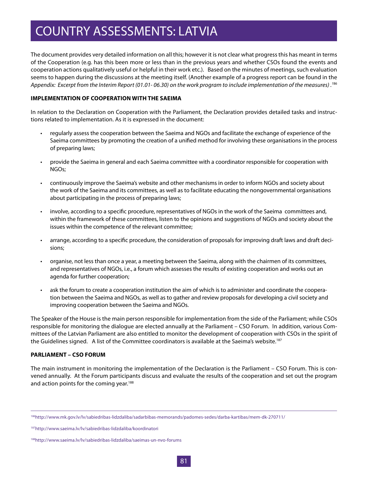The document provides very detailed information on all this; however it is not clear what progress this has meant in terms of the Cooperation (e.g. has this been more or less than in the previous years and whether CSOs found the events and cooperation actions qualitatively useful or helpful in their work etc.). Based on the minutes of meetings, such evaluation seems to happen during the discussions at the meeting itself. (Another example of a progress report can be found in the *Appendix: Excerpt from the Interim Report (01.01- 06.30) on the work program to include implementation of the measures) .1*<sup>86</sup>

### **IMPLEMENTATION OF COOPERATION WITH THE SAEIMA**

In relation to the Declaration on Cooperation with the Parliament, the Declaration provides detailed tasks and instructions related to implementation. As it is expressed in the document:

- regularly assess the cooperation between the Saeima and NGOs and facilitate the exchange of experience of the Saeima committees by promoting the creation of a unified method for involving these organisations in the process of preparing laws;
- • provide the Saeima in general and each Saeima committee with a coordinator responsible for cooperation with NGOs;
- continuously improve the Saeima's website and other mechanisms in order to inform NGOs and society about the work of the Saeima and its committees, as well as to facilitate educating the nongovernmental organisations about participating in the process of preparing laws;
- • involve, according to a specific procedure, representatives of NGOs in the work of the Saeima committees and, within the framework of these committees, listen to the opinions and suggestions of NGOs and society about the issues within the competence of the relevant committee;
- • arrange, according to a specific procedure, the consideration of proposals for improving draft laws and draft decisions;
- organise, not less than once a year, a meeting between the Saeima, along with the chairmen of its committees, and representatives of NGOs, i.e., a forum which assesses the results of existing cooperation and works out an agenda for further cooperation;
- • ask the forum to create a cooperation institution the aim of which is to administer and coordinate the cooperation between the Saeima and NGOs, as well as to gather and review proposals for developing a civil society and improving cooperation between the Saeima and NGOs.

The Speaker of the House is the main person responsible for implementation from the side of the Parliament; while CSOs responsible for monitoring the dialogue are elected annually at the Parliament – CSO Forum. In addition, various Committees of the Latvian Parliament are also entitled to monitor the development of cooperation with CSOs in the spirit of the Guidelines signed. A list of the Committee coordinators is available at the Saeima's website.<sup>187</sup>

#### **PARLIAMENT – CSO FORUM**

The main instrument in monitoring the implementation of the Declaration is the Parliament – CSO Forum. This is convened annually. At the Forum participants discuss and evaluate the results of the cooperation and set out the program and action points for the coming year.<sup>188</sup>

187http://www.saeima.lv/lv/sabiedribas-lidzdaliba/koordinatori

<sup>186</sup>http://www.mk.gov.lv/lv/sabiedribas-lidzdaliba/sadarbibas-memorands/padomes-sedes/darba-kartibas/mem-dk-270711/

<sup>188</sup>http://www.saeima.lv/lv/sabiedribas-lidzdaliba/saeimas-un-nvo-forums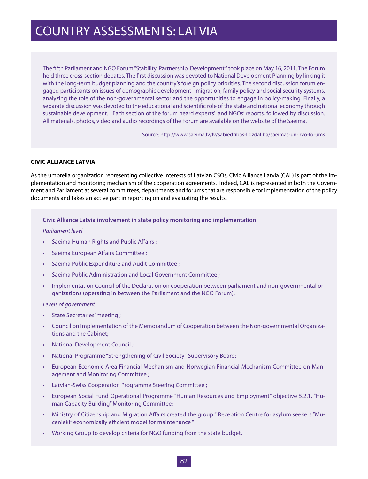The fifth Parliament and NGO Forum "Stability. Partnership. Development " took place on May 16, 2011. The Forum held three cross-section debates. The first discussion was devoted to National Development Planning by linking it with the long-term budget planning and the country's foreign policy priorities. The second discussion forum engaged participants on issues of demographic development - migration, family policy and social security systems, analyzing the role of the non-governmental sector and the opportunities to engage in policy-making. Finally, a separate discussion was devoted to the educational and scientific role of the state and national economy through sustainable development. Each section of the forum heard experts' and NGOs' reports, followed by discussion. All materials, photos, video and audio recordings of the Forum are available on the website of the Saeima.

Source: http://www.saeima.lv/lv/sabiedribas-lidzdaliba/saeimas-un-nvo-forums

### **CIVIC ALLIANCE LATVIA**

As the umbrella organization representing collective interests of Latvian CSOs, Civic Alliance Latvia (CAL) is part of the implementation and monitoring mechanism of the cooperation agreements. Indeed, CAL is represented in both the Government and Parliament at several committees, departments and forums that are responsible for implementation of the policy documents and takes an active part in reporting on and evaluating the results.

#### **Civic Alliance Latvia involvement in state policy monitoring and implementation**

#### *Parliament level*

- Saeima Human Rights and Public Affairs ;
- Saeima European Affairs Committee ;
- Saeima Public Expenditure and Audit Committee ;
- Saeima Public Administration and Local Government Committee ;
- Implementation Council of the Declaration on cooperation between parliament and non-governmental organizations (operating in between the Parliament and the NGO Forum).

#### *Levels of government*

- State Secretaries' meeting;
- Council on Implementation of the Memorandum of Cooperation between the Non-governmental Organizations and the Cabinet;
- **National Development Council;**
- National Programme "Strengthening of Civil Society ' Supervisory Board;
- European Economic Area Financial Mechanism and Norwegian Financial Mechanism Committee on Management and Monitoring Committee ;
- **Latvian-Swiss Cooperation Programme Steering Committee ;**
- European Social Fund Operational Programme "Human Resources and Employment" objective 5.2.1. "Human Capacity Building" Monitoring Committee;
- Ministry of Citizenship and Migration Affairs created the group " Reception Centre for asylum seekers"Mucenieki" economically efficient model for maintenance "
- Working Group to develop criteria for NGO funding from the state budget.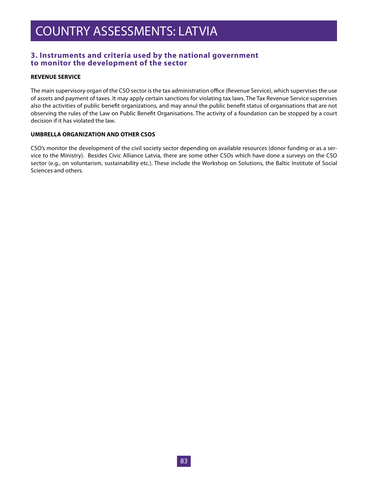### **3. Instruments and criteria used by the national government to monitor the development of the sector**

### **REVENUE SERVICE**

The main supervisory organ of the CSO sector is the tax administration office (Revenue Service), which supervises the use of assets and payment of taxes. It may apply certain sanctions for violating tax laws. The Tax Revenue Service supervises also the activities of public benefit organizations, and may annul the public benefit status of organisations that are not observing the rules of the Law on Public Benefit Organisations. The activity of a foundation can be stopped by a court decision if it has violated the law.

#### **UMBRELLA ORGANIZATION AND OTHER CSOS**

CSO's monitor the development of the civil society sector depending on available resources (donor funding or as a service to the Ministry). Besides Civic Alliance Latvia, there are some other CSOs which have done a surveys on the CSO sector (e.g., on voluntarism, sustainability etc.). These include the Workshop on Solutions, the Baltic Institute of Social Sciences and others.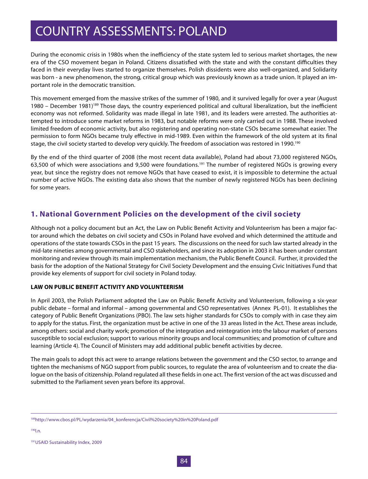During the economic crisis in 1980s when the inefficiency of the state system led to serious market shortages, the new era of the CSO movement began in Poland. Citizens dissatisfied with the state and with the constant difficulties they faced in their everyday lives started to organize themselves. Polish dissidents were also well-organized, and Solidarity was born - a new phenomenon, the strong, critical group which was previously known as a trade union. It played an important role in the democratic transition.

This movement emerged from the massive strikes of the summer of 1980, and it survived legally for over a year (August 1980 – December 1981)189 Those days, the country experienced political and cultural liberalization, but the inefficient economy was not reformed. Solidarity was made illegal in late 1981, and its leaders were arrested. The authorities attempted to introduce some market reforms in 1983, but notable reforms were only carried out in 1988. These involved limited freedom of economic activity, but also registering and operating non-state CSOs became somewhat easier. The permission to form NGOs became truly effective in mid-1989. Even within the framework of the old system at its final stage, the civil society started to develop very quickly. The freedom of association was restored in 1990.<sup>190</sup>

By the end of the third quarter of 2008 (the most recent data available), Poland had about 73,000 registered NGOs, 63,500 of which were associations and 9,500 were foundations.<sup>191</sup> The number of registered NGOs is growing every year, but since the registry does not remove NGOs that have ceased to exist, it is impossible to determine the actual number of active NGOs. The existing data also shows that the number of newly registered NGOs has been declining for some years.

### **1. National Government Policies on the development of the civil society**

Although not a policy document but an Act, the Law on Public Benefit Activity and Volunteerism has been a major factor around which the debates on civil society and CSOs in Poland have evolved and which determined the attitude and operations of the state towards CSOs in the past 15 years. The discussions on the need for such law started already in the mid-late nineties among governmental and CSO stakeholders, and since its adoption in 2003 it has been under constant monitoring and review through its main implementation mechanism, the Public Benefit Council. Further, it provided the basis for the adoption of the National Strategy for Civil Society Development and the ensuing Civic Initiatives Fund that provide key elements of support for civil society in Poland today.

### **LAW ON PUBLIC BENEFIT ACTIVITY AND VOLUNTEERISM**

In April 2003, the Polish Parliament adopted the Law on Public Benefit Activity and Volunteerism, following a six-year public debate – formal and informal – among governmental and CSO representatives (Annex PL-01). It establishes the category of Public Benefit Organizations (PBO). The law sets higher standards for CSOs to comply with in case they aim to apply for the status. First, the organization must be active in one of the 33 areas listed in the Act. These areas include, among others: social and charity work; promotion of the integration and reintegration into the labour market of persons susceptible to social exclusion; support to various minority groups and local communities; and promotion of culture and learning (Article 4). The Council of Ministers may add additional public benefit activities by decree.

The main goals to adopt this act were to arrange relations between the government and the CSO sector, to arrange and tighten the mechanisms of NGO support from public sources, to regulate the area of volunteerism and to create the dialogue on the basis of citizenship. Poland regulated all these fields in one act. The first version of the act was discussed and submitted to the Parliament seven years before its approval.

190l.n.

<sup>189</sup>http://www.cbos.pl/PL/wydarzenia/04\_konferencja/Civil%20society%20in%20Poland.pdf

<sup>191</sup>USAID Sustainability Index, 2009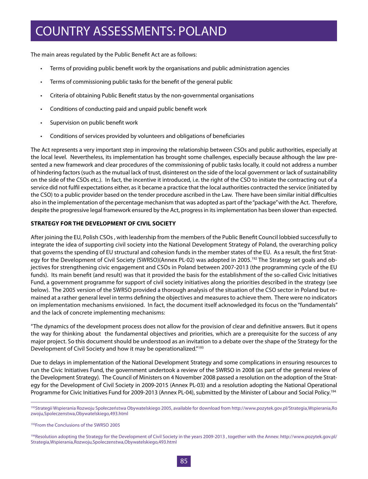The main areas regulated by the Public Benefit Act are as follows:

- • Terms of providing public benefit work by the organisations and public administration agencies
- Terms of commissioning public tasks for the benefit of the general public
- Criteria of obtaining Public Benefit status by the non-governmental organisations
- Conditions of conducting paid and unpaid public benefit work
- Supervision on public benefit work
- Conditions of services provided by volunteers and obligations of beneficiaries

The Act represents a very important step in improving the relationship between CSOs and public authorities, especially at the local level. Nevertheless, its implementation has brought some challenges, especially because although the law presented a new framework and clear procedures of the commissioning of public tasks locally, it could not address a number of hindering factors (such as the mutual lack of trust, disinterest on the side of the local government or lack of sustainability on the side of the CSOs etc.). In fact, the incentive it introduced, i.e. the right of the CSO to initiate the contracting out of a service did not fulfil expectations either, as it became a practice that the local authorities contracted the service (initiated by the CSO) to a public provider based on the tender procedure ascribed in the Law. There have been similar initial difficulties also in the implementation of the percentage mechanism that was adopted as part of the "package" with the Act. Therefore, despite the progressive legal framework ensured by the Act, progress in its implementation has been slower than expected.

### **STRATEGY FOR THE DEVELOPMENT OF CIVIL SOCIETY**

After joining the EU, Polish CSOs , with leadership from the members of the Public Benefit Council lobbied successfully to integrate the idea of supporting civil society into the National Development Strategy of Poland, the overarching policy that governs the spending of EU structural and cohesion funds in the member states of the EU. As a result, the first Strategy for the Development of Civil Society (SWRSO)(Annex PL-02) was adopted in 2005.<sup>192</sup> The Strategy set goals and objectives for strengthening civic engagement and CSOs in Poland between 2007-2013 (the programming cycle of the EU funds). Its main benefit (and result) was that it provided the basis for the establishment of the so-called Civic Initiatives Fund, a government programme for support of civil society initiatives along the priorities described in the strategy (see below). The 2005 version of the SWRSO provided a thorough analysis of the situation of the CSO sector in Poland but remained at a rather general level in terms defining the objectives and measures to achieve them. There were no indicators on implementation mechanisms envisioned. In fact, the document itself acknowledged its focus on the "fundamentals" and the lack of concrete implementing mechanisms:

"The dynamics of the development process does not allow for the provision of clear and definitive answers. But it opens the way for thinking about the fundamental objectives and priorities, which are a prerequisite for the success of any major project. So this document should be understood as an invitation to a debate over the shape of the Strategy for the Development of Civil Society and how it may be operationalized."<sup>193</sup>

Due to delays in implementation of the National Development Strategy and some complications in ensuring resources to run the Civic Initiatives Fund, the government undertook a review of the SWRSO in 2008 (as part of the general review of the Development Strategy). The Council of Ministers on 4 November 2008 passed a resolution on the adoption of the Strategy for the Development of Civil Society in 2009-2015 (Annex PL-03) and a resolution adopting the National Operational Programme for Civic Initiatives Fund for 2009-2013 (Annex PL-04), submitted by the Minister of Labour and Social Policy.<sup>194</sup>

<sup>&</sup>lt;sup>192</sup>Strategii Wspierania Rozwoju Społeczeństwa Obywatelskiego 2005, available for download from http://www.pozytek.gov.pl/Strategia,Wspierania,Ro zwoju,Spoleczenstwa,Obywatelskiego,493.html

<sup>193</sup>From the Conclusions of the SWRSO 2005

<sup>194</sup>Resolution adopting the Strategy for the Development of Civil Society in the years 2009-2013, together with the Annex: http://www.pozytek.gov.pl/ Strategia,Wspierania,Rozwoju,Spoleczenstwa,Obywatelskiego,493.html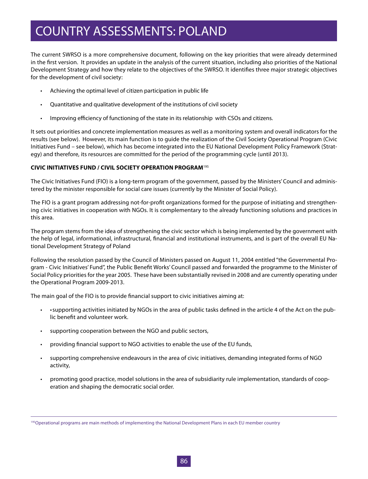The current SWRSO is a more comprehensive document, following on the key priorities that were already determined in the first version. It provides an update in the analysis of the current situation, including also priorities of the National Development Strategy and how they relate to the objectives of the SWRSO. It identifies three major strategic objectives for the development of civil society:

- • Achieving the optimal level of citizen participation in public life
- • Quantitative and qualitative development of the institutions of civil society
- • Improving efficiency of functioning of the state in its relationship with CSOs and citizens.

It sets out priorities and concrete implementation measures as well as a monitoring system and overall indicators for the results (see below). However, its main function is to guide the realization of the Civil Society Operational Program (Civic Initiatives Fund – see below), which has become integrated into the EU National Development Policy Framework (Strategy) and therefore, its resources are committed for the period of the programming cycle (until 2013).

### **CIVIC INITIATIVES FUND / CIVIL SOCIETY OPERATION PROGRAM**<sup>195</sup>

The Civic Initiatives Fund (FIO) is a long-term program of the government, passed by the Ministers' Council and administered by the minister responsible for social care issues (currently by the Minister of Social Policy).

The FIO is a grant program addressing not-for-profit organizations formed for the purpose of initiating and strengthening civic initiatives in cooperation with NGOs. It is complementary to the already functioning solutions and practices in this area.

The program stems from the idea of strengthening the civic sector which is being implemented by the government with the help of legal, informational, infrastructural, financial and institutional instruments, and is part of the overall EU National Development Strategy of Poland

Following the resolution passed by the Council of Ministers passed on August 11, 2004 entitled "the Governmental Program - Civic Initiatives' Fund", the Public Benefit Works' Council passed and forwarded the programme to the Minister of Social Policy priorities for the year 2005. These have been substantially revised in 2008 and are currently operating under the Operational Program 2009-2013.

The main goal of the FIO is to provide financial support to civic initiatives aiming at:

- $\cdot$   $\cdot$  supporting activities initiated by NGOs in the area of public tasks defined in the article 4 of the Act on the public benefit and volunteer work.
- supporting cooperation between the NGO and public sectors,
- providing financial support to NGO activities to enable the use of the EU funds,
- • supporting comprehensive endeavours in the area of civic initiatives, demanding integrated forms of NGO activity,
- • promoting good practice, model solutions in the area of subsidiarity rule implementation, standards of cooperation and shaping the democratic social order.

<sup>&</sup>lt;sup>195</sup>Operational programs are main methods of implementing the National Development Plans in each EU member country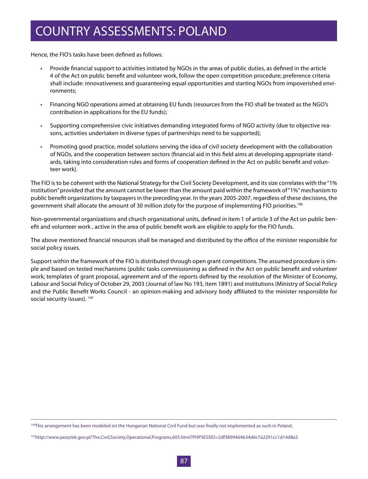Hence, the FIO's tasks have been defined as follows:

- • Provide financial support to activities initiated by NGOs in the areas of public duties, as defined in the article 4 of the Act on public benefit and volunteer work, follow the open competition procedure; preference criteria shall include: innovativeness and guaranteeing equal opportunities and starting NGOs from impoverished environments;
- • Financing NGO operations aimed at obtaining EU funds (resources from the FIO shall be treated as the NGO's contribution in applications for the EU funds);
- • Supporting comprehensive civic initiatives demanding integrated forms of NGO activity (due to objective reasons, activities undertaken in diverse types of partnerships need to be supported);
- Promoting good practice, model solutions serving the idea of civil society development with the collaboration of NGOs, and the cooperation between sectors (financial aid in this field aims at developing appropriate standards, taking into consideration rules and forms of cooperation defined in the Act on public benefit and volunteer work).

The FIO is to be coherent with the National Strategy for the Civil Society Development, and its size correlates with the "1% institution" provided that the amount cannot be lower than the amount paid within the framework of "1%" mechanism to public benefit organizations by taxpayers in the preceding year. In the years 2005-2007, regardless of these decisions, the government shall allocate the amount of 30 million zloty for the purpose of implementing FIO priorities.<sup>196</sup>

Non-governmental organizations and church organizational units, defined in item 1 of article 3 of the Act on public benefit and volunteer work , active in the area of public benefit work are eligible to apply for the FIO funds.

The above mentioned financial resources shall be managed and distributed by the office of the minister responsible for social policy issues.

Support within the framework of the FIO is distributed through open grant competitions. The assumed procedure is simple and based on tested mechanisms (public tasks commissioning as defined in the Act on public benefit and volunteer work; templates of grant proposal, agreement and of the reports defined by the resolution of the Minister of Economy, Labour and Social Policy of October 29, 2003 (Journal of law No 193, item 1891) and institutions (Ministry of Social Policy and the Public Benefit Works Council - an opinion-making and advisory body affiliated to the minister responsible for social security issues). <sup>197</sup>

<sup>&</sup>lt;sup>196</sup>This arrangement has been modeled on the Hungarian National Civil Fund but was finally not implemented as such in Poland.

<sup>197</sup>http://www.pozytek.gov.pl/The,Civil,Society,Operational,Programs,605.html?PHPSESSID=2df3899464b34d6c7a2291cc1d14d8a2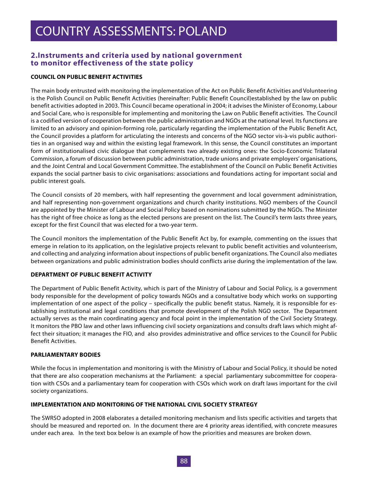### **2.Instruments and criteria used by national government to monitor effectiveness of the state policy**

### **COUNCIL ON PUBLIC BENEFIT ACTIVITIES**

The main body entrusted with monitoring the implementation of the Act on Public Benefit Activities and Volunteering is the Polish Council on Public Benefit Activities (hereinafter: Public Benefit Council)established by the law on public benefit activities adopted in 2003. This Council became operational in 2004; it advises the Minister of Economy, Labour and Social Care, who is responsible for implementing and monitoring the Law on Public Benefit activities. The Council is a codified version of cooperation between the public administration and NGOs at the national level. Its functions are limited to an advisory and opinion-forming role, particularly regarding the implementation of the Public Benefit Act, the Council provides a platform for articulating the interests and concerns of the NGO sector vis-à-vis public authorities in an organised way and within the existing legal framework. In this sense, the Council constitutes an important form of institutionalised civic dialogue that complements two already existing ones: the Socio-Economic Trilateral Commission, a forum of discussion between public administration, trade unions and private employers' organisations, and the Joint Central and Local Government Committee. The establishment of the Council on Public Benefit Activities expands the social partner basis to civic organisations: associations and foundations acting for important social and public interest goals.

The Council consists of 20 members, with half representing the government and local government administration, and half representing non-government organizations and church charity institutions. NGO members of the Council are appointed by the Minister of Labour and Social Policy based on nominations submitted by the NGOs. The Minister has the right of free choice as long as the elected persons are present on the list. The Council's term lasts three years, except for the first Council that was elected for a two-year term.

The Council monitors the implementation of the Public Benefit Act by, for example, commenting on the issues that emerge in relation to its application, on the legislative projects relevant to public benefit activities and volunteerism, and collecting and analyzing information about inspections of public benefit organizations. The Council also mediates between organizations and public administration bodies should conflicts arise during the implementation of the law.

#### **DEPARTMENT OF PUBLIC BENEFIT ACTIVITY**

The Department of Public Benefit Activity, which is part of the Ministry of Labour and Social Policy, is a government body responsible for the development of policy towards NGOs and a consultative body which works on supporting implementation of one aspect of the policy – specifically the public benefit status. Namely, it is responsible for establishing institutional and legal conditions that promote development of the Polish NGO sector. The Department actually serves as the main coordinating agency and focal point in the implementation of the Civil Society Strategy. It monitors the PBO law and other laws influencing civil society organizations and consults draft laws which might affect their situation; it manages the FIO, and also provides administrative and office services to the Council for Public Benefit Activities.

#### **PARLIAMENTARY BODIES**

While the focus in implementation and monitoring is with the Ministry of Labour and Social Policy, it should be noted that there are also cooperation mechanisms at the Parliament: a special parliamentary subcommittee for cooperation with CSOs and a parliamentary team for cooperation with CSOs which work on draft laws important for the civil society organizations.

#### **IMPLEMENTATION AND MONITORING OF THE NATIONAL CIVIL SOCIETY STRATEGY**

The SWRSO adopted in 2008 elaborates a detailed monitoring mechanism and lists specific activities and targets that should be measured and reported on. In the document there are 4 priority areas identified, with concrete measures under each area. In the text box below is an example of how the priorities and measures are broken down.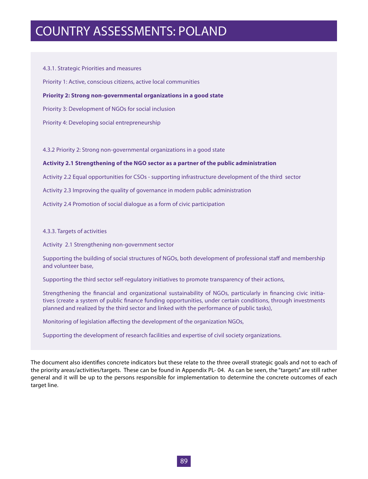4.3.1. Strategic Priorities and measures Priority 1: Active, conscious citizens, active local communities **Priority 2: Strong non-governmental organizations in a good state** Priority 3: Development of NGOs for social inclusion Priority 4: Developing social entrepreneurship

4.3.2 Priority 2: Strong non-governmental organizations in a good state

#### **Activity 2.1 Strengthening of the NGO sector as a partner of the public administration**

Activity 2.2 Equal opportunities for CSOs - supporting infrastructure development of the third sector

Activity 2.3 Improving the quality of governance in modern public administration

Activity 2.4 Promotion of social dialogue as a form of civic participation

#### 4.3.3. Targets of activities

Activity 2.1 Strengthening non-government sector

Supporting the building of social structures of NGOs, both development of professional staff and membership and volunteer base,

Supporting the third sector self-regulatory initiatives to promote transparency of their actions,

Strengthening the financial and organizational sustainability of NGOs, particularly in financing civic initiatives (create a system of public finance funding opportunities, under certain conditions, through investments planned and realized by the third sector and linked with the performance of public tasks),

Monitoring of legislation affecting the development of the organization NGOs,

Supporting the development of research facilities and expertise of civil society organizations.

The document also identifies concrete indicators but these relate to the three overall strategic goals and not to each of the priority areas/activities/targets. These can be found in Appendix PL- 04. As can be seen, the "targets" are still rather general and it will be up to the persons responsible for implementation to determine the concrete outcomes of each target line.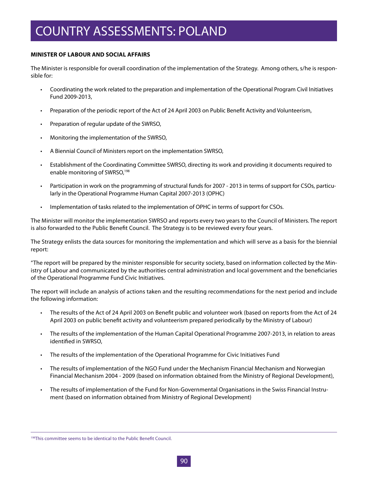### **MINISTER OF LABOUR AND SOCIAL AFFAIRS**

The Minister is responsible for overall coordination of the implementation of the Strategy. Among others, s/he is responsible for:

- • Coordinating the work related to the preparation and implementation of the Operational Program Civil Initiatives Fund 2009-2013,
- • Preparation of the periodic report of the Act of 24 April 2003 on Public Benefit Activity and Volunteerism,
- Preparation of regular update of the SWRSO,
- • Monitoring the implementation of the SWRSO,
- A Biennial Council of Ministers report on the implementation SWRSO,
- Establishment of the Coordinating Committee SWRSO, directing its work and providing it documents required to enable monitoring of SWRSO,<sup>198</sup>
- • Participation in work on the programming of structural funds for 2007 2013 in terms of support for CSOs, particularly in the Operational Programme Human Capital 2007-2013 (OPHC)
- • Implementation of tasks related to the implementation of OPHC in terms of support for CSOs.

The Minister will monitor the implementation SWRSO and reports every two years to the Council of Ministers. The report is also forwarded to the Public Benefit Council. The Strategy is to be reviewed every four years.

The Strategy enlists the data sources for monitoring the implementation and which will serve as a basis for the biennial report:

"The report will be prepared by the minister responsible for security society, based on information collected by the Ministry of Labour and communicated by the authorities central administration and local government and the beneficiaries of the Operational Programme Fund Civic Initiatives.

The report will include an analysis of actions taken and the resulting recommendations for the next period and include the following information:

- The results of the Act of 24 April 2003 on Benefit public and volunteer work (based on reports from the Act of 24 April 2003 on public benefit activity and volunteerism prepared periodically by the Ministry of Labour)
- • The results of the implementation of the Human Capital Operational Programme 2007-2013, in relation to areas identified in SWRSO,
- • The results of the implementation of the Operational Programme for Civic Initiatives Fund
- The results of implementation of the NGO Fund under the Mechanism Financial Mechanism and Norwegian Financial Mechanism 2004 - 2009 (based on information obtained from the Ministry of Regional Development),
- • The results of implementation of the Fund for Non-Governmental Organisations in the Swiss Financial Instrument (based on information obtained from Ministry of Regional Development)

<sup>198</sup>This committee seems to be identical to the Public Benefit Council.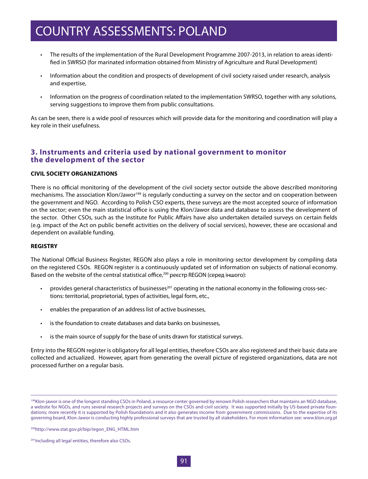- • The results of the implementation of the Rural Development Programme 2007-2013, in relation to areas identified in SWRSO (for marinated information obtained from Ministry of Agriculture and Rural Development)
- Information about the condition and prospects of development of civil society raised under research, analysis and expertise,
- • Information on the progress of coordination related to the implementation SWRSO, together with any solutions, serving suggestions to improve them from public consultations.

As can be seen, there is a wide pool of resources which will provide data for the monitoring and coordination will play a key role in their usefulness.

### **3. Instruments and criteria used by national government to monitor the development of the sector**

### **CIVIL SOCIETY ORGANIZATIONS**

There is no official monitoring of the development of the civil society sector outside the above described monitoring mechanisms. The association Klon/Jawor<sup>199</sup> is regularly conducting a survey on the sector and on cooperation between the government and NGO. According to Polish CSO experts, these surveys are the most accepted source of information on the sector; even the main statistical office is using the Klon/Jawor data and database to assess the development of the sector. Other CSOs, such as the Institute for Public Affairs have also undertaken detailed surveys on certain fields (e.g. impact of the Act on public benefit activities on the delivery of social services), however, these are occasional and dependent on available funding.

#### **REGISTRY**

The National Official Business Register, REGON also plays a role in monitoring sector development by compiling data on the registered CSOs. REGON register is a continuously updated set of information on subjects of national economy. Based on the website of the central statistical office,<sup>200</sup> реєстр REGON (серед іншого):

- provides general characteristics of businesses<sup>201</sup> operating in the national economy in the following cross-sections: territorial, proprietorial, types of activities, legal form, etc.,
- • enables the preparation of an address list of active businesses,
- is the foundation to create databases and data banks on businesses,
- is the main source of supply for the base of units drawn for statistical surveys.

Entry into the REGON register is obligatory for all legal entities, therefore CSOs are also registered and their basic data are collected and actualized. However, apart from generating the overall picture of registered organizations, data are not processed further on a regular basis.

<sup>&</sup>lt;sup>199</sup>Klon-jawor is one of the longest standing CSOs in Poland, a resource center governed by renown Polish researchers that maintains an NGO database, a website for NGOs, and runs several research projects and surveys on the CSOs and civil society. It was supported initially by US-based private foundations; more recently it is supported by Polish foundations and it also generates income from government commissions. Due to the expertise of its governing board, Klon-Jawor is conducting highly professional surveys that are trusted by all stakeholders. For more information see: www.klon.org.pl

<sup>200</sup>http://www.stat.gov.pl/bip/regon\_ENG\_HTML.htm

<sup>201</sup>Including all legal entities, therefore also CSOs.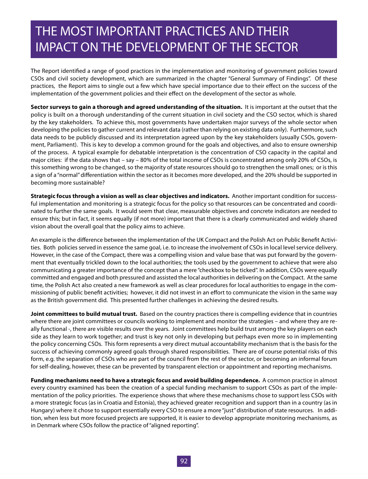### THE MOST IMPORTANT PRACTICES AND THEIR IMPACT ON THE DEVELOPMENT OF THE SECTOR

The Report identified a range of good practices in the implementation and monitoring of government policies toward CSOs and civil society development, which are summarized in the chapter "General Summary of Findings". Of these practices, the Report aims to single out a few which have special importance due to their effect on the success of the implementation of the government policies and their effect on the development of the sector as whole.

**Sector surveys to gain a thorough and agreed understanding of the situation.** It is important at the outset that the policy is built on a thorough understanding of the current situation in civil society and the CSO sector, which is shared by the key stakeholders. To achieve this, most governments have undertaken major surveys of the whole sector when developing the policies to gather current and relevant data (rather than relying on existing data only). Furthermore, such data needs to be publicly discussed and its interpretation agreed upon by the key stakeholders (usually CSOs, government, Parliament). This is key to develop a common ground for the goals and objectives, and also to ensure ownership of the process. A typical example for debatable interpretation is the concentration of CSO capacity in the capital and major cities: if the data shows that – say – 80% of the total income of CSOs is concentrated among only 20% of CSOs, is this something wrong to be changed, so the majority of state resources should go to strengthen the small ones; or is this a sign of a "normal" differentiation within the sector as it becomes more developed, and the 20% should be supported in becoming more sustainable?

**Strategic focus through a vision as well as clear objectives and indicators.** Another important condition for successful implementation and monitoring is a strategic focus for the policy so that resources can be concentrated and coordinated to further the same goals. It would seem that clear, measurable objectives and concrete indicators are needed to ensure this; but in fact, it seems equally (if not more) important that there is a clearly communicated and widely shared vision about the overall goal that the policy aims to achieve.

An example is the difference between the implementation of the UK Compact and the Polish Act on Public Benefit Activities. Both policies served in essence the same goal, i.e. to increase the involvement of CSOs in local level service delivery. However, in the case of the Compact, there was a compelling vision and value base that was put forward by the government that eventually trickled down to the local authorities; the tools used by the government to achieve that were also communicating a greater importance of the concept than a mere "checkbox to be ticked". In addition, CSOs were equally committed and engaged and both pressured and assisted the local authorities in delivering on the Compact. At the same time, the Polish Act also created a new framework as well as clear procedures for local authorities to engage in the commissioning of public benefit activities; however, it did not invest in an effort to communicate the vision in the same way as the British government did. This presented further challenges in achieving the desired results.

**Joint committees to build mutual trust.** Based on the country practices there is compelling evidence that in countries where there are joint committees or councils working to implement and monitor the strategies – and where they are really functional -, there are visible results over the years. Joint committees help build trust among the key players on each side as they learn to work together; and trust is key not only in developing but perhaps even more so in implementing the policy concerning CSOs. This form represents a very direct mutual accountability mechanism that is the basis for the success of achieving commonly agreed goals through shared responsibilities. There are of course potential risks of this form, e.g. the separation of CSOs who are part of the council from the rest of the sector, or becoming an informal forum for self-dealing, however, these can be prevented by transparent election or appointment and reporting mechanisms.

**Funding mechanisms need to have a strategic focus and avoid building dependence.** A common practice in almost every country examined has been the creation of a special funding mechanism to support CSOs as part of the implementation of the policy priorities. The experience shows that where these mechanisms chose to support less CSOs with a more strategic focus (as in Croatia and Estonia), they achieved greater recognition and support than in a country (as in Hungary) where it chose to support essentially every CSO to ensure a more "just" distribution of state resources. In addition, when less but more focused projects are supported, it is easier to develop appropriate monitoring mechanisms, as in Denmark where CSOs follow the practice of "aligned reporting".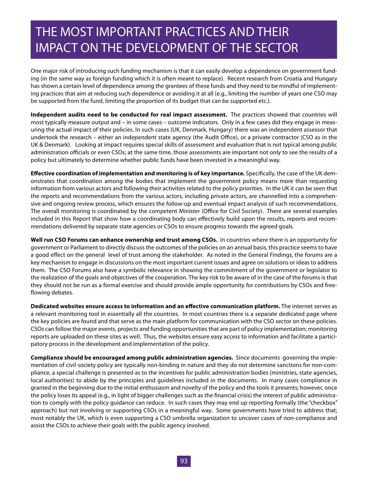### THE MOST IMPORTANT PRACTICES AND THEIR IMPACT ON THE DEVELOPMENT OF THE SECTOR

One major risk of introducing such funding mechanism is that it can easily develop a dependence on government funding (in the same way as foreign funding which it is often meant to replace). Recent research from Croatia and Hungary has shown a certain level of dependence among the grantees of these funds and they need to be mindful of implementing practices that aim at reducing such dependence or avoiding it at all (e.g., limiting the number of years one CSO may be supported from the fund, limiting the proportion of its budget that can be supported etc.).

**Independent audits need to be conducted for real impact assessment.** The practices showed that countries will most typically measure output and – in some cases – outcome indicators. Only in a few cases did they engage in measuring the actual impact of their policies. In such cases (UK, Denmark, Hungary) there was an independent assessor that undertook the research – either an independent state agency (the Audit Office), or a private contractor (CSO as in the UK & Denmark). Looking at impact requires special skills of assessment and evaluation that is not typical among public administration officials or even CSOs; at the same time, those assessments are important not only to see the results of a policy but ultimately to determine whether public funds have been invested in a meaningful way.

**Effective coordination of implementation and monitoring is of key importance.** Specifically, the case of the UK demonstrates that coordination among the bodies that implement the government policy means more than requesting information from various actors and following their activities related to the policy priorities. In the UK it can be seen that the reports and recommendations from the various actors, including private actors, are channelled into a comprehensive and ongoing review process, which ensures the follow-up and eventual impact analysis of such recommendations. The overall monitoring is coordinated by the competent Minister (Office for Civil Society). There are several examples included in this Report that show how a coordinating body can effectively build upon the results, reports and recommendations delivered by separate state agencies or CSOs to ensure progress towards the agreed goals.

**Well run CSO Forums can enhance ownership and trust among CSOs.** In countries where there is an opportunity for government or Parliament to directly discuss the outcomes of the policies on an annual basis, this practice seems to have a good effect on the general level of trust among the stakeholder. As noted in the General Findings, the forums are a key mechanism to engage in discussions on the most important current issues and agree on solutions or ideas to address them. The CSO Forums also have a symbolic relevance in showing the commitment of the government or legislator to the realization of the goals and objectives of the cooperation. The key risk to be aware of in the case of the forums is that they should not be run as a formal exercise and should provide ample opportunity for contributions by CSOs and freeflowing debates.

**Dedicated websites ensure access to information and an effective communication platform.** The internet serves as a relevant monitoring tool in essentially all the countries. In most countries there is a separate dedicated page where the key policies are found and that serve as the main platform for communication with the CSO sector on these policies. CSOs can follow the major events, projects and funding opportunities that are part of policy implementation; monitoring reports are uploaded on these sites as well. Thus, the websites ensure easy access to information and facilitate a participatory process in the development and implementation of the policy.

**Compliance should be encouraged among public administration agencies.** Since documents governing the implementation of civil society policy are typically non-binding in nature and they do not determine sanctions for non-compliance, a special challenge is presented as to the incentives for public administration bodies (ministries, state agencies, local authorities) to abide by the principles and guidelines included in the documents. In many cases compliance in granted in the beginning due to the initial enthusiasm and novelty of the policy and the tools it presents; however, once the policy loses its appeal (e.g., in light of bigger challenges such as the financial crisis) the interest of public administration to comply with the policy guidance can reduce. In such cases they may end up reporting formally (the "checkbox" approach) but not involving or supporting CSOs in a meaningful way. Some governments have tried to address that; most notably the UK, which is even supporting a CSO umbrella organization to uncover cases of non-compliance and assist the CSOs to achieve their goals with the public agency involved.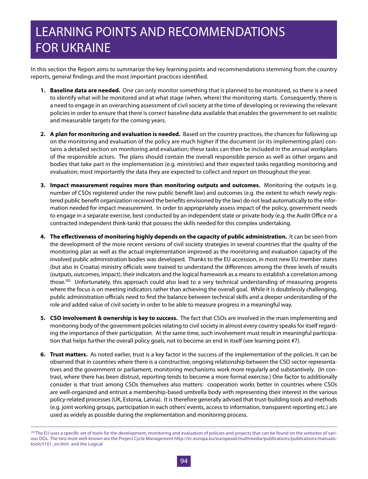## LEARNING POINTS AND RECOMMENDATIONS FOR UKRAINE

In this section the Report aims to summarize the key learning points and recommendations stemming from the country reports, general findings and the most important practices identified.

- **1. Baseline data are needed.** One can only monitor something that is planned to be monitored, so there is a need to identify what will be monitored and at what stage (when, where) the monitoring starts. Consequently, there is a need to engage in an overarching assessment of civil society at the time of developing or reviewing the relevant policies in order to ensure that there is correct baseline data available that enables the government to set realistic and measurable targets for the coming years.
- **2. A plan for monitoring and evaluation is needed.** Based on the country practices, the chances for following up on the monitoring and evaluation of the policy are much higher if the document (or its implementing plan) contains a detailed section on monitoring and evaluation; these tasks can then be included in the annual workplans of the responsible actors. The plans should contain the overall responsible person as well as other organs and bodies that take part in the implementation (e.g. ministries) and their expected tasks regarding monitoring and evaluation; most importantly the data they are expected to collect and report on throughout the year.
- **3. Impact measurement requires more than monitoring outputs and outcomes.** Monitoring the outputs (e.g. number of CSOs registered under the new public benefit law) and outcomes (e.g. the extent to which newly registered public benefit organization received the benefits envisioned by the law) do not lead automatically to the information needed for impact measurement. In order to appropriately assess impact of the policy, government needs to engage in a separate exercise, best conducted by an independent state or private body (e.g. the Audit Office or a contracted independent think-tank) that possess the skills needed for this complex undertaking.
- **4. The effectiveness of monitoring highly depends on the capacity of public administration.** It can be seen from the development of the more recent versions of civil society strategies in several countries that the quality of the monitoring plan as well as the actual implementation improved as the monitoring and evaluation capacity of the involved public administration bodies was developed. Thanks to the EU accession, in most new EU member states (but also in Croatia) ministry officials were trained to understand the differences among the three levels of results (outputs, outcomes, impact), their indicators and the logical framework as a means to establish a correlation among those.<sup>202</sup> Unfortunately, this approach could also lead to a very technical understanding of measuring progress where the focus is on meeting indicators rather than achieving the overall goal. While it is doubtlessly challenging, public administration officials need to find the balance between technical skills and a deeper understanding of the role and added value of civil society in order to be able to measure progress in a meaningful way.
- **5. CSO involvement & ownership is key to success.** The fact that CSOs are involved in the main implementing and monitoring body of the government policies relating to civil society in almost every country speaks for itself regarding the importance of their participation. At the same time, such involvement must result in meaningful participation that helps further the overall policy goals, not to become an end in itself (see learning point #7).
- **6. Trust matters.** As noted earlier, trust is a key factor in the success of the implementation of the policies. It can be observed that in countries where there is a constructive, ongoing relationship between the CSO sector representatives and the government or parliament, monitoring mechanisms work more regularly and substantively. (In contrast, where there has been distrust, reporting tends to become a more formal exercise.) One factor to additionally consider is that trust among CSOs themselves also matters: cooperation works better in countries where CSOs are well-organized and entrust a membership-based umbrella body with representing their interest in the various policy-related processes (UK, Estonia, Latvia). It is therefore generally advised that trust-building tools and methods (e.g. joint working groups, participation in each others' events, access to information, transparent reporting etc.) are used as widely as possible during the implementation and monitoring process.

<sup>&</sup>lt;sup>202</sup>The EU uses a specific set of tools for the development, monitoring and evaluation of policies and projects that can be found on the websites of various DGs. The two most well-known are the Project Cycle Management http://ec.europa.eu/europeaid/multimedia/publications/publications/manualstools/t101\_en.htm and the Logical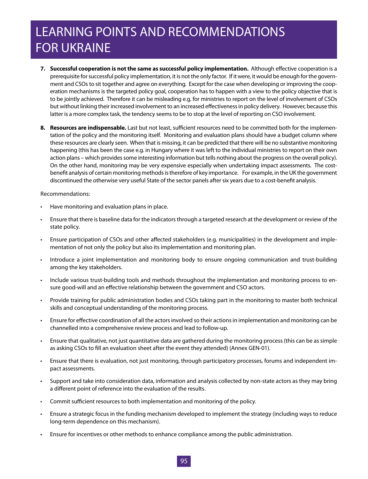## LEARNING POINTS AND RECOMMENDATIONS FOR UKRAINE

- **7. Successful cooperation is not the same as successful policy implementation.** Although effective cooperation is a prerequisite for successful policy implementation, it is not the only factor. If it were, it would be enough for the government and CSOs to sit together and agree on everything. Except for the case when developing or improving the cooperation mechanisms is the targeted policy goal, cooperation has to happen with a view to the policy objective that is to be jointly achieved. Therefore it can be misleading e.g. for ministries to report on the level of involvement of CSOs but without linking their increased involvement to an increased effectiveness in policy delivery. However, because this latter is a more complex task, the tendency seems to be to stop at the level of reporting on CSO involvement.
- **8. Resources are indispensable.** Last but not least, sufficient resources need to be committed both for the implementation of the policy and the monitoring itself. Monitoring and evaluation plans should have a budget column where these resources are clearly seen. When that is missing, it can be predicted that there will be no substantive monitoring happening (this has been the case e.g. in Hungary where it was left to the individual ministries to report on their own action plans – which provides some interesting information but tells nothing about the progress on the overall policy). On the other hand, monitoring may be very expensive especially when undertaking impact assessments. The costbenefit analysis of certain monitoring methods is therefore of key importance. For example, in the UK the government discontinued the otherwise very useful State of the sector panels after six years due to a cost-benefit analysis.

Recommendations:

- Have monitoring and evaluation plans in place.
- Ensure that there is baseline data for the indicators through a targeted research at the development or review of the state policy.
- • Ensure participation of CSOs and other affected stakeholders (e.g. municipalities) in the development and implementation of not only the policy but also its implementation and monitoring plan.
- Introduce a joint implementation and monitoring body to ensure ongoing communication and trust-building among the key stakeholders.
- Include various trust-building tools and methods throughout the implementation and monitoring process to ensure good-will and an effective relationship between the government and CSO actors.
- • Provide training for public administration bodies and CSOs taking part in the monitoring to master both technical skills and conceptual understanding of the monitoring process.
- Ensure for effective coordination of all the actors involved so their actions in implementation and monitoring can be channelled into a comprehensive review process and lead to follow-up.
- Ensure that qualitative, not just quantitative data are gathered during the monitoring process (this can be as simple as asking CSOs to fill an evaluation sheet after the event they attended) (Annex GEN-01).
- • Ensure that there is evaluation, not just monitoring, through participatory processes, forums and independent impact assessments.
- • Support and take into consideration data, information and analysis collected by non-state actors as they may bring a different point of reference into the evaluation of the results.
- Commit sufficient resources to both implementation and monitoring of the policy.
- Ensure a strategic focus in the funding mechanism developed to implement the strategy (including ways to reduce long-term dependence on this mechanism).
- Ensure for incentives or other methods to enhance compliance among the public administration.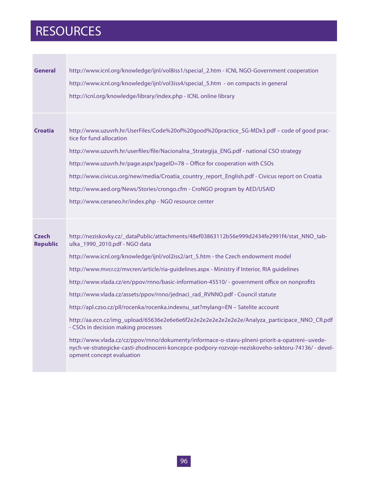## RESOURCES

| <b>General</b>                  | http://www.icnl.org/knowledge/ijnl/vol8iss1/special_2.htm - ICNL NGO-Government cooperation<br>http://www.icnl.org/knowledge/ijnl/vol3iss4/special_5.htm - on compacts in general<br>http://icnl.org/knowledge/library/index.php - ICNL online library                                                                                                                                                                                                                                                                                                                                                                                                                                                                                                                                                                                                                                                                                                        |
|---------------------------------|---------------------------------------------------------------------------------------------------------------------------------------------------------------------------------------------------------------------------------------------------------------------------------------------------------------------------------------------------------------------------------------------------------------------------------------------------------------------------------------------------------------------------------------------------------------------------------------------------------------------------------------------------------------------------------------------------------------------------------------------------------------------------------------------------------------------------------------------------------------------------------------------------------------------------------------------------------------|
| <b>Croatia</b>                  | http://www.uzuvrh.hr/UserFiles/Code%20of%20good%20practice_SG-MDx3.pdf - code of good prac-<br>tice for fund allocation<br>http://www.uzuvrh.hr/userfiles/file/Nacionalna_Strategija_ENG.pdf - national CSO strategy<br>http://www.uzuvrh.hr/page.aspx?pageID=78 - Office for cooperation with CSOs<br>http://www.civicus.org/new/media/Croatia_country_report_English.pdf - Civicus report on Croatia                                                                                                                                                                                                                                                                                                                                                                                                                                                                                                                                                        |
|                                 | http://www.aed.org/News/Stories/crongo.cfm - CroNGO program by AED/USAID<br>http://www.ceraneo.hr/index.php - NGO resource center                                                                                                                                                                                                                                                                                                                                                                                                                                                                                                                                                                                                                                                                                                                                                                                                                             |
| <b>Czech</b><br><b>Republic</b> | http://neziskovky.cz/_dataPublic/attachments/48ef03863112b56e999d2434fe2991f4/stat_NNO_tab-<br>ulka_1990_2010.pdf - NGO data<br>http://www.icnl.org/knowledge/ijnl/vol2iss2/art_5.htm - the Czech endowment model<br>http://www.mvcr.cz/mvcren/article/ria-guidelines.aspx - Ministry if Interior, RIA guidelines<br>http://www.vlada.cz/en/ppov/rnno/basic-information-45510/ - government office on nonprofits<br>http://www.vlada.cz/assets/ppov/rnno/jednaci_rad_RVNNO.pdf - Council statute<br>http://apl.czso.cz/pll/rocenka/rocenka.indexnu_sat?mylang=EN - Satelite account<br>http://aa.ecn.cz/imq_upload/65636e2e6e6e6f2e2e2e2e2e2e2e2e2e/Analyza_participace_NNO_CR.pdf<br>- CSOs in decision making processes<br>http://www.vlada.cz/cz/ppov/rnno/dokumenty/informace-o-stavu-plneni-priorit-a-opatreni--uvede-<br>nych-ve-strategicke-casti-zhodnoceni-koncepce-podpory-rozvoje-neziskoveho-sektoru-74136/ - devel-<br>opment concept evaluation |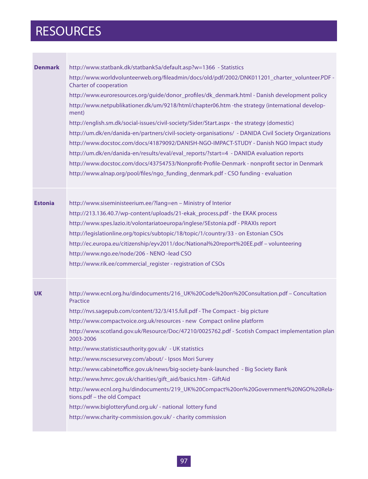# RESOURCES

| <b>Denmark</b> | http://www.statbank.dk/statbank5a/default.asp?w=1366 - Statistics                                                        |
|----------------|--------------------------------------------------------------------------------------------------------------------------|
|                | http://www.worldvolunteerweb.org/fileadmin/docs/old/pdf/2002/DNK011201_charter_volunteer.PDF -<br>Charter of cooperation |
|                | http://www.euroresources.org/guide/donor_profiles/dk_denmark.html - Danish development policy                            |
|                | http://www.netpublikationer.dk/um/9218/html/chapter06.htm -the strategy (international develop-<br>ment)                 |
|                | http://english.sm.dk/social-issues/civil-society/Sider/Start.aspx - the strategy (domestic)                              |
|                | http://um.dk/en/danida-en/partners/civil-society-organisations/ - DANIDA Civil Society Organizations                     |
|                | http://www.docstoc.com/docs/41879092/DANISH-NGO-IMPACT-STUDY - Danish NGO Impact study                                   |
|                | http://um.dk/en/danida-en/results/eval/eval_reports/?start=4 - DANIDA evaluation reports                                 |
|                | http://www.docstoc.com/docs/43754753/Nonprofit-Profile-Denmark - nonprofit sector in Denmark                             |
|                | http://www.alnap.org/pool/files/ngo_funding_denmark.pdf - CSO funding - evaluation                                       |
| <b>Estonia</b> | http://www.siseministeerium.ee/?lang=en - Ministry of Interior                                                           |
|                | http://213.136.40.7/wp-content/uploads/21-ekak_process.pdf - the EKAK process                                            |
|                | http://www.spes.lazio.it/volontariatoeuropa/inglese/5Estonia.pdf - PRAXIs report                                         |
|                | http://legislationline.org/topics/subtopic/18/topic/1/country/33 - on Estonian CSOs                                      |
|                | http://ec.europa.eu/citizenship/eyv2011/doc/National%20report%20EE.pdf - volunteering                                    |
|                | http://www.ngo.ee/node/206 - NENO -lead CSO                                                                              |
|                | http://www.rik.ee/commercial_register - registration of CSOs                                                             |
|                |                                                                                                                          |
| <b>UK</b>      | http://www.ecnl.org.hu/dindocuments/216_UK%20Code%20on%20Consultation.pdf - Concultation<br>Practice                     |
|                | http://nvs.sagepub.com/content/32/3/415.full.pdf - The Compact - big picture                                             |
|                | http://www.compactvoice.org.uk/resources - new Compact online platform                                                   |
|                | http://www.scotland.gov.uk/Resource/Doc/47210/0025762.pdf - Scotish Compact implementation plan<br>2003-2006             |
|                | http://www.statisticsauthority.gov.uk/ - UK statistics                                                                   |
|                | http://www.nscsesurvey.com/about/ - Ipsos Mori Survey                                                                    |
|                | http://www.cabinetoffice.gov.uk/news/big-society-bank-launched - Big Society Bank                                        |
|                | http://www.hmrc.gov.uk/charities/gift_aid/basics.htm - GiftAid                                                           |
|                | http://www.ecnl.org.hu/dindocuments/219_UK%20Compact%20on%20Government%20NGO%20Rela-<br>tions.pdf - the old Compact      |
|                | http://www.biglotteryfund.org.uk/ - national lottery fund                                                                |
|                | http://www.charity-commission.gov.uk/ - charity commission                                                               |
|                |                                                                                                                          |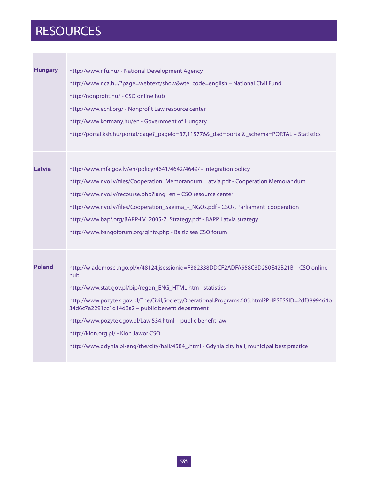## RESOURCES

| <b>Hungary</b> | http://www.nfu.hu/ - National Development Agency<br>http://www.nca.hu/?page=webtext/show&wte_code=english - National Civil Fund<br>http://nonprofit.hu/ - CSO online hub<br>http://www.ecnl.org/ - Nonprofit Law resource center<br>http://www.kormany.hu/en - Government of Hungary<br>http://portal.ksh.hu/portal/page?_pageid=37,115776&_dad=portal&_schema=PORTAL - Statistics                                                                                                                                             |
|----------------|--------------------------------------------------------------------------------------------------------------------------------------------------------------------------------------------------------------------------------------------------------------------------------------------------------------------------------------------------------------------------------------------------------------------------------------------------------------------------------------------------------------------------------|
|                |                                                                                                                                                                                                                                                                                                                                                                                                                                                                                                                                |
| Latvia         | http://www.mfa.gov.lv/en/policy/4641/4642/4649/ - Integration policy<br>http://www.nvo.lv/files/Cooperation_Memorandum_Latvia.pdf - Cooperation Memorandum<br>http://www.nvo.lv/recourse.php?lang=en - CSO resource center<br>http://www.nvo.lv/files/Cooperation_Saeima_-_NGOs.pdf - CSOs, Parliament cooperation<br>http://www.bapf.org/BAPP-LV_2005-7_Strategy.pdf - BAPP Latvia strategy<br>http://www.bsngoforum.org/ginfo.php - Baltic sea CSO forum                                                                     |
| <b>Poland</b>  | http://wiadomosci.ngo.pl/x/48124;jsessionid=F382338DDCF2ADFA558C3D250E42B21B - CSO online<br>hub<br>http://www.stat.gov.pl/bip/regon_ENG_HTML.htm - statistics<br>http://www.pozytek.gov.pl/The,Civil,Society,Operational,Programs,605.html?PHPSESSID=2df3899464b<br>34d6c7a2291cc1d14d8a2 - public benefit department<br>http://www.pozytek.gov.pl/Law,534.html - public benefit law<br>http://klon.org.pl/ - Klon Jawor CSO<br>http://www.gdynia.pl/eng/the/city/hall/4584_.html - Gdynia city hall, municipal best practice |